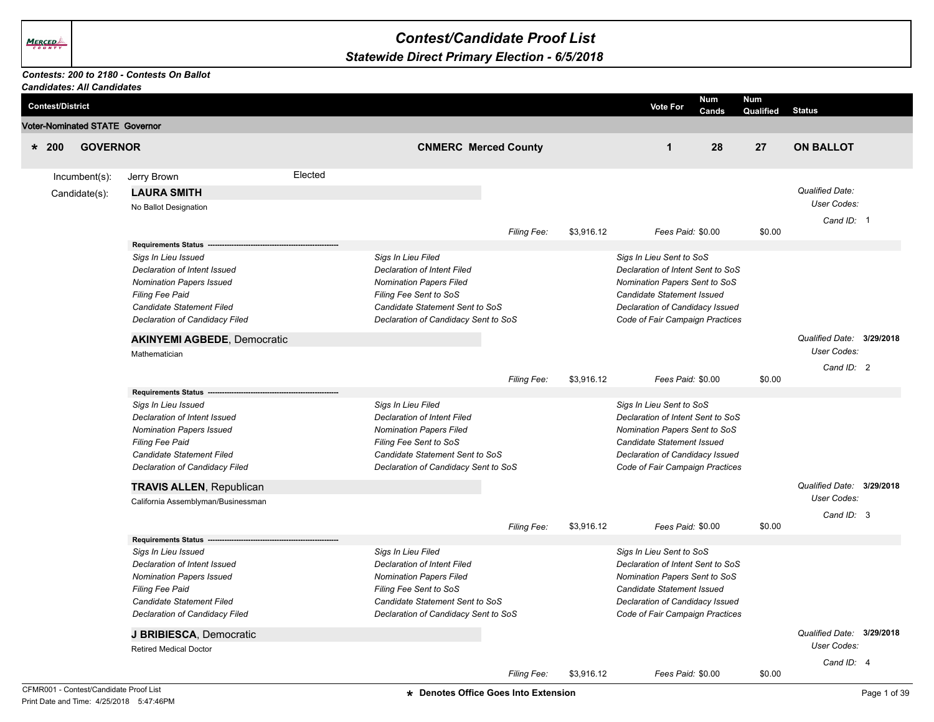## *Contest/Candidate Proof List*

## *Statewide Direct Primary Election - 6/5/2018*

## *Contests: 200 to 2180 - Contests On Ballot*

|         | <b>Candidates: All Candidates</b>     |                                                                 |         |                                                          |                    |            |                                                                    |                     |                  |                                          |  |
|---------|---------------------------------------|-----------------------------------------------------------------|---------|----------------------------------------------------------|--------------------|------------|--------------------------------------------------------------------|---------------------|------------------|------------------------------------------|--|
|         | <b>Contest/District</b>               |                                                                 |         |                                                          |                    |            | <b>Vote For</b>                                                    | Num<br><b>Cands</b> | Num<br>Qualified | <b>Status</b>                            |  |
|         | <b>Voter-Nominated STATE Governor</b> |                                                                 |         |                                                          |                    |            |                                                                    |                     |                  |                                          |  |
| $* 200$ | <b>GOVERNOR</b>                       |                                                                 |         | <b>CNMERC Merced County</b>                              |                    |            | $\mathbf{1}$                                                       | 28                  | 27               | <b>ON BALLOT</b>                         |  |
|         |                                       |                                                                 | Elected |                                                          |                    |            |                                                                    |                     |                  |                                          |  |
|         | Incumbent(s):                         | Jerry Brown                                                     |         |                                                          |                    |            |                                                                    |                     |                  |                                          |  |
|         | Candidate(s):                         | <b>LAURA SMITH</b>                                              |         |                                                          |                    |            |                                                                    |                     |                  | <b>Qualified Date:</b>                   |  |
|         |                                       | No Ballot Designation                                           |         |                                                          |                    |            |                                                                    |                     |                  | User Codes:                              |  |
|         |                                       |                                                                 |         |                                                          |                    |            |                                                                    |                     |                  | Cand ID: 1                               |  |
|         |                                       |                                                                 |         |                                                          | Filing Fee:        | \$3,916.12 | Fees Paid: \$0.00                                                  |                     | \$0.00           |                                          |  |
|         |                                       | <b>Requirements Status</b>                                      |         |                                                          |                    |            |                                                                    |                     |                  |                                          |  |
|         |                                       | Sigs In Lieu Issued                                             |         | Sigs In Lieu Filed<br><b>Declaration of Intent Filed</b> |                    |            | Sigs In Lieu Sent to SoS                                           |                     |                  |                                          |  |
|         |                                       | Declaration of Intent Issued<br><b>Nomination Papers Issued</b> |         | Nomination Papers Filed                                  |                    |            | Declaration of Intent Sent to SoS<br>Nomination Papers Sent to SoS |                     |                  |                                          |  |
|         |                                       | Filing Fee Paid                                                 |         | Filing Fee Sent to SoS                                   |                    |            | Candidate Statement Issued                                         |                     |                  |                                          |  |
|         |                                       | Candidate Statement Filed                                       |         | Candidate Statement Sent to SoS                          |                    |            | Declaration of Candidacy Issued                                    |                     |                  |                                          |  |
|         |                                       | Declaration of Candidacy Filed                                  |         | Declaration of Candidacy Sent to SoS                     |                    |            | Code of Fair Campaign Practices                                    |                     |                  |                                          |  |
|         |                                       |                                                                 |         |                                                          |                    |            |                                                                    |                     |                  |                                          |  |
|         |                                       | <b>AKINYEMI AGBEDE, Democratic</b>                              |         |                                                          |                    |            |                                                                    |                     |                  | Qualified Date: 3/29/2018<br>User Codes: |  |
|         |                                       | Mathematician                                                   |         |                                                          |                    |            |                                                                    |                     |                  |                                          |  |
|         |                                       |                                                                 |         |                                                          |                    |            |                                                                    |                     |                  | Cand ID: 2                               |  |
|         |                                       | <b>Requirements Status</b>                                      |         |                                                          | Filing Fee:        | \$3,916.12 | Fees Paid: \$0.00                                                  |                     | \$0.00           |                                          |  |
|         |                                       | Sigs In Lieu Issued                                             |         | Sigs In Lieu Filed                                       |                    |            | Sigs In Lieu Sent to SoS                                           |                     |                  |                                          |  |
|         |                                       | Declaration of Intent Issued                                    |         | <b>Declaration of Intent Filed</b>                       |                    |            | Declaration of Intent Sent to SoS                                  |                     |                  |                                          |  |
|         |                                       | <b>Nomination Papers Issued</b>                                 |         | <b>Nomination Papers Filed</b>                           |                    |            | Nomination Papers Sent to SoS                                      |                     |                  |                                          |  |
|         |                                       | <b>Filing Fee Paid</b>                                          |         | Filing Fee Sent to SoS                                   |                    |            | Candidate Statement Issued                                         |                     |                  |                                          |  |
|         |                                       | Candidate Statement Filed                                       |         | Candidate Statement Sent to SoS                          |                    |            | Declaration of Candidacy Issued                                    |                     |                  |                                          |  |
|         |                                       | Declaration of Candidacy Filed                                  |         | Declaration of Candidacy Sent to SoS                     |                    |            | Code of Fair Campaign Practices                                    |                     |                  |                                          |  |
|         |                                       | <b>TRAVIS ALLEN, Republican</b>                                 |         |                                                          |                    |            |                                                                    |                     |                  | Qualified Date: 3/29/2018                |  |
|         |                                       | California Assemblyman/Businessman                              |         |                                                          |                    |            |                                                                    |                     |                  | User Codes:                              |  |
|         |                                       |                                                                 |         |                                                          |                    |            |                                                                    |                     |                  | Cand ID: 3                               |  |
|         |                                       |                                                                 |         |                                                          | Filing Fee:        | \$3,916.12 | Fees Paid: \$0.00                                                  |                     | \$0.00           |                                          |  |
|         |                                       | <b>Requirements Status</b>                                      |         |                                                          |                    |            |                                                                    |                     |                  |                                          |  |
|         |                                       | Sigs In Lieu Issued                                             |         | Sigs In Lieu Filed                                       |                    |            | Sigs In Lieu Sent to SoS                                           |                     |                  |                                          |  |
|         |                                       | Declaration of Intent Issued                                    |         | <b>Declaration of Intent Filed</b>                       |                    |            | Declaration of Intent Sent to SoS                                  |                     |                  |                                          |  |
|         |                                       | <b>Nomination Papers Issued</b>                                 |         | <b>Nomination Papers Filed</b>                           |                    |            | Nomination Papers Sent to SoS                                      |                     |                  |                                          |  |
|         |                                       | Filing Fee Paid                                                 |         | Filing Fee Sent to SoS                                   |                    |            | Candidate Statement Issued                                         |                     |                  |                                          |  |
|         |                                       | Candidate Statement Filed                                       |         | Candidate Statement Sent to SoS                          |                    |            | Declaration of Candidacy Issued                                    |                     |                  |                                          |  |
|         |                                       | Declaration of Candidacy Filed                                  |         | Declaration of Candidacy Sent to SoS                     |                    |            | Code of Fair Campaign Practices                                    |                     |                  |                                          |  |
|         |                                       | J BRIBIESCA, Democratic                                         |         |                                                          |                    |            |                                                                    |                     |                  | Qualified Date: 3/29/2018                |  |
|         |                                       | <b>Retired Medical Doctor</b>                                   |         |                                                          |                    |            |                                                                    |                     |                  | <b>User Codes:</b>                       |  |
|         |                                       |                                                                 |         |                                                          |                    |            |                                                                    |                     |                  | Cand ID: 4                               |  |
|         |                                       |                                                                 |         |                                                          | <b>Filing Fee:</b> | \$3,916.12 | Fees Paid: \$0.00                                                  |                     | \$0.00           |                                          |  |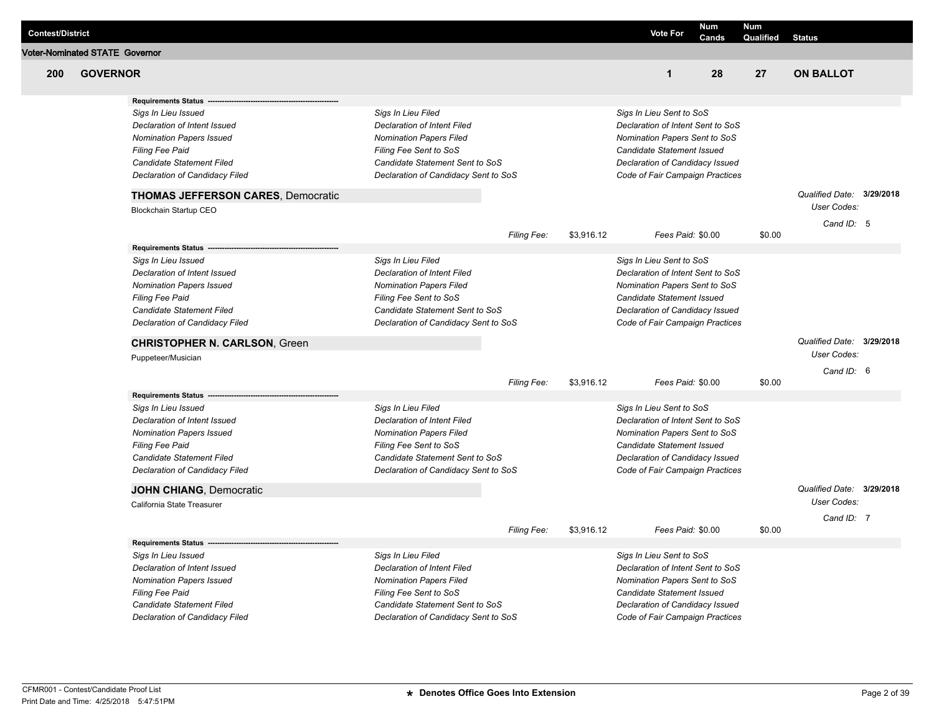| <b>Voter-Nominated STATE Governor</b><br>200<br><b>GOVERNOR</b><br>$\mathbf{1}$<br>28<br>27<br><b>ON BALLOT</b><br><b>Requirements Status</b><br>Sigs In Lieu Filed<br>Sigs In Lieu Sent to SoS<br>Sigs In Lieu Issued<br><b>Declaration of Intent Filed</b><br>Declaration of Intent Sent to SoS<br>Declaration of Intent Issued<br>Nomination Papers Filed<br>Nomination Papers Sent to SoS<br><b>Nomination Papers Issued</b><br><b>Filing Fee Paid</b><br>Filing Fee Sent to SoS<br>Candidate Statement Issued<br>Candidate Statement Filed<br>Candidate Statement Sent to SoS<br>Declaration of Candidacy Issued<br>Declaration of Candidacy Filed<br>Declaration of Candidacy Sent to SoS<br>Code of Fair Campaign Practices<br>Qualified Date: 3/29/2018<br><b>THOMAS JEFFERSON CARES, Democratic</b><br>User Codes:<br>Blockchain Startup CEO<br>Cand ID: 5<br>Filing Fee:<br>\$3,916.12<br>Fees Paid: \$0.00<br>\$0.00<br><b>Requirements Status</b><br>Sigs In Lieu Filed<br>Sigs In Lieu Sent to SoS<br>Sigs In Lieu Issued<br>Declaration of Intent Issued<br><b>Declaration of Intent Filed</b><br>Declaration of Intent Sent to SoS<br><b>Nomination Papers Issued</b><br><b>Nomination Papers Filed</b><br>Nomination Papers Sent to SoS<br><b>Filing Fee Paid</b><br>Filing Fee Sent to SoS<br>Candidate Statement Issued<br>Candidate Statement Sent to SoS<br>Declaration of Candidacy Issued<br>Candidate Statement Filed<br>Declaration of Candidacy Filed<br>Declaration of Candidacy Sent to SoS<br>Code of Fair Campaign Practices<br>Qualified Date: 3/29/2018<br><b>CHRISTOPHER N. CARLSON, Green</b><br>User Codes:<br>Puppeteer/Musician<br>Cand ID: 6<br>\$3,916.12<br>Fees Paid: \$0.00<br>\$0.00<br>Filing Fee:<br><b>Requirements Status</b><br>Sigs In Lieu Issued<br>Sigs In Lieu Filed<br>Sigs In Lieu Sent to SoS<br>Declaration of Intent Sent to SoS<br>Declaration of Intent Issued<br><b>Declaration of Intent Filed</b><br><b>Nomination Papers Filed</b><br>Nomination Papers Sent to SoS<br><b>Nomination Papers Issued</b><br>Candidate Statement Issued<br><b>Filing Fee Paid</b><br>Filing Fee Sent to SoS<br>Candidate Statement Filed<br>Candidate Statement Sent to SoS<br>Declaration of Candidacy Issued<br>Declaration of Candidacy Filed<br>Declaration of Candidacy Sent to SoS<br>Code of Fair Campaign Practices<br>Qualified Date: 3/29/2018<br><b>JOHN CHIANG, Democratic</b><br><b>User Codes:</b><br>California State Treasurer<br>Cand ID: 7<br>\$3,916.12<br>\$0.00<br>Fees Paid: \$0.00<br>Filing Fee:<br><b>Requirements Status</b><br>Sigs In Lieu Filed<br>Sigs In Lieu Sent to SoS<br>Sigs In Lieu Issued<br><b>Declaration of Intent Filed</b><br>Declaration of Intent Sent to SoS<br>Declaration of Intent Issued<br>Nomination Papers Sent to SoS<br><b>Nomination Papers Issued</b><br><b>Nomination Papers Filed</b><br>Candidate Statement Issued<br><b>Filing Fee Paid</b><br>Filing Fee Sent to SoS<br>Candidate Statement Sent to SoS<br>Candidate Statement Filed<br>Declaration of Candidacy Issued<br>Code of Fair Campaign Practices | <b>Contest/District</b> |                                |                                      | <b>Vote For</b> | <b>Num</b> | <b>Num</b> |               |  |
|----------------------------------------------------------------------------------------------------------------------------------------------------------------------------------------------------------------------------------------------------------------------------------------------------------------------------------------------------------------------------------------------------------------------------------------------------------------------------------------------------------------------------------------------------------------------------------------------------------------------------------------------------------------------------------------------------------------------------------------------------------------------------------------------------------------------------------------------------------------------------------------------------------------------------------------------------------------------------------------------------------------------------------------------------------------------------------------------------------------------------------------------------------------------------------------------------------------------------------------------------------------------------------------------------------------------------------------------------------------------------------------------------------------------------------------------------------------------------------------------------------------------------------------------------------------------------------------------------------------------------------------------------------------------------------------------------------------------------------------------------------------------------------------------------------------------------------------------------------------------------------------------------------------------------------------------------------------------------------------------------------------------------------------------------------------------------------------------------------------------------------------------------------------------------------------------------------------------------------------------------------------------------------------------------------------------------------------------------------------------------------------------------------------------------------------------------------------------------------------------------------------------------------------------------------------------------------------------------------------------------------------------------------------------------------------------------------------------------------------------------------------------------------------------------------------------------------------------------------------------------------------------------------------------------------------------------------------------------------------------------------------------------------------------------------------------------------------------------------------------|-------------------------|--------------------------------|--------------------------------------|-----------------|------------|------------|---------------|--|
|                                                                                                                                                                                                                                                                                                                                                                                                                                                                                                                                                                                                                                                                                                                                                                                                                                                                                                                                                                                                                                                                                                                                                                                                                                                                                                                                                                                                                                                                                                                                                                                                                                                                                                                                                                                                                                                                                                                                                                                                                                                                                                                                                                                                                                                                                                                                                                                                                                                                                                                                                                                                                                                                                                                                                                                                                                                                                                                                                                                                                                                                                                                      |                         |                                |                                      |                 | Cands      | Qualified  | <b>Status</b> |  |
|                                                                                                                                                                                                                                                                                                                                                                                                                                                                                                                                                                                                                                                                                                                                                                                                                                                                                                                                                                                                                                                                                                                                                                                                                                                                                                                                                                                                                                                                                                                                                                                                                                                                                                                                                                                                                                                                                                                                                                                                                                                                                                                                                                                                                                                                                                                                                                                                                                                                                                                                                                                                                                                                                                                                                                                                                                                                                                                                                                                                                                                                                                                      |                         |                                |                                      |                 |            |            |               |  |
|                                                                                                                                                                                                                                                                                                                                                                                                                                                                                                                                                                                                                                                                                                                                                                                                                                                                                                                                                                                                                                                                                                                                                                                                                                                                                                                                                                                                                                                                                                                                                                                                                                                                                                                                                                                                                                                                                                                                                                                                                                                                                                                                                                                                                                                                                                                                                                                                                                                                                                                                                                                                                                                                                                                                                                                                                                                                                                                                                                                                                                                                                                                      |                         |                                |                                      |                 |            |            |               |  |
|                                                                                                                                                                                                                                                                                                                                                                                                                                                                                                                                                                                                                                                                                                                                                                                                                                                                                                                                                                                                                                                                                                                                                                                                                                                                                                                                                                                                                                                                                                                                                                                                                                                                                                                                                                                                                                                                                                                                                                                                                                                                                                                                                                                                                                                                                                                                                                                                                                                                                                                                                                                                                                                                                                                                                                                                                                                                                                                                                                                                                                                                                                                      |                         |                                |                                      |                 |            |            |               |  |
|                                                                                                                                                                                                                                                                                                                                                                                                                                                                                                                                                                                                                                                                                                                                                                                                                                                                                                                                                                                                                                                                                                                                                                                                                                                                                                                                                                                                                                                                                                                                                                                                                                                                                                                                                                                                                                                                                                                                                                                                                                                                                                                                                                                                                                                                                                                                                                                                                                                                                                                                                                                                                                                                                                                                                                                                                                                                                                                                                                                                                                                                                                                      |                         |                                |                                      |                 |            |            |               |  |
|                                                                                                                                                                                                                                                                                                                                                                                                                                                                                                                                                                                                                                                                                                                                                                                                                                                                                                                                                                                                                                                                                                                                                                                                                                                                                                                                                                                                                                                                                                                                                                                                                                                                                                                                                                                                                                                                                                                                                                                                                                                                                                                                                                                                                                                                                                                                                                                                                                                                                                                                                                                                                                                                                                                                                                                                                                                                                                                                                                                                                                                                                                                      |                         |                                |                                      |                 |            |            |               |  |
|                                                                                                                                                                                                                                                                                                                                                                                                                                                                                                                                                                                                                                                                                                                                                                                                                                                                                                                                                                                                                                                                                                                                                                                                                                                                                                                                                                                                                                                                                                                                                                                                                                                                                                                                                                                                                                                                                                                                                                                                                                                                                                                                                                                                                                                                                                                                                                                                                                                                                                                                                                                                                                                                                                                                                                                                                                                                                                                                                                                                                                                                                                                      |                         |                                |                                      |                 |            |            |               |  |
|                                                                                                                                                                                                                                                                                                                                                                                                                                                                                                                                                                                                                                                                                                                                                                                                                                                                                                                                                                                                                                                                                                                                                                                                                                                                                                                                                                                                                                                                                                                                                                                                                                                                                                                                                                                                                                                                                                                                                                                                                                                                                                                                                                                                                                                                                                                                                                                                                                                                                                                                                                                                                                                                                                                                                                                                                                                                                                                                                                                                                                                                                                                      |                         |                                |                                      |                 |            |            |               |  |
|                                                                                                                                                                                                                                                                                                                                                                                                                                                                                                                                                                                                                                                                                                                                                                                                                                                                                                                                                                                                                                                                                                                                                                                                                                                                                                                                                                                                                                                                                                                                                                                                                                                                                                                                                                                                                                                                                                                                                                                                                                                                                                                                                                                                                                                                                                                                                                                                                                                                                                                                                                                                                                                                                                                                                                                                                                                                                                                                                                                                                                                                                                                      |                         |                                |                                      |                 |            |            |               |  |
|                                                                                                                                                                                                                                                                                                                                                                                                                                                                                                                                                                                                                                                                                                                                                                                                                                                                                                                                                                                                                                                                                                                                                                                                                                                                                                                                                                                                                                                                                                                                                                                                                                                                                                                                                                                                                                                                                                                                                                                                                                                                                                                                                                                                                                                                                                                                                                                                                                                                                                                                                                                                                                                                                                                                                                                                                                                                                                                                                                                                                                                                                                                      |                         |                                |                                      |                 |            |            |               |  |
|                                                                                                                                                                                                                                                                                                                                                                                                                                                                                                                                                                                                                                                                                                                                                                                                                                                                                                                                                                                                                                                                                                                                                                                                                                                                                                                                                                                                                                                                                                                                                                                                                                                                                                                                                                                                                                                                                                                                                                                                                                                                                                                                                                                                                                                                                                                                                                                                                                                                                                                                                                                                                                                                                                                                                                                                                                                                                                                                                                                                                                                                                                                      |                         |                                |                                      |                 |            |            |               |  |
|                                                                                                                                                                                                                                                                                                                                                                                                                                                                                                                                                                                                                                                                                                                                                                                                                                                                                                                                                                                                                                                                                                                                                                                                                                                                                                                                                                                                                                                                                                                                                                                                                                                                                                                                                                                                                                                                                                                                                                                                                                                                                                                                                                                                                                                                                                                                                                                                                                                                                                                                                                                                                                                                                                                                                                                                                                                                                                                                                                                                                                                                                                                      |                         |                                |                                      |                 |            |            |               |  |
|                                                                                                                                                                                                                                                                                                                                                                                                                                                                                                                                                                                                                                                                                                                                                                                                                                                                                                                                                                                                                                                                                                                                                                                                                                                                                                                                                                                                                                                                                                                                                                                                                                                                                                                                                                                                                                                                                                                                                                                                                                                                                                                                                                                                                                                                                                                                                                                                                                                                                                                                                                                                                                                                                                                                                                                                                                                                                                                                                                                                                                                                                                                      |                         |                                |                                      |                 |            |            |               |  |
|                                                                                                                                                                                                                                                                                                                                                                                                                                                                                                                                                                                                                                                                                                                                                                                                                                                                                                                                                                                                                                                                                                                                                                                                                                                                                                                                                                                                                                                                                                                                                                                                                                                                                                                                                                                                                                                                                                                                                                                                                                                                                                                                                                                                                                                                                                                                                                                                                                                                                                                                                                                                                                                                                                                                                                                                                                                                                                                                                                                                                                                                                                                      |                         |                                |                                      |                 |            |            |               |  |
|                                                                                                                                                                                                                                                                                                                                                                                                                                                                                                                                                                                                                                                                                                                                                                                                                                                                                                                                                                                                                                                                                                                                                                                                                                                                                                                                                                                                                                                                                                                                                                                                                                                                                                                                                                                                                                                                                                                                                                                                                                                                                                                                                                                                                                                                                                                                                                                                                                                                                                                                                                                                                                                                                                                                                                                                                                                                                                                                                                                                                                                                                                                      |                         |                                |                                      |                 |            |            |               |  |
|                                                                                                                                                                                                                                                                                                                                                                                                                                                                                                                                                                                                                                                                                                                                                                                                                                                                                                                                                                                                                                                                                                                                                                                                                                                                                                                                                                                                                                                                                                                                                                                                                                                                                                                                                                                                                                                                                                                                                                                                                                                                                                                                                                                                                                                                                                                                                                                                                                                                                                                                                                                                                                                                                                                                                                                                                                                                                                                                                                                                                                                                                                                      |                         |                                |                                      |                 |            |            |               |  |
|                                                                                                                                                                                                                                                                                                                                                                                                                                                                                                                                                                                                                                                                                                                                                                                                                                                                                                                                                                                                                                                                                                                                                                                                                                                                                                                                                                                                                                                                                                                                                                                                                                                                                                                                                                                                                                                                                                                                                                                                                                                                                                                                                                                                                                                                                                                                                                                                                                                                                                                                                                                                                                                                                                                                                                                                                                                                                                                                                                                                                                                                                                                      |                         |                                |                                      |                 |            |            |               |  |
|                                                                                                                                                                                                                                                                                                                                                                                                                                                                                                                                                                                                                                                                                                                                                                                                                                                                                                                                                                                                                                                                                                                                                                                                                                                                                                                                                                                                                                                                                                                                                                                                                                                                                                                                                                                                                                                                                                                                                                                                                                                                                                                                                                                                                                                                                                                                                                                                                                                                                                                                                                                                                                                                                                                                                                                                                                                                                                                                                                                                                                                                                                                      |                         |                                |                                      |                 |            |            |               |  |
|                                                                                                                                                                                                                                                                                                                                                                                                                                                                                                                                                                                                                                                                                                                                                                                                                                                                                                                                                                                                                                                                                                                                                                                                                                                                                                                                                                                                                                                                                                                                                                                                                                                                                                                                                                                                                                                                                                                                                                                                                                                                                                                                                                                                                                                                                                                                                                                                                                                                                                                                                                                                                                                                                                                                                                                                                                                                                                                                                                                                                                                                                                                      |                         |                                |                                      |                 |            |            |               |  |
|                                                                                                                                                                                                                                                                                                                                                                                                                                                                                                                                                                                                                                                                                                                                                                                                                                                                                                                                                                                                                                                                                                                                                                                                                                                                                                                                                                                                                                                                                                                                                                                                                                                                                                                                                                                                                                                                                                                                                                                                                                                                                                                                                                                                                                                                                                                                                                                                                                                                                                                                                                                                                                                                                                                                                                                                                                                                                                                                                                                                                                                                                                                      |                         |                                |                                      |                 |            |            |               |  |
|                                                                                                                                                                                                                                                                                                                                                                                                                                                                                                                                                                                                                                                                                                                                                                                                                                                                                                                                                                                                                                                                                                                                                                                                                                                                                                                                                                                                                                                                                                                                                                                                                                                                                                                                                                                                                                                                                                                                                                                                                                                                                                                                                                                                                                                                                                                                                                                                                                                                                                                                                                                                                                                                                                                                                                                                                                                                                                                                                                                                                                                                                                                      |                         |                                |                                      |                 |            |            |               |  |
|                                                                                                                                                                                                                                                                                                                                                                                                                                                                                                                                                                                                                                                                                                                                                                                                                                                                                                                                                                                                                                                                                                                                                                                                                                                                                                                                                                                                                                                                                                                                                                                                                                                                                                                                                                                                                                                                                                                                                                                                                                                                                                                                                                                                                                                                                                                                                                                                                                                                                                                                                                                                                                                                                                                                                                                                                                                                                                                                                                                                                                                                                                                      |                         |                                |                                      |                 |            |            |               |  |
|                                                                                                                                                                                                                                                                                                                                                                                                                                                                                                                                                                                                                                                                                                                                                                                                                                                                                                                                                                                                                                                                                                                                                                                                                                                                                                                                                                                                                                                                                                                                                                                                                                                                                                                                                                                                                                                                                                                                                                                                                                                                                                                                                                                                                                                                                                                                                                                                                                                                                                                                                                                                                                                                                                                                                                                                                                                                                                                                                                                                                                                                                                                      |                         |                                |                                      |                 |            |            |               |  |
|                                                                                                                                                                                                                                                                                                                                                                                                                                                                                                                                                                                                                                                                                                                                                                                                                                                                                                                                                                                                                                                                                                                                                                                                                                                                                                                                                                                                                                                                                                                                                                                                                                                                                                                                                                                                                                                                                                                                                                                                                                                                                                                                                                                                                                                                                                                                                                                                                                                                                                                                                                                                                                                                                                                                                                                                                                                                                                                                                                                                                                                                                                                      |                         |                                |                                      |                 |            |            |               |  |
|                                                                                                                                                                                                                                                                                                                                                                                                                                                                                                                                                                                                                                                                                                                                                                                                                                                                                                                                                                                                                                                                                                                                                                                                                                                                                                                                                                                                                                                                                                                                                                                                                                                                                                                                                                                                                                                                                                                                                                                                                                                                                                                                                                                                                                                                                                                                                                                                                                                                                                                                                                                                                                                                                                                                                                                                                                                                                                                                                                                                                                                                                                                      |                         |                                |                                      |                 |            |            |               |  |
|                                                                                                                                                                                                                                                                                                                                                                                                                                                                                                                                                                                                                                                                                                                                                                                                                                                                                                                                                                                                                                                                                                                                                                                                                                                                                                                                                                                                                                                                                                                                                                                                                                                                                                                                                                                                                                                                                                                                                                                                                                                                                                                                                                                                                                                                                                                                                                                                                                                                                                                                                                                                                                                                                                                                                                                                                                                                                                                                                                                                                                                                                                                      |                         |                                |                                      |                 |            |            |               |  |
|                                                                                                                                                                                                                                                                                                                                                                                                                                                                                                                                                                                                                                                                                                                                                                                                                                                                                                                                                                                                                                                                                                                                                                                                                                                                                                                                                                                                                                                                                                                                                                                                                                                                                                                                                                                                                                                                                                                                                                                                                                                                                                                                                                                                                                                                                                                                                                                                                                                                                                                                                                                                                                                                                                                                                                                                                                                                                                                                                                                                                                                                                                                      |                         |                                |                                      |                 |            |            |               |  |
|                                                                                                                                                                                                                                                                                                                                                                                                                                                                                                                                                                                                                                                                                                                                                                                                                                                                                                                                                                                                                                                                                                                                                                                                                                                                                                                                                                                                                                                                                                                                                                                                                                                                                                                                                                                                                                                                                                                                                                                                                                                                                                                                                                                                                                                                                                                                                                                                                                                                                                                                                                                                                                                                                                                                                                                                                                                                                                                                                                                                                                                                                                                      |                         |                                |                                      |                 |            |            |               |  |
|                                                                                                                                                                                                                                                                                                                                                                                                                                                                                                                                                                                                                                                                                                                                                                                                                                                                                                                                                                                                                                                                                                                                                                                                                                                                                                                                                                                                                                                                                                                                                                                                                                                                                                                                                                                                                                                                                                                                                                                                                                                                                                                                                                                                                                                                                                                                                                                                                                                                                                                                                                                                                                                                                                                                                                                                                                                                                                                                                                                                                                                                                                                      |                         |                                |                                      |                 |            |            |               |  |
|                                                                                                                                                                                                                                                                                                                                                                                                                                                                                                                                                                                                                                                                                                                                                                                                                                                                                                                                                                                                                                                                                                                                                                                                                                                                                                                                                                                                                                                                                                                                                                                                                                                                                                                                                                                                                                                                                                                                                                                                                                                                                                                                                                                                                                                                                                                                                                                                                                                                                                                                                                                                                                                                                                                                                                                                                                                                                                                                                                                                                                                                                                                      |                         |                                |                                      |                 |            |            |               |  |
|                                                                                                                                                                                                                                                                                                                                                                                                                                                                                                                                                                                                                                                                                                                                                                                                                                                                                                                                                                                                                                                                                                                                                                                                                                                                                                                                                                                                                                                                                                                                                                                                                                                                                                                                                                                                                                                                                                                                                                                                                                                                                                                                                                                                                                                                                                                                                                                                                                                                                                                                                                                                                                                                                                                                                                                                                                                                                                                                                                                                                                                                                                                      |                         |                                |                                      |                 |            |            |               |  |
|                                                                                                                                                                                                                                                                                                                                                                                                                                                                                                                                                                                                                                                                                                                                                                                                                                                                                                                                                                                                                                                                                                                                                                                                                                                                                                                                                                                                                                                                                                                                                                                                                                                                                                                                                                                                                                                                                                                                                                                                                                                                                                                                                                                                                                                                                                                                                                                                                                                                                                                                                                                                                                                                                                                                                                                                                                                                                                                                                                                                                                                                                                                      |                         |                                |                                      |                 |            |            |               |  |
|                                                                                                                                                                                                                                                                                                                                                                                                                                                                                                                                                                                                                                                                                                                                                                                                                                                                                                                                                                                                                                                                                                                                                                                                                                                                                                                                                                                                                                                                                                                                                                                                                                                                                                                                                                                                                                                                                                                                                                                                                                                                                                                                                                                                                                                                                                                                                                                                                                                                                                                                                                                                                                                                                                                                                                                                                                                                                                                                                                                                                                                                                                                      |                         |                                |                                      |                 |            |            |               |  |
|                                                                                                                                                                                                                                                                                                                                                                                                                                                                                                                                                                                                                                                                                                                                                                                                                                                                                                                                                                                                                                                                                                                                                                                                                                                                                                                                                                                                                                                                                                                                                                                                                                                                                                                                                                                                                                                                                                                                                                                                                                                                                                                                                                                                                                                                                                                                                                                                                                                                                                                                                                                                                                                                                                                                                                                                                                                                                                                                                                                                                                                                                                                      |                         |                                |                                      |                 |            |            |               |  |
|                                                                                                                                                                                                                                                                                                                                                                                                                                                                                                                                                                                                                                                                                                                                                                                                                                                                                                                                                                                                                                                                                                                                                                                                                                                                                                                                                                                                                                                                                                                                                                                                                                                                                                                                                                                                                                                                                                                                                                                                                                                                                                                                                                                                                                                                                                                                                                                                                                                                                                                                                                                                                                                                                                                                                                                                                                                                                                                                                                                                                                                                                                                      |                         |                                |                                      |                 |            |            |               |  |
|                                                                                                                                                                                                                                                                                                                                                                                                                                                                                                                                                                                                                                                                                                                                                                                                                                                                                                                                                                                                                                                                                                                                                                                                                                                                                                                                                                                                                                                                                                                                                                                                                                                                                                                                                                                                                                                                                                                                                                                                                                                                                                                                                                                                                                                                                                                                                                                                                                                                                                                                                                                                                                                                                                                                                                                                                                                                                                                                                                                                                                                                                                                      |                         |                                |                                      |                 |            |            |               |  |
|                                                                                                                                                                                                                                                                                                                                                                                                                                                                                                                                                                                                                                                                                                                                                                                                                                                                                                                                                                                                                                                                                                                                                                                                                                                                                                                                                                                                                                                                                                                                                                                                                                                                                                                                                                                                                                                                                                                                                                                                                                                                                                                                                                                                                                                                                                                                                                                                                                                                                                                                                                                                                                                                                                                                                                                                                                                                                                                                                                                                                                                                                                                      |                         |                                |                                      |                 |            |            |               |  |
|                                                                                                                                                                                                                                                                                                                                                                                                                                                                                                                                                                                                                                                                                                                                                                                                                                                                                                                                                                                                                                                                                                                                                                                                                                                                                                                                                                                                                                                                                                                                                                                                                                                                                                                                                                                                                                                                                                                                                                                                                                                                                                                                                                                                                                                                                                                                                                                                                                                                                                                                                                                                                                                                                                                                                                                                                                                                                                                                                                                                                                                                                                                      |                         |                                |                                      |                 |            |            |               |  |
|                                                                                                                                                                                                                                                                                                                                                                                                                                                                                                                                                                                                                                                                                                                                                                                                                                                                                                                                                                                                                                                                                                                                                                                                                                                                                                                                                                                                                                                                                                                                                                                                                                                                                                                                                                                                                                                                                                                                                                                                                                                                                                                                                                                                                                                                                                                                                                                                                                                                                                                                                                                                                                                                                                                                                                                                                                                                                                                                                                                                                                                                                                                      |                         |                                |                                      |                 |            |            |               |  |
|                                                                                                                                                                                                                                                                                                                                                                                                                                                                                                                                                                                                                                                                                                                                                                                                                                                                                                                                                                                                                                                                                                                                                                                                                                                                                                                                                                                                                                                                                                                                                                                                                                                                                                                                                                                                                                                                                                                                                                                                                                                                                                                                                                                                                                                                                                                                                                                                                                                                                                                                                                                                                                                                                                                                                                                                                                                                                                                                                                                                                                                                                                                      |                         |                                |                                      |                 |            |            |               |  |
|                                                                                                                                                                                                                                                                                                                                                                                                                                                                                                                                                                                                                                                                                                                                                                                                                                                                                                                                                                                                                                                                                                                                                                                                                                                                                                                                                                                                                                                                                                                                                                                                                                                                                                                                                                                                                                                                                                                                                                                                                                                                                                                                                                                                                                                                                                                                                                                                                                                                                                                                                                                                                                                                                                                                                                                                                                                                                                                                                                                                                                                                                                                      |                         |                                |                                      |                 |            |            |               |  |
|                                                                                                                                                                                                                                                                                                                                                                                                                                                                                                                                                                                                                                                                                                                                                                                                                                                                                                                                                                                                                                                                                                                                                                                                                                                                                                                                                                                                                                                                                                                                                                                                                                                                                                                                                                                                                                                                                                                                                                                                                                                                                                                                                                                                                                                                                                                                                                                                                                                                                                                                                                                                                                                                                                                                                                                                                                                                                                                                                                                                                                                                                                                      |                         | Declaration of Candidacy Filed | Declaration of Candidacy Sent to SoS |                 |            |            |               |  |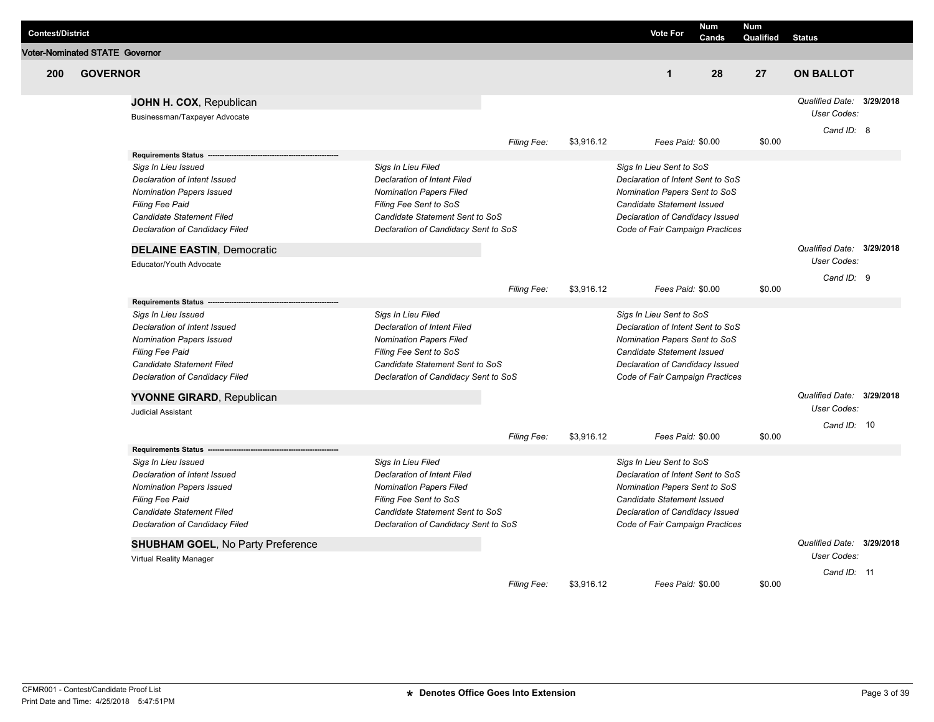| <b>Contest/District</b>               |                 |                                                                                                                                                                                                               |                                                                                                                                                                                                 |                    |            | <b>Vote For</b>                                                                                                                                                                                           | <b>Num</b><br>Cands | <b>Num</b><br>Qualified | <b>Status</b>                                          |  |
|---------------------------------------|-----------------|---------------------------------------------------------------------------------------------------------------------------------------------------------------------------------------------------------------|-------------------------------------------------------------------------------------------------------------------------------------------------------------------------------------------------|--------------------|------------|-----------------------------------------------------------------------------------------------------------------------------------------------------------------------------------------------------------|---------------------|-------------------------|--------------------------------------------------------|--|
| <b>Voter-Nominated STATE Governor</b> |                 |                                                                                                                                                                                                               |                                                                                                                                                                                                 |                    |            |                                                                                                                                                                                                           |                     |                         |                                                        |  |
| 200                                   | <b>GOVERNOR</b> |                                                                                                                                                                                                               |                                                                                                                                                                                                 |                    |            | $\mathbf{1}$                                                                                                                                                                                              | 28                  | 27                      | <b>ON BALLOT</b>                                       |  |
|                                       |                 | JOHN H. COX, Republican<br>Businessman/Taxpayer Advocate                                                                                                                                                      |                                                                                                                                                                                                 |                    |            |                                                                                                                                                                                                           |                     |                         | Qualified Date: 3/29/2018<br>User Codes:<br>Cand ID: 8 |  |
|                                       |                 |                                                                                                                                                                                                               |                                                                                                                                                                                                 | Filing Fee:        | \$3,916.12 | Fees Paid: \$0.00                                                                                                                                                                                         |                     | \$0.00                  |                                                        |  |
|                                       |                 | <b>Requirements Status</b><br>Sigs In Lieu Issued<br>Declaration of Intent Issued<br><b>Nomination Papers Issued</b><br>Filing Fee Paid<br>Candidate Statement Filed<br>Declaration of Candidacy Filed        | Sigs In Lieu Filed<br><b>Declaration of Intent Filed</b><br>Nomination Papers Filed<br>Filing Fee Sent to SoS<br>Candidate Statement Sent to SoS<br>Declaration of Candidacy Sent to SoS        |                    |            | Sigs In Lieu Sent to SoS<br>Declaration of Intent Sent to SoS<br>Nomination Papers Sent to SoS<br>Candidate Statement Issued<br>Declaration of Candidacy Issued<br>Code of Fair Campaign Practices        |                     |                         |                                                        |  |
|                                       |                 | <b>DELAINE EASTIN, Democratic</b><br>Educator/Youth Advocate                                                                                                                                                  |                                                                                                                                                                                                 |                    |            |                                                                                                                                                                                                           |                     |                         | Qualified Date: 3/29/2018<br>User Codes:               |  |
|                                       |                 |                                                                                                                                                                                                               |                                                                                                                                                                                                 | <b>Filing Fee:</b> | \$3,916.12 | Fees Paid: \$0.00                                                                                                                                                                                         |                     | \$0.00                  | Cand ID: 9                                             |  |
|                                       |                 | <b>Requirements Status</b><br>Sigs In Lieu Issued<br>Declaration of Intent Issued<br><b>Nomination Papers Issued</b><br><b>Filing Fee Paid</b><br>Candidate Statement Filed<br>Declaration of Candidacy Filed | Sigs In Lieu Filed<br><b>Declaration of Intent Filed</b><br><b>Nomination Papers Filed</b><br>Filing Fee Sent to SoS<br>Candidate Statement Sent to SoS<br>Declaration of Candidacy Sent to SoS |                    |            | Sigs In Lieu Sent to SoS<br>Declaration of Intent Sent to SoS<br>Nomination Papers Sent to SoS<br><b>Candidate Statement Issued</b><br>Declaration of Candidacy Issued<br>Code of Fair Campaign Practices |                     |                         |                                                        |  |
|                                       |                 | <b>YVONNE GIRARD, Republican</b><br><b>Judicial Assistant</b>                                                                                                                                                 |                                                                                                                                                                                                 |                    |            |                                                                                                                                                                                                           |                     |                         | Qualified Date: 3/29/2018<br>User Codes:               |  |
|                                       |                 |                                                                                                                                                                                                               |                                                                                                                                                                                                 | Filing Fee:        | \$3,916.12 | Fees Paid: \$0.00                                                                                                                                                                                         |                     | \$0.00                  | Cand ID: 10                                            |  |
|                                       |                 | <b>Requirements Status</b><br>Sigs In Lieu Issued<br>Declaration of Intent Issued<br><b>Nomination Papers Issued</b><br><b>Filing Fee Paid</b><br>Candidate Statement Filed<br>Declaration of Candidacy Filed | Sigs In Lieu Filed<br><b>Declaration of Intent Filed</b><br><b>Nomination Papers Filed</b><br>Filing Fee Sent to SoS<br>Candidate Statement Sent to SoS<br>Declaration of Candidacy Sent to SoS |                    |            | Sigs In Lieu Sent to SoS<br>Declaration of Intent Sent to SoS<br>Nomination Papers Sent to SoS<br>Candidate Statement Issued<br>Declaration of Candidacy Issued<br>Code of Fair Campaign Practices        |                     |                         |                                                        |  |
|                                       |                 | <b>SHUBHAM GOEL, No Party Preference</b><br>Virtual Reality Manager                                                                                                                                           |                                                                                                                                                                                                 |                    |            |                                                                                                                                                                                                           |                     |                         | Qualified Date: 3/29/2018<br>User Codes:               |  |
|                                       |                 |                                                                                                                                                                                                               |                                                                                                                                                                                                 | <b>Filing Fee:</b> | \$3,916.12 | Fees Paid: \$0.00                                                                                                                                                                                         |                     | \$0.00                  | Cand ID: 11                                            |  |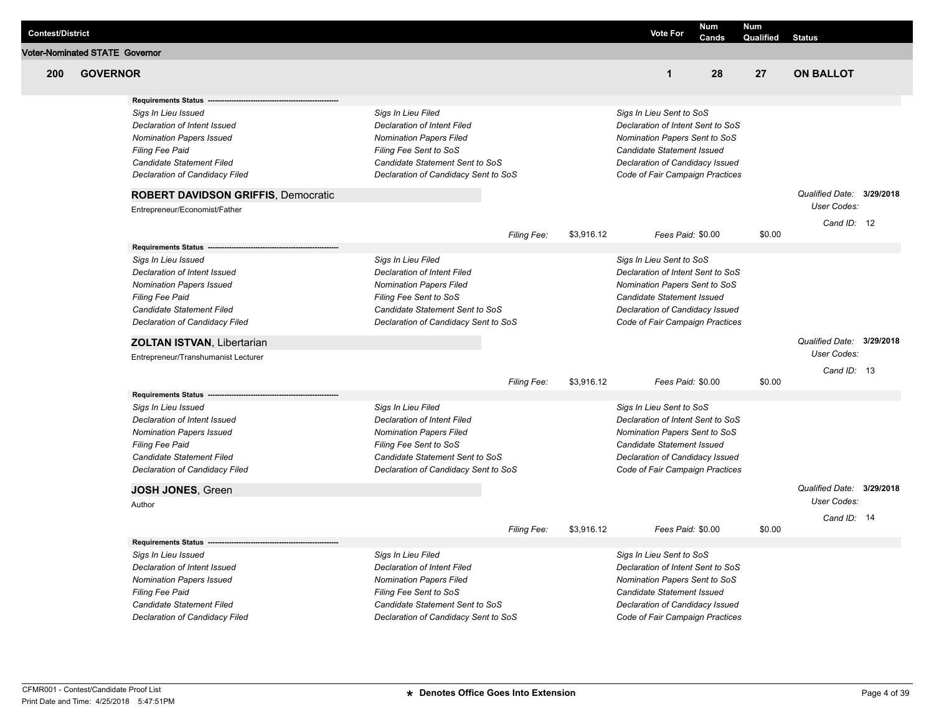|                         |                                       |                                            |                                      |             |            |                                   | <b>Num</b>        | <b>Num</b> |                           |  |
|-------------------------|---------------------------------------|--------------------------------------------|--------------------------------------|-------------|------------|-----------------------------------|-------------------|------------|---------------------------|--|
| <b>Contest/District</b> |                                       |                                            |                                      |             |            | <b>Vote For</b>                   | Cands             | Qualified  | <b>Status</b>             |  |
|                         | <b>Voter-Nominated STATE Governor</b> |                                            |                                      |             |            |                                   |                   |            |                           |  |
| 200                     | <b>GOVERNOR</b>                       |                                            |                                      |             |            | $\mathbf{1}$                      | 28                | 27         | <b>ON BALLOT</b>          |  |
|                         |                                       | <b>Requirements Status</b>                 |                                      |             |            |                                   |                   |            |                           |  |
|                         |                                       | Sigs In Lieu Issued                        | Sigs In Lieu Filed                   |             |            | Sigs In Lieu Sent to SoS          |                   |            |                           |  |
|                         |                                       | Declaration of Intent Issued               | Declaration of Intent Filed          |             |            | Declaration of Intent Sent to SoS |                   |            |                           |  |
|                         |                                       | <b>Nomination Papers Issued</b>            | <b>Nomination Papers Filed</b>       |             |            | Nomination Papers Sent to SoS     |                   |            |                           |  |
|                         |                                       | <b>Filing Fee Paid</b>                     | Filing Fee Sent to SoS               |             |            | Candidate Statement Issued        |                   |            |                           |  |
|                         |                                       | Candidate Statement Filed                  | Candidate Statement Sent to SoS      |             |            | Declaration of Candidacy Issued   |                   |            |                           |  |
|                         |                                       | Declaration of Candidacy Filed             | Declaration of Candidacy Sent to SoS |             |            | Code of Fair Campaign Practices   |                   |            |                           |  |
|                         |                                       | <b>ROBERT DAVIDSON GRIFFIS, Democratic</b> |                                      |             |            |                                   |                   |            | Qualified Date: 3/29/2018 |  |
|                         |                                       | Entrepreneur/Economist/Father              |                                      |             |            |                                   |                   |            | <b>User Codes:</b>        |  |
|                         |                                       |                                            |                                      | Filing Fee: | \$3,916.12 |                                   | Fees Paid: \$0.00 | \$0.00     | Cand ID: 12               |  |
|                         |                                       | <b>Requirements Status</b>                 |                                      |             |            |                                   |                   |            |                           |  |
|                         |                                       | Sigs In Lieu Issued                        | Sigs In Lieu Filed                   |             |            | Sigs In Lieu Sent to SoS          |                   |            |                           |  |
|                         |                                       | Declaration of Intent Issued               | Declaration of Intent Filed          |             |            | Declaration of Intent Sent to SoS |                   |            |                           |  |
|                         |                                       | <b>Nomination Papers Issued</b>            | <b>Nomination Papers Filed</b>       |             |            | Nomination Papers Sent to SoS     |                   |            |                           |  |
|                         |                                       | Filing Fee Paid                            | Filing Fee Sent to SoS               |             |            | Candidate Statement Issued        |                   |            |                           |  |
|                         |                                       | <b>Candidate Statement Filed</b>           | Candidate Statement Sent to SoS      |             |            | Declaration of Candidacy Issued   |                   |            |                           |  |
|                         |                                       | Declaration of Candidacy Filed             | Declaration of Candidacy Sent to SoS |             |            | Code of Fair Campaign Practices   |                   |            |                           |  |
|                         |                                       | <b>ZOLTAN ISTVAN, Libertarian</b>          |                                      |             |            |                                   |                   |            | Qualified Date: 3/29/2018 |  |
|                         |                                       | Entrepreneur/Transhumanist Lecturer        |                                      |             |            |                                   |                   |            | User Codes:               |  |
|                         |                                       |                                            |                                      | Filing Fee: | \$3,916.12 |                                   | Fees Paid: \$0.00 | \$0.00     | Cand ID: 13               |  |
|                         |                                       | <b>Requirements Status</b>                 |                                      |             |            |                                   |                   |            |                           |  |
|                         |                                       | Sigs In Lieu Issued                        | Sigs In Lieu Filed                   |             |            | Sigs In Lieu Sent to SoS          |                   |            |                           |  |
|                         |                                       | Declaration of Intent Issued               | Declaration of Intent Filed          |             |            | Declaration of Intent Sent to SoS |                   |            |                           |  |
|                         |                                       | <b>Nomination Papers Issued</b>            | <b>Nomination Papers Filed</b>       |             |            | Nomination Papers Sent to SoS     |                   |            |                           |  |
|                         |                                       | Filing Fee Paid                            | Filing Fee Sent to SoS               |             |            | Candidate Statement Issued        |                   |            |                           |  |
|                         |                                       | <b>Candidate Statement Filed</b>           | Candidate Statement Sent to SoS      |             |            | Declaration of Candidacy Issued   |                   |            |                           |  |
|                         |                                       | Declaration of Candidacy Filed             | Declaration of Candidacy Sent to SoS |             |            | Code of Fair Campaign Practices   |                   |            |                           |  |
|                         |                                       | JOSH JONES, Green                          |                                      |             |            |                                   |                   |            | Qualified Date: 3/29/2018 |  |
|                         |                                       | Author                                     |                                      |             |            |                                   |                   |            | User Codes:               |  |
|                         |                                       |                                            |                                      |             |            |                                   |                   |            | Cand ID: 14               |  |
|                         |                                       | <b>Requirements Status</b>                 |                                      | Filing Fee: | \$3,916.12 |                                   | Fees Paid: \$0.00 | \$0.00     |                           |  |
|                         |                                       | Sigs In Lieu Issued                        | Sigs In Lieu Filed                   |             |            | Sigs In Lieu Sent to SoS          |                   |            |                           |  |
|                         |                                       | Declaration of Intent Issued               | <b>Declaration of Intent Filed</b>   |             |            | Declaration of Intent Sent to SoS |                   |            |                           |  |
|                         |                                       | <b>Nomination Papers Issued</b>            | <b>Nomination Papers Filed</b>       |             |            | Nomination Papers Sent to SoS     |                   |            |                           |  |
|                         |                                       | Filing Fee Paid                            | Filing Fee Sent to SoS               |             |            | Candidate Statement Issued        |                   |            |                           |  |
|                         |                                       | Candidate Statement Filed                  | Candidate Statement Sent to SoS      |             |            | Declaration of Candidacy Issued   |                   |            |                           |  |
|                         |                                       | Declaration of Candidacy Filed             | Declaration of Candidacy Sent to SoS |             |            | Code of Fair Campaign Practices   |                   |            |                           |  |
|                         |                                       |                                            |                                      |             |            |                                   |                   |            |                           |  |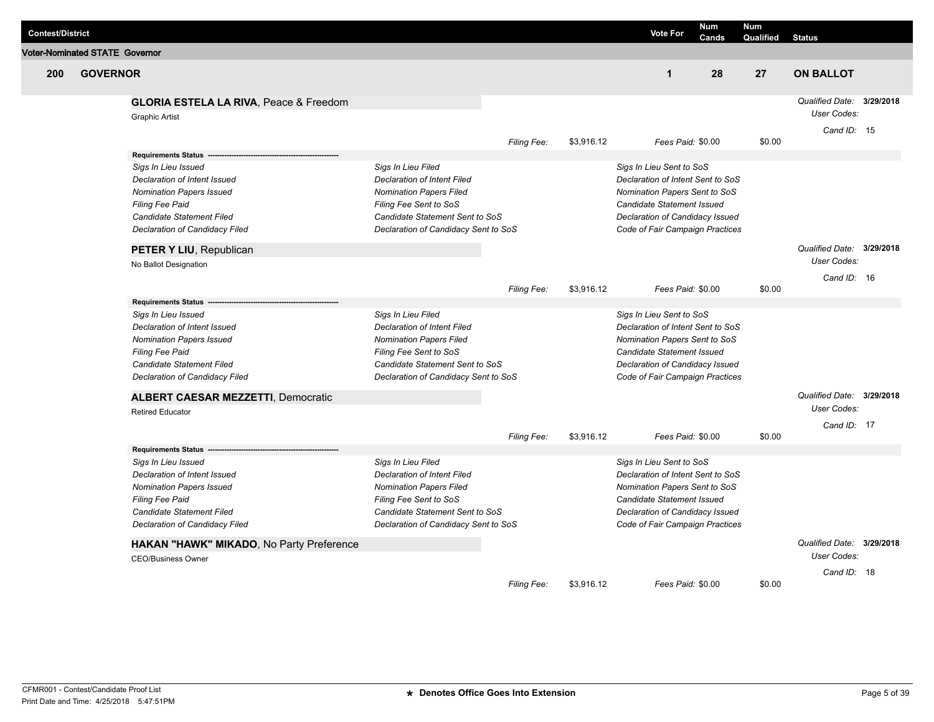| <b>Contest/District</b> |                                       |                                                                            |                                                           |                    |            | <b>Vote For</b>                                                    | <b>Num</b><br>Cands | <b>Num</b><br>Qualified | <b>Status</b>                                   |           |
|-------------------------|---------------------------------------|----------------------------------------------------------------------------|-----------------------------------------------------------|--------------------|------------|--------------------------------------------------------------------|---------------------|-------------------------|-------------------------------------------------|-----------|
|                         | <b>Voter-Nominated STATE Governor</b> |                                                                            |                                                           |                    |            |                                                                    |                     |                         |                                                 |           |
| 200                     | <b>GOVERNOR</b>                       |                                                                            |                                                           |                    |            | $\mathbf 1$                                                        | 28                  | 27                      | <b>ON BALLOT</b>                                |           |
|                         |                                       | <b>GLORIA ESTELA LA RIVA, Peace &amp; Freedom</b><br><b>Graphic Artist</b> |                                                           |                    |            |                                                                    |                     |                         | Qualified Date: 3/29/2018<br>User Codes:        |           |
|                         |                                       |                                                                            |                                                           | Filing Fee:        | \$3,916.12 | Fees Paid: \$0.00                                                  |                     | \$0.00                  | Cand ID: 15                                     |           |
|                         |                                       | <b>Requirements Status</b>                                                 |                                                           |                    |            |                                                                    |                     |                         |                                                 |           |
|                         |                                       | Sigs In Lieu Issued                                                        | Sigs In Lieu Filed                                        |                    |            | Sigs In Lieu Sent to SoS                                           |                     |                         |                                                 |           |
|                         |                                       | Declaration of Intent Issued                                               | Declaration of Intent Filed                               |                    |            | Declaration of Intent Sent to SoS                                  |                     |                         |                                                 |           |
|                         |                                       | <b>Nomination Papers Issued</b>                                            | <b>Nomination Papers Filed</b>                            |                    |            | Nomination Papers Sent to SoS                                      |                     |                         |                                                 |           |
|                         |                                       | <b>Filing Fee Paid</b>                                                     | Filing Fee Sent to SoS                                    |                    |            | Candidate Statement Issued                                         |                     |                         |                                                 |           |
|                         |                                       | Candidate Statement Filed                                                  | Candidate Statement Sent to SoS                           |                    |            | Declaration of Candidacy Issued                                    |                     |                         |                                                 |           |
|                         |                                       | Declaration of Candidacy Filed                                             | Declaration of Candidacy Sent to SoS                      |                    |            | Code of Fair Campaign Practices                                    |                     |                         |                                                 |           |
|                         |                                       | PETER Y LIU, Republican                                                    |                                                           |                    |            |                                                                    |                     |                         | Qualified Date: 3/29/2018<br><b>User Codes:</b> |           |
|                         |                                       | No Ballot Designation                                                      |                                                           |                    |            |                                                                    |                     |                         |                                                 |           |
|                         |                                       |                                                                            |                                                           |                    | \$3,916.12 | Fees Paid: \$0.00                                                  |                     | \$0.00                  | Cand ID: 16                                     |           |
|                         |                                       | <b>Requirements Status</b>                                                 |                                                           | Filing Fee:        |            |                                                                    |                     |                         |                                                 |           |
|                         |                                       | Sigs In Lieu Issued                                                        | Sigs In Lieu Filed                                        |                    |            | Sigs In Lieu Sent to SoS                                           |                     |                         |                                                 |           |
|                         |                                       | Declaration of Intent Issued                                               | <b>Declaration of Intent Filed</b>                        |                    |            | Declaration of Intent Sent to SoS                                  |                     |                         |                                                 |           |
|                         |                                       | <b>Nomination Papers Issued</b>                                            | <b>Nomination Papers Filed</b>                            |                    |            | Nomination Papers Sent to SoS                                      |                     |                         |                                                 |           |
|                         |                                       | <b>Filing Fee Paid</b>                                                     | Filing Fee Sent to SoS                                    |                    |            | <b>Candidate Statement Issued</b>                                  |                     |                         |                                                 |           |
|                         |                                       | Candidate Statement Filed                                                  | Candidate Statement Sent to SoS                           |                    |            | Declaration of Candidacy Issued                                    |                     |                         |                                                 |           |
|                         |                                       | Declaration of Candidacy Filed                                             | Declaration of Candidacy Sent to SoS                      |                    |            | Code of Fair Campaign Practices                                    |                     |                         |                                                 |           |
|                         |                                       | <b>ALBERT CAESAR MEZZETTI, Democratic</b>                                  |                                                           |                    |            |                                                                    |                     |                         | Qualified Date: 3/29/2018                       |           |
|                         |                                       | <b>Retired Educator</b>                                                    |                                                           |                    |            |                                                                    |                     |                         | User Codes:                                     |           |
|                         |                                       |                                                                            |                                                           |                    |            |                                                                    |                     |                         | Cand ID: 17                                     |           |
|                         |                                       |                                                                            |                                                           | Filing Fee:        | \$3,916.12 | Fees Paid: \$0.00                                                  |                     | \$0.00                  |                                                 |           |
|                         |                                       | <b>Requirements Status</b>                                                 |                                                           |                    |            |                                                                    |                     |                         |                                                 |           |
|                         |                                       | Sigs In Lieu Issued                                                        | Sigs In Lieu Filed                                        |                    |            | Sigs In Lieu Sent to SoS                                           |                     |                         |                                                 |           |
|                         |                                       | Declaration of Intent Issued                                               | Declaration of Intent Filed                               |                    |            | Declaration of Intent Sent to SoS                                  |                     |                         |                                                 |           |
|                         |                                       | <b>Nomination Papers Issued</b>                                            | <b>Nomination Papers Filed</b>                            |                    |            | Nomination Papers Sent to SoS                                      |                     |                         |                                                 |           |
|                         |                                       | <b>Filing Fee Paid</b><br>Candidate Statement Filed                        | Filing Fee Sent to SoS<br>Candidate Statement Sent to SoS |                    |            | Candidate Statement Issued                                         |                     |                         |                                                 |           |
|                         |                                       | Declaration of Candidacy Filed                                             | Declaration of Candidacy Sent to SoS                      |                    |            | Declaration of Candidacy Issued<br>Code of Fair Campaign Practices |                     |                         |                                                 |           |
|                         |                                       |                                                                            |                                                           |                    |            |                                                                    |                     |                         |                                                 |           |
|                         |                                       | HAKAN "HAWK" MIKADO, No Party Preference                                   |                                                           |                    |            |                                                                    |                     |                         | Qualified Date:                                 | 3/29/2018 |
|                         |                                       | <b>CEO/Business Owner</b>                                                  |                                                           |                    |            |                                                                    |                     |                         | User Codes:                                     |           |
|                         |                                       |                                                                            |                                                           |                    |            |                                                                    |                     |                         | Cand ID: 18                                     |           |
|                         |                                       |                                                                            |                                                           | <b>Filing Fee:</b> | \$3,916.12 | Fees Paid: \$0.00                                                  |                     | \$0.00                  |                                                 |           |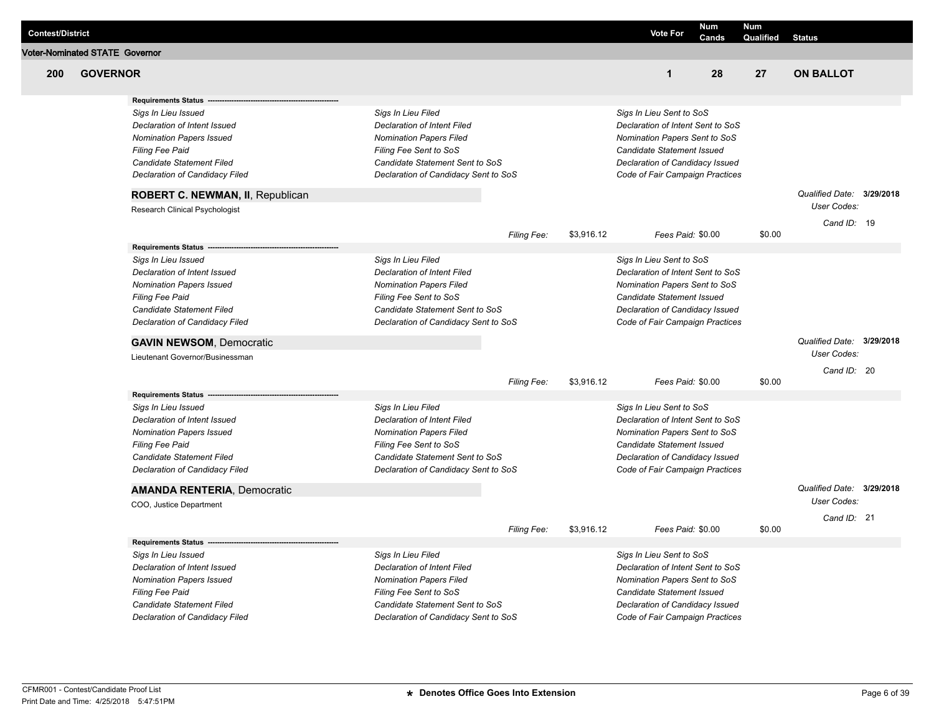| <b>Contest/District</b> |                                |                                                                           |                                                           |             |            | <b>Vote For</b>                                               |                   | <b>Num</b><br>Cands | <b>Num</b><br>Qualified | <b>Status</b>                                   |  |
|-------------------------|--------------------------------|---------------------------------------------------------------------------|-----------------------------------------------------------|-------------|------------|---------------------------------------------------------------|-------------------|---------------------|-------------------------|-------------------------------------------------|--|
|                         | Voter-Nominated STATE Governor |                                                                           |                                                           |             |            |                                                               |                   |                     |                         |                                                 |  |
| 200                     | <b>GOVERNOR</b>                |                                                                           |                                                           |             |            |                                                               | $\mathbf{1}$      | 28                  | 27                      | <b>ON BALLOT</b>                                |  |
|                         |                                | <b>Requirements Status</b>                                                |                                                           |             |            |                                                               |                   |                     |                         |                                                 |  |
|                         |                                | Sigs In Lieu Issued                                                       | Sigs In Lieu Filed                                        |             |            | Sigs In Lieu Sent to SoS                                      |                   |                     |                         |                                                 |  |
|                         |                                | Declaration of Intent Issued                                              | Declaration of Intent Filed                               |             |            | Declaration of Intent Sent to SoS                             |                   |                     |                         |                                                 |  |
|                         |                                | <b>Nomination Papers Issued</b>                                           | <b>Nomination Papers Filed</b>                            |             |            | Nomination Papers Sent to SoS                                 |                   |                     |                         |                                                 |  |
|                         |                                | <b>Filing Fee Paid</b><br>Candidate Statement Filed                       | Filing Fee Sent to SoS<br>Candidate Statement Sent to SoS |             |            | Candidate Statement Issued<br>Declaration of Candidacy Issued |                   |                     |                         |                                                 |  |
|                         |                                | Declaration of Candidacy Filed                                            | Declaration of Candidacy Sent to SoS                      |             |            | Code of Fair Campaign Practices                               |                   |                     |                         |                                                 |  |
|                         |                                |                                                                           |                                                           |             |            |                                                               |                   |                     |                         |                                                 |  |
|                         |                                | <b>ROBERT C. NEWMAN, II, Republican</b><br>Research Clinical Psychologist |                                                           |             |            |                                                               |                   |                     |                         | Qualified Date: 3/29/2018<br><b>User Codes:</b> |  |
|                         |                                |                                                                           |                                                           |             |            |                                                               |                   |                     |                         | Cand ID: 19                                     |  |
|                         |                                |                                                                           |                                                           | Filing Fee: | \$3,916.12 |                                                               | Fees Paid: \$0.00 |                     | \$0.00                  |                                                 |  |
|                         |                                | <b>Requirements Status</b>                                                |                                                           |             |            |                                                               |                   |                     |                         |                                                 |  |
|                         |                                | Sigs In Lieu Issued                                                       | Sigs In Lieu Filed                                        |             |            | Sigs In Lieu Sent to SoS                                      |                   |                     |                         |                                                 |  |
|                         |                                | Declaration of Intent Issued                                              | Declaration of Intent Filed                               |             |            | Declaration of Intent Sent to SoS                             |                   |                     |                         |                                                 |  |
|                         |                                | <b>Nomination Papers Issued</b>                                           | <b>Nomination Papers Filed</b>                            |             |            | Nomination Papers Sent to SoS                                 |                   |                     |                         |                                                 |  |
|                         |                                | <b>Filing Fee Paid</b>                                                    | Filing Fee Sent to SoS                                    |             |            | Candidate Statement Issued                                    |                   |                     |                         |                                                 |  |
|                         |                                | Candidate Statement Filed                                                 | Candidate Statement Sent to SoS                           |             |            | Declaration of Candidacy Issued                               |                   |                     |                         |                                                 |  |
|                         |                                | Declaration of Candidacy Filed                                            | Declaration of Candidacy Sent to SoS                      |             |            | Code of Fair Campaign Practices                               |                   |                     |                         |                                                 |  |
|                         |                                | <b>GAVIN NEWSOM, Democratic</b>                                           |                                                           |             |            |                                                               |                   |                     |                         | Qualified Date: 3/29/2018                       |  |
|                         |                                | Lieutenant Governor/Businessman                                           |                                                           |             |            |                                                               |                   |                     |                         | <b>User Codes:</b>                              |  |
|                         |                                |                                                                           |                                                           |             | \$3,916.12 |                                                               | Fees Paid: \$0.00 |                     | \$0.00                  | Cand ID: 20                                     |  |
|                         |                                | <b>Requirements Status</b>                                                |                                                           | Filing Fee: |            |                                                               |                   |                     |                         |                                                 |  |
|                         |                                | Sigs In Lieu Issued                                                       | Sigs In Lieu Filed                                        |             |            | Sigs In Lieu Sent to SoS                                      |                   |                     |                         |                                                 |  |
|                         |                                | Declaration of Intent Issued                                              | Declaration of Intent Filed                               |             |            | Declaration of Intent Sent to SoS                             |                   |                     |                         |                                                 |  |
|                         |                                | <b>Nomination Papers Issued</b>                                           | <b>Nomination Papers Filed</b>                            |             |            | Nomination Papers Sent to SoS                                 |                   |                     |                         |                                                 |  |
|                         |                                | <b>Filing Fee Paid</b>                                                    | Filing Fee Sent to SoS                                    |             |            | Candidate Statement Issued                                    |                   |                     |                         |                                                 |  |
|                         |                                | Candidate Statement Filed                                                 | Candidate Statement Sent to SoS                           |             |            | Declaration of Candidacy Issued                               |                   |                     |                         |                                                 |  |
|                         |                                | Declaration of Candidacy Filed                                            | Declaration of Candidacy Sent to SoS                      |             |            | Code of Fair Campaign Practices                               |                   |                     |                         |                                                 |  |
|                         |                                | <b>AMANDA RENTERIA, Democratic</b>                                        |                                                           |             |            |                                                               |                   |                     |                         | Qualified Date: 3/29/2018                       |  |
|                         |                                | COO, Justice Department                                                   |                                                           |             |            |                                                               |                   |                     |                         | <b>User Codes:</b>                              |  |
|                         |                                |                                                                           |                                                           | Filing Fee: | \$3,916.12 |                                                               | Fees Paid: \$0.00 |                     | \$0.00                  | Cand ID: 21                                     |  |
|                         |                                | <b>Requirements Status</b>                                                |                                                           |             |            |                                                               |                   |                     |                         |                                                 |  |
|                         |                                | Sigs In Lieu Issued                                                       | Sigs In Lieu Filed                                        |             |            | Sigs In Lieu Sent to SoS                                      |                   |                     |                         |                                                 |  |
|                         |                                | Declaration of Intent Issued                                              | Declaration of Intent Filed                               |             |            | Declaration of Intent Sent to SoS                             |                   |                     |                         |                                                 |  |
|                         |                                | <b>Nomination Papers Issued</b>                                           | <b>Nomination Papers Filed</b>                            |             |            | Nomination Papers Sent to SoS                                 |                   |                     |                         |                                                 |  |
|                         |                                | <b>Filing Fee Paid</b>                                                    | Filing Fee Sent to SoS                                    |             |            | Candidate Statement Issued                                    |                   |                     |                         |                                                 |  |
|                         |                                | Candidate Statement Filed                                                 | Candidate Statement Sent to SoS                           |             |            | Declaration of Candidacy Issued                               |                   |                     |                         |                                                 |  |
|                         |                                | Declaration of Candidacy Filed                                            | Declaration of Candidacy Sent to SoS                      |             |            | Code of Fair Campaign Practices                               |                   |                     |                         |                                                 |  |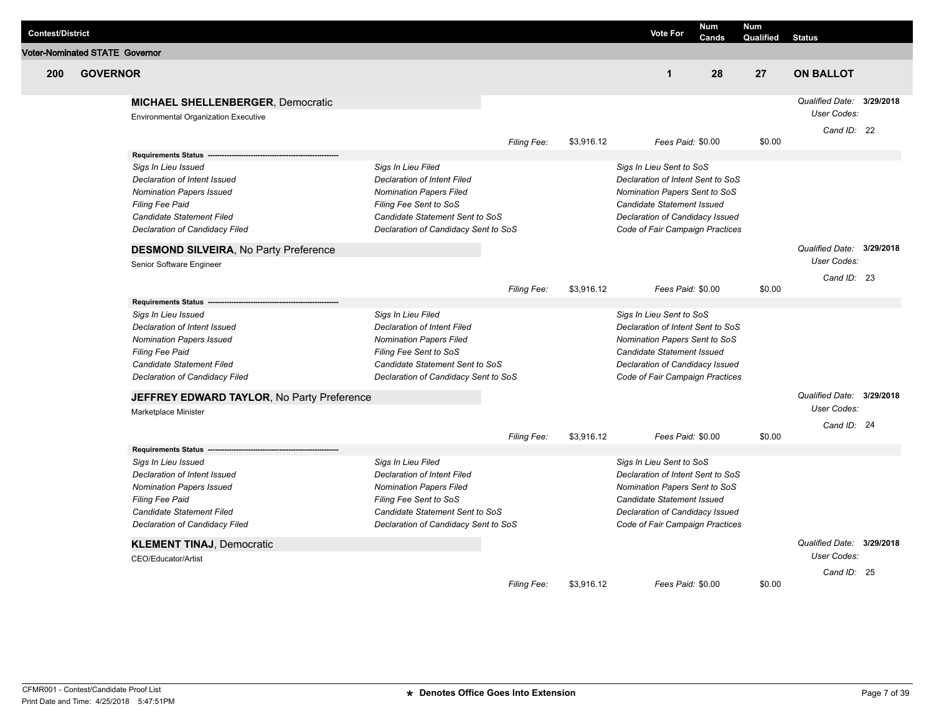| <b>Contest/District</b> |                                       |                                              |                                      |             |            | <b>Vote For</b>                   | <b>Num</b><br>Cands | <b>Num</b><br>Qualified | <b>Status</b>                            |  |
|-------------------------|---------------------------------------|----------------------------------------------|--------------------------------------|-------------|------------|-----------------------------------|---------------------|-------------------------|------------------------------------------|--|
|                         | <b>Voter-Nominated STATE Governor</b> |                                              |                                      |             |            |                                   |                     |                         |                                          |  |
| 200                     | <b>GOVERNOR</b>                       |                                              |                                      |             |            | $\mathbf 1$                       | 28                  | 27                      | <b>ON BALLOT</b>                         |  |
|                         |                                       |                                              |                                      |             |            |                                   |                     |                         |                                          |  |
|                         |                                       | <b>MICHAEL SHELLENBERGER, Democratic</b>     |                                      |             |            |                                   |                     |                         | Qualified Date: 3/29/2018                |  |
|                         |                                       | <b>Environmental Organization Executive</b>  |                                      |             |            |                                   |                     |                         | User Codes:                              |  |
|                         |                                       |                                              |                                      | Filing Fee: | \$3,916.12 | Fees Paid: \$0.00                 |                     | \$0.00                  | Cand ID: 22                              |  |
|                         |                                       | <b>Requirements Status</b>                   |                                      |             |            |                                   |                     |                         |                                          |  |
|                         |                                       | Sigs In Lieu Issued                          | Sigs In Lieu Filed                   |             |            | Sigs In Lieu Sent to SoS          |                     |                         |                                          |  |
|                         |                                       | Declaration of Intent Issued                 | <b>Declaration of Intent Filed</b>   |             |            | Declaration of Intent Sent to SoS |                     |                         |                                          |  |
|                         |                                       | <b>Nomination Papers Issued</b>              | <b>Nomination Papers Filed</b>       |             |            | Nomination Papers Sent to SoS     |                     |                         |                                          |  |
|                         |                                       | <b>Filing Fee Paid</b>                       | Filing Fee Sent to SoS               |             |            | Candidate Statement Issued        |                     |                         |                                          |  |
|                         |                                       | Candidate Statement Filed                    | Candidate Statement Sent to SoS      |             |            | Declaration of Candidacy Issued   |                     |                         |                                          |  |
|                         |                                       | Declaration of Candidacy Filed               | Declaration of Candidacy Sent to SoS |             |            | Code of Fair Campaign Practices   |                     |                         |                                          |  |
|                         |                                       | <b>DESMOND SILVEIRA, No Party Preference</b> |                                      |             |            |                                   |                     |                         | Qualified Date: 3/29/2018                |  |
|                         |                                       | Senior Software Engineer                     |                                      |             |            |                                   |                     |                         | <b>User Codes:</b>                       |  |
|                         |                                       |                                              |                                      |             |            |                                   |                     |                         | Cand ID: 23                              |  |
|                         |                                       |                                              |                                      | Filing Fee: | \$3,916.12 | Fees Paid: \$0.00                 |                     | \$0.00                  |                                          |  |
|                         |                                       | <b>Requirements Status</b>                   |                                      |             |            |                                   |                     |                         |                                          |  |
|                         |                                       | Sigs In Lieu Issued                          | Sigs In Lieu Filed                   |             |            | Sigs In Lieu Sent to SoS          |                     |                         |                                          |  |
|                         |                                       | Declaration of Intent Issued                 | Declaration of Intent Filed          |             |            | Declaration of Intent Sent to SoS |                     |                         |                                          |  |
|                         |                                       | <b>Nomination Papers Issued</b>              | <b>Nomination Papers Filed</b>       |             |            | Nomination Papers Sent to SoS     |                     |                         |                                          |  |
|                         |                                       | <b>Filing Fee Paid</b>                       | Filing Fee Sent to SoS               |             |            | Candidate Statement Issued        |                     |                         |                                          |  |
|                         |                                       | Candidate Statement Filed                    | Candidate Statement Sent to SoS      |             |            | Declaration of Candidacy Issued   |                     |                         |                                          |  |
|                         |                                       | Declaration of Candidacy Filed               | Declaration of Candidacy Sent to SoS |             |            | Code of Fair Campaign Practices   |                     |                         |                                          |  |
|                         |                                       | JEFFREY EDWARD TAYLOR, No Party Preference   |                                      |             |            |                                   |                     |                         | Qualified Date: 3/29/2018<br>User Codes: |  |
|                         |                                       | Marketplace Minister                         |                                      |             |            |                                   |                     |                         | Cand ID: 24                              |  |
|                         |                                       |                                              |                                      | Filing Fee: | \$3,916.12 | Fees Paid: \$0.00                 |                     | \$0.00                  |                                          |  |
|                         |                                       | <b>Requirements Status</b>                   |                                      |             |            |                                   |                     |                         |                                          |  |
|                         |                                       | Sigs In Lieu Issued                          | Sigs In Lieu Filed                   |             |            | Sigs In Lieu Sent to SoS          |                     |                         |                                          |  |
|                         |                                       | Declaration of Intent Issued                 | Declaration of Intent Filed          |             |            | Declaration of Intent Sent to SoS |                     |                         |                                          |  |
|                         |                                       | <b>Nomination Papers Issued</b>              | <b>Nomination Papers Filed</b>       |             |            | Nomination Papers Sent to SoS     |                     |                         |                                          |  |
|                         |                                       | <b>Filing Fee Paid</b>                       | Filing Fee Sent to SoS               |             |            | Candidate Statement Issued        |                     |                         |                                          |  |
|                         |                                       | Candidate Statement Filed                    | Candidate Statement Sent to SoS      |             |            | Declaration of Candidacy Issued   |                     |                         |                                          |  |
|                         |                                       | Declaration of Candidacy Filed               | Declaration of Candidacy Sent to SoS |             |            | Code of Fair Campaign Practices   |                     |                         |                                          |  |
|                         |                                       | <b>KLEMENT TINAJ, Democratic</b>             |                                      |             |            |                                   |                     |                         | Qualified Date: 3/29/2018                |  |
|                         |                                       | CEO/Educator/Artist                          |                                      |             |            |                                   |                     |                         | User Codes:                              |  |
|                         |                                       |                                              |                                      |             |            |                                   |                     |                         | Cand ID: 25                              |  |
|                         |                                       |                                              |                                      | Filing Fee: | \$3,916.12 | Fees Paid: \$0.00                 |                     | \$0.00                  |                                          |  |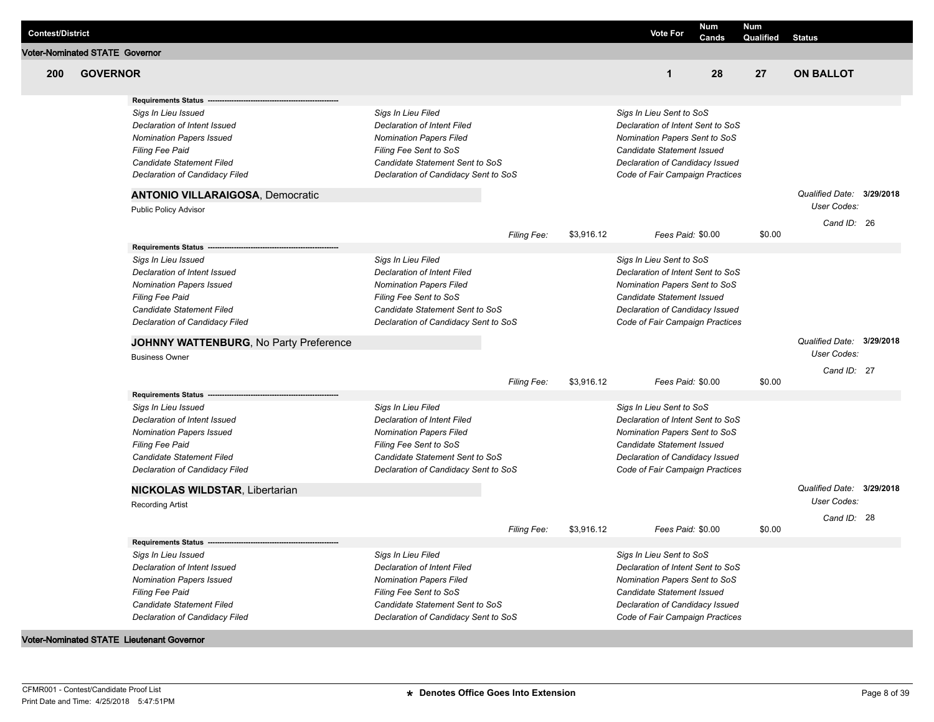| <b>Contest/District</b>               |                 |                                                    |                                      |                    |            | <b>Vote For</b>                                                    | <b>Num</b><br>Cands | Num<br>Qualified | <b>Status</b>                            |  |
|---------------------------------------|-----------------|----------------------------------------------------|--------------------------------------|--------------------|------------|--------------------------------------------------------------------|---------------------|------------------|------------------------------------------|--|
| <b>Voter-Nominated STATE Governor</b> |                 |                                                    |                                      |                    |            |                                                                    |                     |                  |                                          |  |
| 200                                   | <b>GOVERNOR</b> |                                                    |                                      |                    |            | $\mathbf 1$                                                        | 28                  | 27               | <b>ON BALLOT</b>                         |  |
|                                       |                 | <b>Requirements Status</b>                         |                                      |                    |            |                                                                    |                     |                  |                                          |  |
|                                       |                 | Sigs In Lieu Issued                                | Sigs In Lieu Filed                   |                    |            | Sigs In Lieu Sent to SoS                                           |                     |                  |                                          |  |
|                                       |                 | Declaration of Intent Issued                       | <b>Declaration of Intent Filed</b>   |                    |            | Declaration of Intent Sent to SoS                                  |                     |                  |                                          |  |
|                                       |                 | <b>Nomination Papers Issued</b>                    | <b>Nomination Papers Filed</b>       |                    |            | Nomination Papers Sent to SoS                                      |                     |                  |                                          |  |
|                                       |                 | <b>Filing Fee Paid</b>                             | Filing Fee Sent to SoS               |                    |            | Candidate Statement Issued                                         |                     |                  |                                          |  |
|                                       |                 | Candidate Statement Filed                          | Candidate Statement Sent to SoS      |                    |            | Declaration of Candidacy Issued                                    |                     |                  |                                          |  |
|                                       |                 | Declaration of Candidacy Filed                     | Declaration of Candidacy Sent to SoS |                    |            | Code of Fair Campaign Practices                                    |                     |                  |                                          |  |
|                                       |                 | <b>ANTONIO VILLARAIGOSA, Democratic</b>            |                                      |                    |            |                                                                    |                     |                  | Qualified Date: 3/29/2018                |  |
|                                       |                 | Public Policy Advisor                              |                                      |                    |            |                                                                    |                     |                  | <b>User Codes:</b>                       |  |
|                                       |                 |                                                    |                                      |                    |            |                                                                    |                     |                  | Cand ID: 26                              |  |
|                                       |                 | <b>Requirements Status</b>                         |                                      | <b>Filing Fee:</b> | \$3,916.12 |                                                                    | Fees Paid: \$0.00   | \$0.00           |                                          |  |
|                                       |                 | Sigs In Lieu Issued                                | Sigs In Lieu Filed                   |                    |            | Sigs In Lieu Sent to SoS                                           |                     |                  |                                          |  |
|                                       |                 | Declaration of Intent Issued                       | <b>Declaration of Intent Filed</b>   |                    |            | Declaration of Intent Sent to SoS                                  |                     |                  |                                          |  |
|                                       |                 |                                                    | <b>Nomination Papers Filed</b>       |                    |            | Nomination Papers Sent to SoS                                      |                     |                  |                                          |  |
|                                       |                 | <b>Nomination Papers Issued</b><br>Filing Fee Paid | Filing Fee Sent to SoS               |                    |            | Candidate Statement Issued                                         |                     |                  |                                          |  |
|                                       |                 | Candidate Statement Filed                          | Candidate Statement Sent to SoS      |                    |            |                                                                    |                     |                  |                                          |  |
|                                       |                 | Declaration of Candidacy Filed                     | Declaration of Candidacy Sent to SoS |                    |            | Declaration of Candidacy Issued<br>Code of Fair Campaign Practices |                     |                  |                                          |  |
|                                       |                 |                                                    |                                      |                    |            |                                                                    |                     |                  |                                          |  |
|                                       |                 | JOHNNY WATTENBURG, No Party Preference             |                                      |                    |            |                                                                    |                     |                  | Qualified Date: 3/29/2018<br>User Codes: |  |
|                                       |                 | <b>Business Owner</b>                              |                                      |                    |            |                                                                    |                     |                  |                                          |  |
|                                       |                 |                                                    |                                      | <b>Filing Fee:</b> | \$3,916.12 |                                                                    | Fees Paid: \$0.00   | \$0.00           | Cand ID: 27                              |  |
|                                       |                 | <b>Requirements Status</b>                         |                                      |                    |            |                                                                    |                     |                  |                                          |  |
|                                       |                 | Sigs In Lieu Issued                                | Sigs In Lieu Filed                   |                    |            | Sigs In Lieu Sent to SoS                                           |                     |                  |                                          |  |
|                                       |                 | Declaration of Intent Issued                       | <b>Declaration of Intent Filed</b>   |                    |            | Declaration of Intent Sent to SoS                                  |                     |                  |                                          |  |
|                                       |                 | <b>Nomination Papers Issued</b>                    | <b>Nomination Papers Filed</b>       |                    |            | Nomination Papers Sent to SoS                                      |                     |                  |                                          |  |
|                                       |                 | <b>Filing Fee Paid</b>                             | Filing Fee Sent to SoS               |                    |            | Candidate Statement Issued                                         |                     |                  |                                          |  |
|                                       |                 | Candidate Statement Filed                          | Candidate Statement Sent to SoS      |                    |            | Declaration of Candidacy Issued                                    |                     |                  |                                          |  |
|                                       |                 | Declaration of Candidacy Filed                     | Declaration of Candidacy Sent to SoS |                    |            | Code of Fair Campaign Practices                                    |                     |                  |                                          |  |
|                                       |                 | <b>NICKOLAS WILDSTAR, Libertarian</b>              |                                      |                    |            |                                                                    |                     |                  | Qualified Date: 3/29/2018                |  |
|                                       |                 | <b>Recording Artist</b>                            |                                      |                    |            |                                                                    |                     |                  | User Codes:                              |  |
|                                       |                 |                                                    |                                      |                    |            |                                                                    |                     |                  | Cand ID: 28                              |  |
|                                       |                 |                                                    |                                      | <b>Filing Fee:</b> | \$3,916.12 |                                                                    | Fees Paid: \$0.00   | \$0.00           |                                          |  |
|                                       |                 | Requirements Status -                              |                                      |                    |            |                                                                    |                     |                  |                                          |  |
|                                       |                 | Sigs In Lieu Issued                                | Sigs In Lieu Filed                   |                    |            | Sigs In Lieu Sent to SoS                                           |                     |                  |                                          |  |
|                                       |                 | Declaration of Intent Issued                       | Declaration of Intent Filed          |                    |            | Declaration of Intent Sent to SoS                                  |                     |                  |                                          |  |
|                                       |                 | <b>Nomination Papers Issued</b>                    | <b>Nomination Papers Filed</b>       |                    |            | Nomination Papers Sent to SoS                                      |                     |                  |                                          |  |
|                                       |                 | <b>Filing Fee Paid</b>                             | Filing Fee Sent to SoS               |                    |            | Candidate Statement Issued                                         |                     |                  |                                          |  |
|                                       |                 | <b>Candidate Statement Filed</b>                   | Candidate Statement Sent to SoS      |                    |            | Declaration of Candidacy Issued                                    |                     |                  |                                          |  |
|                                       |                 | Declaration of Candidacy Filed                     | Declaration of Candidacy Sent to SoS |                    |            | Code of Fair Campaign Practices                                    |                     |                  |                                          |  |
|                                       |                 |                                                    |                                      |                    |            |                                                                    |                     |                  |                                          |  |

**Voter-Nominated STATE Lieutenant Governor**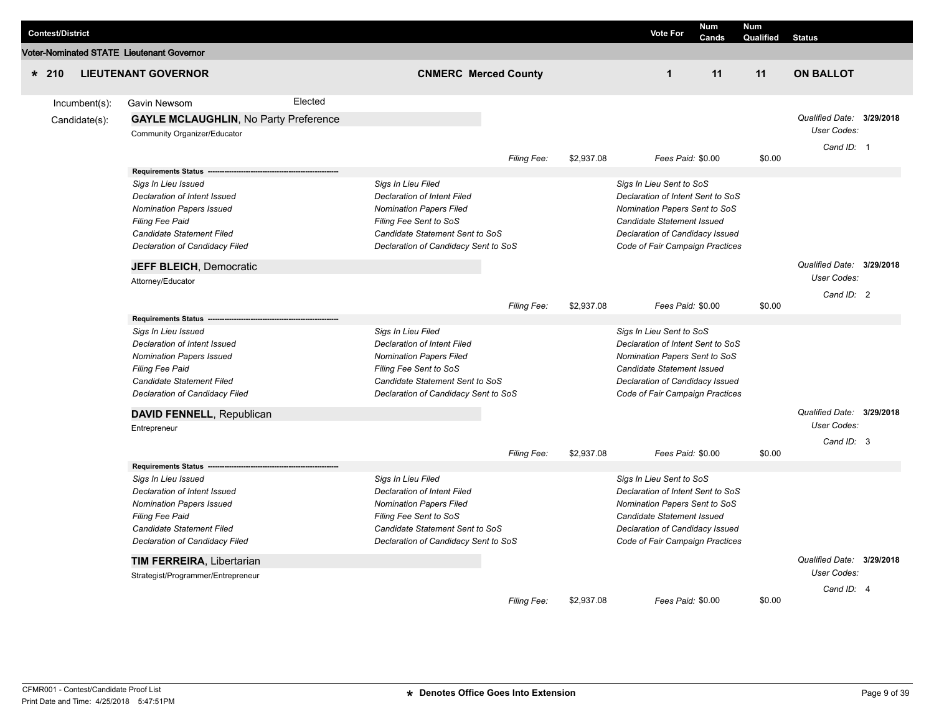| <b>Contest/District</b> |               |                                                                                                                                                                                                               |         |                                                                                                                                                                                                 |             |            | <b>Vote For</b>                                                                                                                                                                                           | <b>Num</b><br>Cands | <b>Num</b><br>Qualified | <b>Status</b>                                          |  |
|-------------------------|---------------|---------------------------------------------------------------------------------------------------------------------------------------------------------------------------------------------------------------|---------|-------------------------------------------------------------------------------------------------------------------------------------------------------------------------------------------------|-------------|------------|-----------------------------------------------------------------------------------------------------------------------------------------------------------------------------------------------------------|---------------------|-------------------------|--------------------------------------------------------|--|
|                         |               | <b>/oter-Nominated STATE Lieutenant Governor</b>                                                                                                                                                              |         |                                                                                                                                                                                                 |             |            |                                                                                                                                                                                                           |                     |                         |                                                        |  |
| $* 210$                 |               | <b>LIEUTENANT GOVERNOR</b>                                                                                                                                                                                    |         | <b>CNMERC Merced County</b>                                                                                                                                                                     |             |            | $\mathbf{1}$                                                                                                                                                                                              | 11                  | 11                      | <b>ON BALLOT</b>                                       |  |
|                         | Incumbent(s): | Gavin Newsom                                                                                                                                                                                                  | Elected |                                                                                                                                                                                                 |             |            |                                                                                                                                                                                                           |                     |                         |                                                        |  |
|                         | Candidate(s): | <b>GAYLE MCLAUGHLIN, No Party Preference</b><br>Community Organizer/Educator                                                                                                                                  |         |                                                                                                                                                                                                 |             |            |                                                                                                                                                                                                           |                     |                         | Qualified Date: 3/29/2018<br>User Codes:<br>Cand ID: 1 |  |
|                         |               |                                                                                                                                                                                                               |         |                                                                                                                                                                                                 | Filing Fee: | \$2,937.08 | Fees Paid: \$0.00                                                                                                                                                                                         |                     | \$0.00                  |                                                        |  |
|                         |               | <b>Requirements Status</b><br>Sigs In Lieu Issued<br>Declaration of Intent Issued<br><b>Nomination Papers Issued</b><br><b>Filing Fee Paid</b><br>Candidate Statement Filed<br>Declaration of Candidacy Filed |         | Sigs In Lieu Filed<br><b>Declaration of Intent Filed</b><br><b>Nomination Papers Filed</b><br>Filing Fee Sent to SoS<br>Candidate Statement Sent to SoS<br>Declaration of Candidacy Sent to SoS |             |            | Sigs In Lieu Sent to SoS<br>Declaration of Intent Sent to SoS<br>Nomination Papers Sent to SoS<br><b>Candidate Statement Issued</b><br>Declaration of Candidacy Issued<br>Code of Fair Campaign Practices |                     |                         |                                                        |  |
|                         |               | <b>JEFF BLEICH, Democratic</b>                                                                                                                                                                                |         |                                                                                                                                                                                                 |             |            |                                                                                                                                                                                                           |                     |                         | Qualified Date: 3/29/2018                              |  |
|                         |               | Attorney/Educator                                                                                                                                                                                             |         |                                                                                                                                                                                                 |             |            |                                                                                                                                                                                                           |                     |                         | User Codes:                                            |  |
|                         |               | <b>Requirements Status</b><br>Sigs In Lieu Issued                                                                                                                                                             |         | Sigs In Lieu Filed                                                                                                                                                                              | Filing Fee: | \$2.937.08 | Fees Paid: \$0.00<br>Sigs In Lieu Sent to SoS                                                                                                                                                             |                     | \$0.00                  | Cand ID: 2                                             |  |
|                         |               | Declaration of Intent Issued<br><b>Nomination Papers Issued</b><br><b>Filing Fee Paid</b><br>Candidate Statement Filed<br>Declaration of Candidacy Filed                                                      |         | <b>Declaration of Intent Filed</b><br><b>Nomination Papers Filed</b><br>Filing Fee Sent to SoS<br>Candidate Statement Sent to SoS<br>Declaration of Candidacy Sent to SoS                       |             |            | Declaration of Intent Sent to SoS<br>Nomination Papers Sent to SoS<br>Candidate Statement Issued<br>Declaration of Candidacy Issued<br>Code of Fair Campaign Practices                                    |                     |                         |                                                        |  |
|                         |               | DAVID FENNELL, Republican                                                                                                                                                                                     |         |                                                                                                                                                                                                 |             |            |                                                                                                                                                                                                           |                     |                         | Qualified Date: 3/29/2018<br>User Codes:               |  |
|                         |               | Entrepreneur                                                                                                                                                                                                  |         |                                                                                                                                                                                                 |             |            |                                                                                                                                                                                                           |                     |                         | Cand ID: 3                                             |  |
|                         |               |                                                                                                                                                                                                               |         |                                                                                                                                                                                                 | Filing Fee: | \$2,937.08 | Fees Paid: \$0.00                                                                                                                                                                                         |                     | \$0.00                  |                                                        |  |
|                         |               | <b>Requirements Status</b>                                                                                                                                                                                    |         |                                                                                                                                                                                                 |             |            |                                                                                                                                                                                                           |                     |                         |                                                        |  |
|                         |               | Sigs In Lieu Issued<br>Declaration of Intent Issued<br><b>Nomination Papers Issued</b><br>Filing Fee Paid<br>Candidate Statement Filed<br>Declaration of Candidacy Filed                                      |         | Sigs In Lieu Filed<br><b>Declaration of Intent Filed</b><br><b>Nomination Papers Filed</b><br>Filing Fee Sent to SoS<br>Candidate Statement Sent to SoS<br>Declaration of Candidacy Sent to SoS |             |            | Sigs In Lieu Sent to SoS<br>Declaration of Intent Sent to SoS<br>Nomination Papers Sent to SoS<br>Candidate Statement Issued<br>Declaration of Candidacy Issued<br>Code of Fair Campaign Practices        |                     |                         |                                                        |  |
|                         |               | <b>TIM FERREIRA, Libertarian</b>                                                                                                                                                                              |         |                                                                                                                                                                                                 |             |            |                                                                                                                                                                                                           |                     |                         | Qualified Date: 3/29/2018                              |  |
|                         |               | Strategist/Programmer/Entrepreneur                                                                                                                                                                            |         |                                                                                                                                                                                                 |             |            |                                                                                                                                                                                                           |                     |                         | User Codes:                                            |  |
|                         |               |                                                                                                                                                                                                               |         |                                                                                                                                                                                                 | Filing Fee: | \$2,937.08 | Fees Paid: \$0.00                                                                                                                                                                                         |                     | \$0.00                  | Cand ID: 4                                             |  |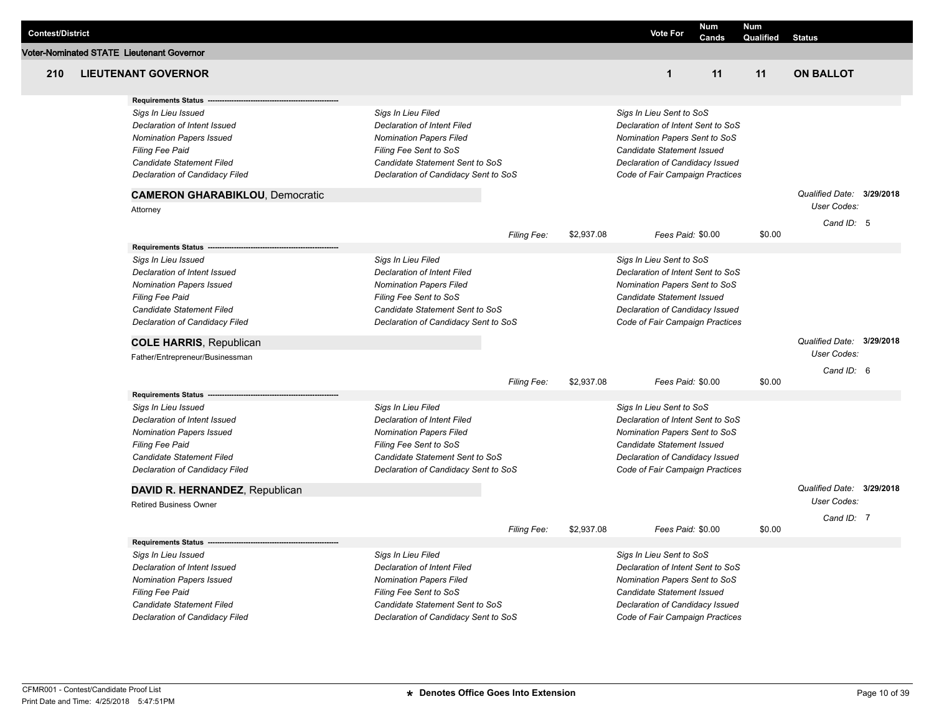|                         |                                                           |                                                   |             |            |                                                                    | Num   | <b>Num</b> |                                          |  |
|-------------------------|-----------------------------------------------------------|---------------------------------------------------|-------------|------------|--------------------------------------------------------------------|-------|------------|------------------------------------------|--|
| <b>Contest/District</b> |                                                           |                                                   |             |            | <b>Vote For</b>                                                    | Cands | Qualified  | <b>Status</b>                            |  |
|                         | <b>Voter-Nominated STATE Lieutenant Governor</b>          |                                                   |             |            |                                                                    |       |            |                                          |  |
| 210                     | <b>LIEUTENANT GOVERNOR</b>                                |                                                   |             |            | $\mathbf{1}$                                                       | 11    | 11         | <b>ON BALLOT</b>                         |  |
|                         | <b>Requirements Status</b>                                |                                                   |             |            |                                                                    |       |            |                                          |  |
|                         | Sigs In Lieu Issued                                       | Sigs In Lieu Filed                                |             |            | Sigs In Lieu Sent to SoS                                           |       |            |                                          |  |
|                         | Declaration of Intent Issued                              | <b>Declaration of Intent Filed</b>                |             |            | Declaration of Intent Sent to SoS                                  |       |            |                                          |  |
|                         | <b>Nomination Papers Issued</b>                           | <b>Nomination Papers Filed</b>                    |             |            | Nomination Papers Sent to SoS                                      |       |            |                                          |  |
|                         | <b>Filing Fee Paid</b>                                    | Filing Fee Sent to SoS                            |             |            | Candidate Statement Issued                                         |       |            |                                          |  |
|                         | Candidate Statement Filed                                 | Candidate Statement Sent to SoS                   |             |            | Declaration of Candidacy Issued                                    |       |            |                                          |  |
|                         | Declaration of Candidacy Filed                            | Declaration of Candidacy Sent to SoS              |             |            | Code of Fair Campaign Practices                                    |       |            |                                          |  |
|                         | <b>CAMERON GHARABIKLOU, Democratic</b>                    |                                                   |             |            |                                                                    |       |            | Qualified Date: 3/29/2018<br>User Codes: |  |
|                         | Attorney                                                  |                                                   |             |            |                                                                    |       |            |                                          |  |
|                         |                                                           |                                                   | Filing Fee: | \$2,937.08 | Fees Paid: \$0.00                                                  |       | \$0.00     | Cand ID: 5                               |  |
|                         | <b>Requirements Status</b>                                |                                                   |             |            |                                                                    |       |            |                                          |  |
|                         | Sigs In Lieu Issued                                       | Sigs In Lieu Filed                                |             |            | Sigs In Lieu Sent to SoS                                           |       |            |                                          |  |
|                         | Declaration of Intent Issued                              | <b>Declaration of Intent Filed</b>                |             |            | Declaration of Intent Sent to SoS                                  |       |            |                                          |  |
|                         | <b>Nomination Papers Issued</b>                           | <b>Nomination Papers Filed</b>                    |             |            | Nomination Papers Sent to SoS                                      |       |            |                                          |  |
|                         | Filing Fee Paid                                           | Filing Fee Sent to SoS                            |             |            | Candidate Statement Issued                                         |       |            |                                          |  |
|                         | Candidate Statement Filed                                 | Candidate Statement Sent to SoS                   |             |            | Declaration of Candidacy Issued                                    |       |            |                                          |  |
|                         | Declaration of Candidacy Filed                            | Declaration of Candidacy Sent to SoS              |             |            | Code of Fair Campaign Practices                                    |       |            |                                          |  |
|                         | <b>COLE HARRIS, Republican</b>                            |                                                   |             |            |                                                                    |       |            | Qualified Date: 3/29/2018                |  |
|                         | Father/Entrepreneur/Businessman                           |                                                   |             |            |                                                                    |       |            | User Codes:                              |  |
|                         |                                                           |                                                   |             |            |                                                                    |       |            | Cand ID: 6                               |  |
|                         |                                                           |                                                   | Filing Fee: | \$2,937.08 | Fees Paid: \$0.00                                                  |       | \$0.00     |                                          |  |
|                         | <b>Requirements Status</b>                                |                                                   |             |            |                                                                    |       |            |                                          |  |
|                         | Sigs In Lieu Issued                                       | Sigs In Lieu Filed                                |             |            | Sigs In Lieu Sent to SoS                                           |       |            |                                          |  |
|                         | Declaration of Intent Issued                              | <b>Declaration of Intent Filed</b>                |             |            | Declaration of Intent Sent to SoS<br>Nomination Papers Sent to SoS |       |            |                                          |  |
|                         | <b>Nomination Papers Issued</b><br><b>Filing Fee Paid</b> | Nomination Papers Filed<br>Filing Fee Sent to SoS |             |            | Candidate Statement Issued                                         |       |            |                                          |  |
|                         | Candidate Statement Filed                                 | Candidate Statement Sent to SoS                   |             |            | Declaration of Candidacy Issued                                    |       |            |                                          |  |
|                         | Declaration of Candidacy Filed                            | Declaration of Candidacy Sent to SoS              |             |            | Code of Fair Campaign Practices                                    |       |            |                                          |  |
|                         | DAVID R. HERNANDEZ, Republican                            |                                                   |             |            |                                                                    |       |            | Qualified Date: 3/29/2018                |  |
|                         | <b>Retired Business Owner</b>                             |                                                   |             |            |                                                                    |       |            | User Codes:                              |  |
|                         |                                                           |                                                   | Filing Fee: | \$2,937.08 | Fees Paid: \$0.00                                                  |       | \$0.00     | Cand ID: 7                               |  |
|                         | <b>Requirements Status</b>                                |                                                   |             |            |                                                                    |       |            |                                          |  |
|                         | Sigs In Lieu Issued                                       | Sigs In Lieu Filed                                |             |            | Sigs In Lieu Sent to SoS                                           |       |            |                                          |  |
|                         | Declaration of Intent Issued                              | <b>Declaration of Intent Filed</b>                |             |            | Declaration of Intent Sent to SoS                                  |       |            |                                          |  |
|                         | <b>Nomination Papers Issued</b>                           | <b>Nomination Papers Filed</b>                    |             |            | Nomination Papers Sent to SoS                                      |       |            |                                          |  |
|                         | <b>Filing Fee Paid</b>                                    | Filing Fee Sent to SoS                            |             |            | Candidate Statement Issued                                         |       |            |                                          |  |
|                         | Candidate Statement Filed                                 | Candidate Statement Sent to SoS                   |             |            | Declaration of Candidacy Issued                                    |       |            |                                          |  |
|                         | Declaration of Candidacy Filed                            | Declaration of Candidacy Sent to SoS              |             |            | Code of Fair Campaign Practices                                    |       |            |                                          |  |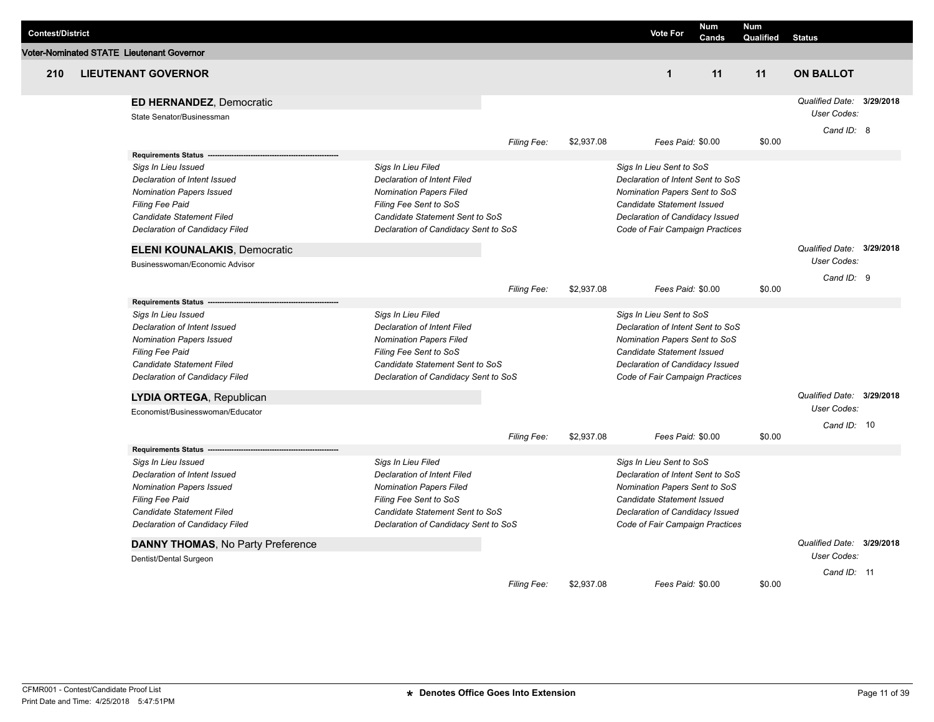| <b>Contest/District</b> |                                                              |                                      |                    |            | <b>Vote For</b>                   | <b>Num</b><br>Cands | <b>Num</b><br>Qualified | <b>Status</b>                                          |           |
|-------------------------|--------------------------------------------------------------|--------------------------------------|--------------------|------------|-----------------------------------|---------------------|-------------------------|--------------------------------------------------------|-----------|
|                         | <b>Voter-Nominated STATE Lieutenant Governor</b>             |                                      |                    |            |                                   |                     |                         |                                                        |           |
| 210                     | <b>LIEUTENANT GOVERNOR</b>                                   |                                      |                    |            | $\blacktriangleleft$              | 11                  | 11                      | <b>ON BALLOT</b>                                       |           |
|                         | <b>ED HERNANDEZ, Democratic</b><br>State Senator/Businessman |                                      |                    |            |                                   |                     |                         | Qualified Date: 3/29/2018<br>User Codes:<br>Cand ID: 8 |           |
|                         |                                                              |                                      | Filing Fee:        | \$2,937.08 | Fees Paid: \$0.00                 |                     | \$0.00                  |                                                        |           |
|                         | <b>Requirements Status</b>                                   |                                      |                    |            |                                   |                     |                         |                                                        |           |
|                         | Sigs In Lieu Issued                                          | Sigs In Lieu Filed                   |                    |            | Sigs In Lieu Sent to SoS          |                     |                         |                                                        |           |
|                         | Declaration of Intent Issued                                 | Declaration of Intent Filed          |                    |            | Declaration of Intent Sent to SoS |                     |                         |                                                        |           |
|                         | <b>Nomination Papers Issued</b>                              | <b>Nomination Papers Filed</b>       |                    |            | Nomination Papers Sent to SoS     |                     |                         |                                                        |           |
|                         | <b>Filing Fee Paid</b>                                       | Filing Fee Sent to SoS               |                    |            | <b>Candidate Statement Issued</b> |                     |                         |                                                        |           |
|                         | Candidate Statement Filed                                    | Candidate Statement Sent to SoS      |                    |            | Declaration of Candidacy Issued   |                     |                         |                                                        |           |
|                         | Declaration of Candidacy Filed                               | Declaration of Candidacy Sent to SoS |                    |            | Code of Fair Campaign Practices   |                     |                         |                                                        |           |
|                         | <b>ELENI KOUNALAKIS, Democratic</b>                          |                                      |                    |            |                                   |                     |                         | Qualified Date: 3/29/2018<br>User Codes:               |           |
|                         | Businesswoman/Economic Advisor                               |                                      |                    |            |                                   |                     |                         |                                                        |           |
|                         |                                                              |                                      |                    | \$2,937.08 | Fees Paid: \$0.00                 |                     | \$0.00                  | Cand ID: 9                                             |           |
|                         | <b>Requirements Status</b>                                   |                                      | Filing Fee:        |            |                                   |                     |                         |                                                        |           |
|                         | Sigs In Lieu Issued                                          | Sigs In Lieu Filed                   |                    |            | Sigs In Lieu Sent to SoS          |                     |                         |                                                        |           |
|                         | Declaration of Intent Issued                                 | <b>Declaration of Intent Filed</b>   |                    |            | Declaration of Intent Sent to SoS |                     |                         |                                                        |           |
|                         | <b>Nomination Papers Issued</b>                              | <b>Nomination Papers Filed</b>       |                    |            | Nomination Papers Sent to SoS     |                     |                         |                                                        |           |
|                         | <b>Filing Fee Paid</b>                                       | Filing Fee Sent to SoS               |                    |            | Candidate Statement Issued        |                     |                         |                                                        |           |
|                         | Candidate Statement Filed                                    | Candidate Statement Sent to SoS      |                    |            | Declaration of Candidacy Issued   |                     |                         |                                                        |           |
|                         | Declaration of Candidacy Filed                               | Declaration of Candidacy Sent to SoS |                    |            | Code of Fair Campaign Practices   |                     |                         |                                                        |           |
|                         |                                                              |                                      |                    |            |                                   |                     |                         |                                                        |           |
|                         | LYDIA ORTEGA, Republican<br>Economist/Businesswoman/Educator |                                      |                    |            |                                   |                     |                         | Qualified Date:<br>User Codes:                         | 3/29/2018 |
|                         |                                                              |                                      |                    |            |                                   |                     |                         | Cand ID: 10                                            |           |
|                         |                                                              |                                      | Filing Fee:        | \$2,937.08 | Fees Paid: \$0.00                 |                     | \$0.00                  |                                                        |           |
|                         | <b>Requirements Status</b>                                   |                                      |                    |            |                                   |                     |                         |                                                        |           |
|                         | Sigs In Lieu Issued                                          | Sigs In Lieu Filed                   |                    |            | Sigs In Lieu Sent to SoS          |                     |                         |                                                        |           |
|                         | Declaration of Intent Issued                                 | Declaration of Intent Filed          |                    |            | Declaration of Intent Sent to SoS |                     |                         |                                                        |           |
|                         | <b>Nomination Papers Issued</b>                              | <b>Nomination Papers Filed</b>       |                    |            | Nomination Papers Sent to SoS     |                     |                         |                                                        |           |
|                         | <b>Filing Fee Paid</b>                                       | Filing Fee Sent to SoS               |                    |            | Candidate Statement Issued        |                     |                         |                                                        |           |
|                         | Candidate Statement Filed                                    | Candidate Statement Sent to SoS      |                    |            | Declaration of Candidacy Issued   |                     |                         |                                                        |           |
|                         | Declaration of Candidacy Filed                               | Declaration of Candidacy Sent to SoS |                    |            | Code of Fair Campaign Practices   |                     |                         |                                                        |           |
|                         | <b>DANNY THOMAS, No Party Preference</b>                     |                                      |                    |            |                                   |                     |                         | Qualified Date:                                        | 3/29/2018 |
|                         |                                                              |                                      |                    |            |                                   |                     |                         | User Codes:                                            |           |
|                         | Dentist/Dental Surgeon                                       |                                      |                    |            |                                   |                     |                         |                                                        |           |
|                         |                                                              |                                      |                    | \$2,937.08 | Fees Paid: \$0.00                 |                     |                         | Cand ID: 11                                            |           |
|                         |                                                              |                                      | <b>Filing Fee:</b> |            |                                   |                     | \$0.00                  |                                                        |           |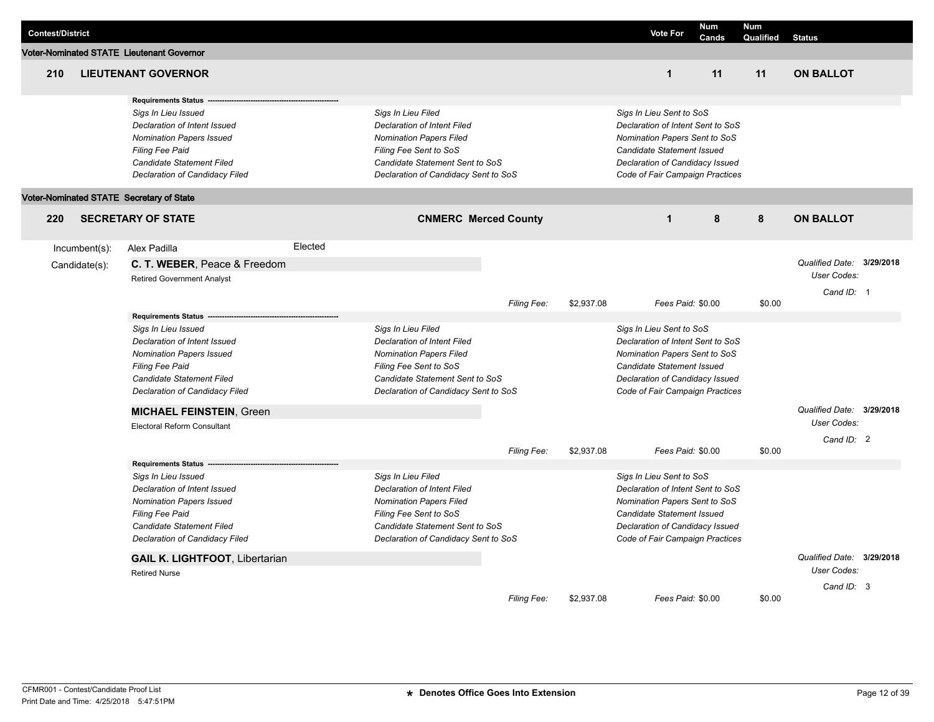| <b>Contest/District</b> |                  |                                           |         |                                      |             |            |                                   | <b>Vote For</b>   | Num   | <b>Num</b> |                           |  |
|-------------------------|------------------|-------------------------------------------|---------|--------------------------------------|-------------|------------|-----------------------------------|-------------------|-------|------------|---------------------------|--|
|                         |                  | Voter-Nominated STATE Lieutenant Governor |         |                                      |             |            |                                   |                   | Cands | Qualified  | <b>Status</b>             |  |
|                         |                  |                                           |         |                                      |             |            |                                   |                   |       |            |                           |  |
| 210                     |                  | <b>LIEUTENANT GOVERNOR</b>                |         |                                      |             |            |                                   | $\mathbf{1}$      | 11    | 11         | <b>ON BALLOT</b>          |  |
|                         |                  | <b>Requirements Status</b>                |         |                                      |             |            |                                   |                   |       |            |                           |  |
|                         |                  | Sigs In Lieu Issued                       |         | Sigs In Lieu Filed                   |             |            | Sigs In Lieu Sent to SoS          |                   |       |            |                           |  |
|                         |                  | Declaration of Intent Issued              |         | <b>Declaration of Intent Filed</b>   |             |            | Declaration of Intent Sent to SoS |                   |       |            |                           |  |
|                         |                  | <b>Nomination Papers Issued</b>           |         | <b>Nomination Papers Filed</b>       |             |            | Nomination Papers Sent to SoS     |                   |       |            |                           |  |
|                         |                  | <b>Filing Fee Paid</b>                    |         | Filing Fee Sent to SoS               |             |            | Candidate Statement Issued        |                   |       |            |                           |  |
|                         |                  | Candidate Statement Filed                 |         | Candidate Statement Sent to SoS      |             |            | Declaration of Candidacy Issued   |                   |       |            |                           |  |
|                         |                  | Declaration of Candidacy Filed            |         | Declaration of Candidacy Sent to SoS |             |            | Code of Fair Campaign Practices   |                   |       |            |                           |  |
|                         |                  | Voter-Nominated STATE Secretary of State  |         |                                      |             |            |                                   |                   |       |            |                           |  |
| 220                     |                  | <b>SECRETARY OF STATE</b>                 |         | <b>CNMERC Merced County</b>          |             |            |                                   | $\mathbf{1}$      | 8     | 8          | <b>ON BALLOT</b>          |  |
|                         | $Incumbent(s)$ : | Alex Padilla                              | Elected |                                      |             |            |                                   |                   |       |            |                           |  |
|                         | Candidate(s):    | C. T. WEBER, Peace & Freedom              |         |                                      |             |            |                                   |                   |       |            | Qualified Date: 3/29/2018 |  |
|                         |                  | <b>Retired Government Analyst</b>         |         |                                      |             |            |                                   |                   |       |            | User Codes:               |  |
|                         |                  |                                           |         |                                      |             |            |                                   |                   |       |            | Cand ID: 1                |  |
|                         |                  |                                           |         |                                      | Filing Fee: | \$2,937.08 |                                   | Fees Paid: \$0.00 |       | \$0.00     |                           |  |
|                         |                  | <b>Requirements Status</b>                |         |                                      |             |            |                                   |                   |       |            |                           |  |
|                         |                  | Sigs In Lieu Issued                       |         | Sigs In Lieu Filed                   |             |            | Sigs In Lieu Sent to SoS          |                   |       |            |                           |  |
|                         |                  | Declaration of Intent Issued              |         | <b>Declaration of Intent Filed</b>   |             |            | Declaration of Intent Sent to SoS |                   |       |            |                           |  |
|                         |                  | <b>Nomination Papers Issued</b>           |         | <b>Nomination Papers Filed</b>       |             |            | Nomination Papers Sent to SoS     |                   |       |            |                           |  |
|                         |                  | Filing Fee Paid                           |         | Filing Fee Sent to SoS               |             |            | Candidate Statement Issued        |                   |       |            |                           |  |
|                         |                  | <b>Candidate Statement Filed</b>          |         | Candidate Statement Sent to SoS      |             |            | Declaration of Candidacy Issued   |                   |       |            |                           |  |
|                         |                  | Declaration of Candidacy Filed            |         | Declaration of Candidacy Sent to SoS |             |            | Code of Fair Campaign Practices   |                   |       |            |                           |  |
|                         |                  | <b>MICHAEL FEINSTEIN, Green</b>           |         |                                      |             |            |                                   |                   |       |            | Qualified Date: 3/29/2018 |  |
|                         |                  | <b>Electoral Reform Consultant</b>        |         |                                      |             |            |                                   |                   |       |            | User Codes:               |  |
|                         |                  |                                           |         |                                      | Filing Fee: | \$2,937.08 |                                   | Fees Paid: \$0.00 |       | \$0.00     | Cand ID: 2                |  |
|                         |                  | <b>Requirements Status</b>                |         |                                      |             |            |                                   |                   |       |            |                           |  |
|                         |                  | Sigs In Lieu Issued                       |         | Sigs In Lieu Filed                   |             |            | Sigs In Lieu Sent to SoS          |                   |       |            |                           |  |
|                         |                  | Declaration of Intent Issued              |         | <b>Declaration of Intent Filed</b>   |             |            | Declaration of Intent Sent to SoS |                   |       |            |                           |  |
|                         |                  | <b>Nomination Papers Issued</b>           |         | <b>Nomination Papers Filed</b>       |             |            | Nomination Papers Sent to SoS     |                   |       |            |                           |  |
|                         |                  | Filing Fee Paid                           |         | Filing Fee Sent to SoS               |             |            | Candidate Statement Issued        |                   |       |            |                           |  |
|                         |                  | Candidate Statement Filed                 |         | Candidate Statement Sent to SoS      |             |            | Declaration of Candidacy Issued   |                   |       |            |                           |  |
|                         |                  | Declaration of Candidacy Filed            |         | Declaration of Candidacy Sent to SoS |             |            | Code of Fair Campaign Practices   |                   |       |            |                           |  |
|                         |                  | <b>GAIL K. LIGHTFOOT, Libertarian</b>     |         |                                      |             |            |                                   |                   |       |            | Qualified Date: 3/29/2018 |  |
|                         |                  | <b>Retired Nurse</b>                      |         |                                      |             |            |                                   |                   |       |            | User Codes:               |  |
|                         |                  |                                           |         |                                      | Filing Fee: | \$2,937.08 |                                   | Fees Paid: \$0.00 |       | \$0.00     | Cand ID: 3                |  |
|                         |                  |                                           |         |                                      |             |            |                                   |                   |       |            |                           |  |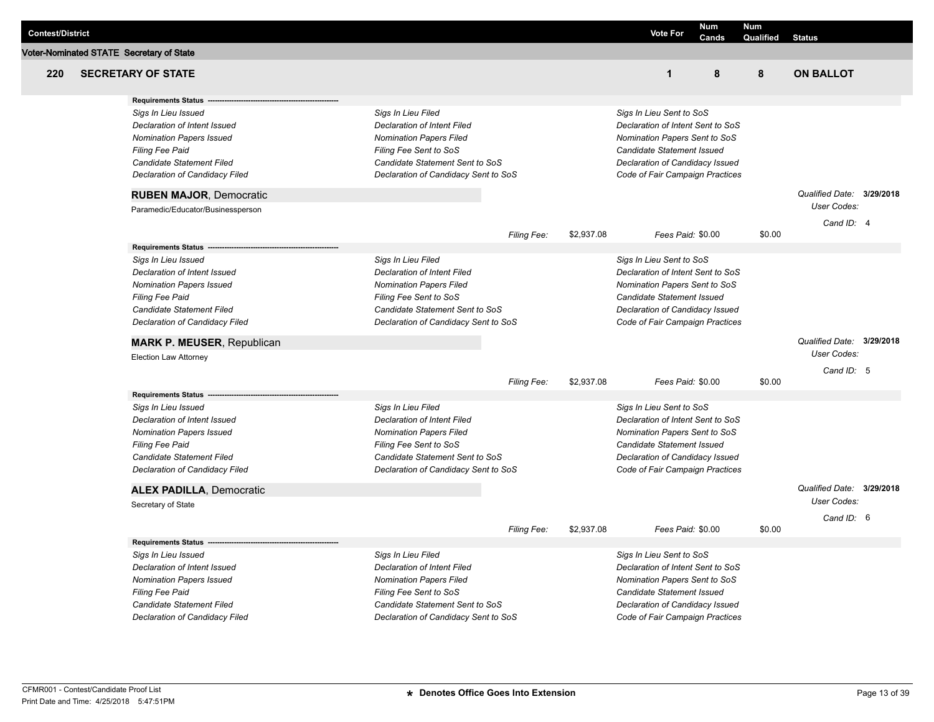| <b>Contest/District</b> |                                          |                                      |             |            | <b>Vote For</b>                   | Num               | <b>Num</b> |                           |  |
|-------------------------|------------------------------------------|--------------------------------------|-------------|------------|-----------------------------------|-------------------|------------|---------------------------|--|
|                         |                                          |                                      |             |            |                                   | Cands             | Qualified  | <b>Status</b>             |  |
|                         | Voter-Nominated STATE Secretary of State |                                      |             |            |                                   |                   |            |                           |  |
| 220                     | <b>SECRETARY OF STATE</b>                |                                      |             |            | $\mathbf{1}$                      | 8                 | 8          | <b>ON BALLOT</b>          |  |
|                         | <b>Requirements Status</b>               |                                      |             |            |                                   |                   |            |                           |  |
|                         | Sigs In Lieu Issued                      | Sigs In Lieu Filed                   |             |            | Sigs In Lieu Sent to SoS          |                   |            |                           |  |
|                         | Declaration of Intent Issued             | <b>Declaration of Intent Filed</b>   |             |            | Declaration of Intent Sent to SoS |                   |            |                           |  |
|                         | <b>Nomination Papers Issued</b>          | <b>Nomination Papers Filed</b>       |             |            | Nomination Papers Sent to SoS     |                   |            |                           |  |
|                         | <b>Filing Fee Paid</b>                   | Filing Fee Sent to SoS               |             |            | Candidate Statement Issued        |                   |            |                           |  |
|                         | Candidate Statement Filed                | Candidate Statement Sent to SoS      |             |            | Declaration of Candidacy Issued   |                   |            |                           |  |
|                         | Declaration of Candidacy Filed           | Declaration of Candidacy Sent to SoS |             |            | Code of Fair Campaign Practices   |                   |            |                           |  |
|                         | <b>RUBEN MAJOR, Democratic</b>           |                                      |             |            |                                   |                   |            | Qualified Date: 3/29/2018 |  |
|                         | Paramedic/Educator/Businessperson        |                                      |             |            |                                   |                   |            | User Codes:               |  |
|                         |                                          |                                      | Filing Fee: | \$2,937.08 |                                   | Fees Paid: \$0.00 | \$0.00     | Cand ID: 4                |  |
|                         | <b>Requirements Status</b>               |                                      |             |            |                                   |                   |            |                           |  |
|                         | Sigs In Lieu Issued                      | Sigs In Lieu Filed                   |             |            | Sigs In Lieu Sent to SoS          |                   |            |                           |  |
|                         | Declaration of Intent Issued             | <b>Declaration of Intent Filed</b>   |             |            | Declaration of Intent Sent to SoS |                   |            |                           |  |
|                         | <b>Nomination Papers Issued</b>          | <b>Nomination Papers Filed</b>       |             |            | Nomination Papers Sent to SoS     |                   |            |                           |  |
|                         | Filing Fee Paid                          | Filing Fee Sent to SoS               |             |            | Candidate Statement Issued        |                   |            |                           |  |
|                         | <b>Candidate Statement Filed</b>         | Candidate Statement Sent to SoS      |             |            | Declaration of Candidacy Issued   |                   |            |                           |  |
|                         | Declaration of Candidacy Filed           | Declaration of Candidacy Sent to SoS |             |            | Code of Fair Campaign Practices   |                   |            |                           |  |
|                         | <b>MARK P. MEUSER, Republican</b>        |                                      |             |            |                                   |                   |            | Qualified Date: 3/29/2018 |  |
|                         | <b>Election Law Attorney</b>             |                                      |             |            |                                   |                   |            | User Codes:               |  |
|                         |                                          |                                      |             |            |                                   |                   |            | Cand ID: 5                |  |
|                         | <b>Requirements Status</b>               |                                      | Filing Fee: | \$2,937.08 |                                   | Fees Paid: \$0.00 | \$0.00     |                           |  |
|                         | Sigs In Lieu Issued                      | Sigs In Lieu Filed                   |             |            | Sigs In Lieu Sent to SoS          |                   |            |                           |  |
|                         | Declaration of Intent Issued             | <b>Declaration of Intent Filed</b>   |             |            | Declaration of Intent Sent to SoS |                   |            |                           |  |
|                         | <b>Nomination Papers Issued</b>          | <b>Nomination Papers Filed</b>       |             |            | Nomination Papers Sent to SoS     |                   |            |                           |  |
|                         | Filing Fee Paid                          | Filing Fee Sent to SoS               |             |            | Candidate Statement Issued        |                   |            |                           |  |
|                         | <b>Candidate Statement Filed</b>         | Candidate Statement Sent to SoS      |             |            | Declaration of Candidacy Issued   |                   |            |                           |  |
|                         | Declaration of Candidacy Filed           | Declaration of Candidacy Sent to SoS |             |            | Code of Fair Campaign Practices   |                   |            |                           |  |
|                         | <b>ALEX PADILLA, Democratic</b>          |                                      |             |            |                                   |                   |            | Qualified Date: 3/29/2018 |  |
|                         | Secretary of State                       |                                      |             |            |                                   |                   |            | User Codes:               |  |
|                         |                                          |                                      |             |            |                                   |                   |            | Cand ID: 6                |  |
|                         |                                          |                                      | Filing Fee: | \$2,937.08 |                                   | Fees Paid: \$0.00 | \$0.00     |                           |  |
|                         | <b>Requirements Status</b>               |                                      |             |            |                                   |                   |            |                           |  |
|                         | Sigs In Lieu Issued                      | Sigs In Lieu Filed                   |             |            | Sigs In Lieu Sent to SoS          |                   |            |                           |  |
|                         | Declaration of Intent Issued             | <b>Declaration of Intent Filed</b>   |             |            | Declaration of Intent Sent to SoS |                   |            |                           |  |
|                         | <b>Nomination Papers Issued</b>          | <b>Nomination Papers Filed</b>       |             |            | Nomination Papers Sent to SoS     |                   |            |                           |  |
|                         | Filing Fee Paid                          | Filing Fee Sent to SoS               |             |            | Candidate Statement Issued        |                   |            |                           |  |
|                         | Candidate Statement Filed                | Candidate Statement Sent to SoS      |             |            | Declaration of Candidacy Issued   |                   |            |                           |  |
|                         | Declaration of Candidacy Filed           | Declaration of Candidacy Sent to SoS |             |            | Code of Fair Campaign Practices   |                   |            |                           |  |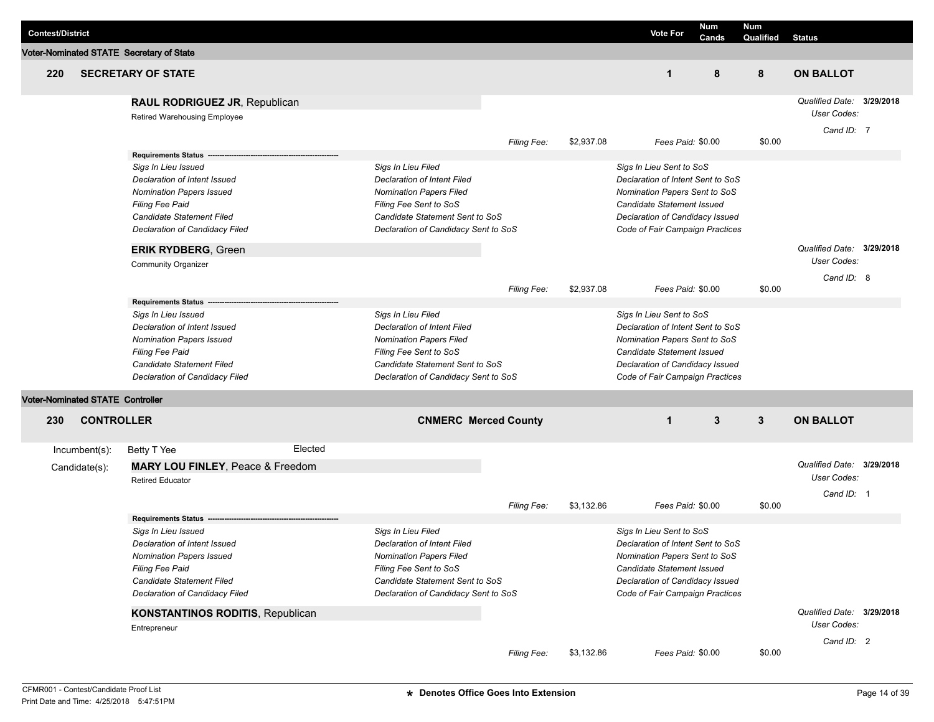|                         |                                         |                                          |         |                                      |                             |            |                                   |              | <b>Num</b> |                           |  |
|-------------------------|-----------------------------------------|------------------------------------------|---------|--------------------------------------|-----------------------------|------------|-----------------------------------|--------------|------------|---------------------------|--|
| <b>Contest/District</b> |                                         |                                          |         |                                      |                             |            | <b>Vote For</b>                   | Num<br>Cands | Qualified  | <b>Status</b>             |  |
|                         |                                         | Voter-Nominated STATE Secretary of State |         |                                      |                             |            |                                   |              |            |                           |  |
| 220                     |                                         | <b>SECRETARY OF STATE</b>                |         |                                      |                             |            | $\mathbf 1$                       | 8            | 8          | <b>ON BALLOT</b>          |  |
|                         |                                         | RAUL RODRIGUEZ JR, Republican            |         |                                      |                             |            |                                   |              |            | Qualified Date: 3/29/2018 |  |
|                         |                                         | Retired Warehousing Employee             |         |                                      |                             |            |                                   |              |            | User Codes:               |  |
|                         |                                         |                                          |         |                                      |                             |            |                                   |              |            | Cand ID: 7                |  |
|                         |                                         |                                          |         |                                      | <b>Filing Fee:</b>          | \$2,937.08 | Fees Paid: \$0.00                 |              | \$0.00     |                           |  |
|                         |                                         | Requirements Status ---                  |         |                                      |                             |            |                                   |              |            |                           |  |
|                         |                                         | Sigs In Lieu Issued                      |         | Sigs In Lieu Filed                   |                             |            | Sigs In Lieu Sent to SoS          |              |            |                           |  |
|                         |                                         | Declaration of Intent Issued             |         | Declaration of Intent Filed          |                             |            | Declaration of Intent Sent to SoS |              |            |                           |  |
|                         |                                         | <b>Nomination Papers Issued</b>          |         | <b>Nomination Papers Filed</b>       |                             |            | Nomination Papers Sent to SoS     |              |            |                           |  |
|                         |                                         | Filing Fee Paid                          |         | Filing Fee Sent to SoS               |                             |            | Candidate Statement Issued        |              |            |                           |  |
|                         |                                         | Candidate Statement Filed                |         | Candidate Statement Sent to SoS      |                             |            | Declaration of Candidacy Issued   |              |            |                           |  |
|                         |                                         | Declaration of Candidacy Filed           |         | Declaration of Candidacy Sent to SoS |                             |            | Code of Fair Campaign Practices   |              |            |                           |  |
|                         |                                         | <b>ERIK RYDBERG, Green</b>               |         |                                      |                             |            |                                   |              |            | Qualified Date: 3/29/2018 |  |
|                         |                                         | <b>Community Organizer</b>               |         |                                      |                             |            |                                   |              |            | User Codes:               |  |
|                         |                                         |                                          |         |                                      |                             |            |                                   |              |            | Cand ID: 8                |  |
|                         |                                         | Requirements Status ---                  |         |                                      | <b>Filing Fee:</b>          | \$2,937.08 | Fees Paid: \$0.00                 |              | \$0.00     |                           |  |
|                         |                                         | Sigs In Lieu Issued                      |         | Sigs In Lieu Filed                   |                             |            | Sigs In Lieu Sent to SoS          |              |            |                           |  |
|                         |                                         | Declaration of Intent Issued             |         | <b>Declaration of Intent Filed</b>   |                             |            | Declaration of Intent Sent to SoS |              |            |                           |  |
|                         |                                         | <b>Nomination Papers Issued</b>          |         | <b>Nomination Papers Filed</b>       |                             |            | Nomination Papers Sent to SoS     |              |            |                           |  |
|                         |                                         | Filing Fee Paid                          |         | Filing Fee Sent to SoS               |                             |            | Candidate Statement Issued        |              |            |                           |  |
|                         |                                         | Candidate Statement Filed                |         | Candidate Statement Sent to SoS      |                             |            | Declaration of Candidacy Issued   |              |            |                           |  |
|                         |                                         | Declaration of Candidacy Filed           |         | Declaration of Candidacy Sent to SoS |                             |            | Code of Fair Campaign Practices   |              |            |                           |  |
|                         | <b>Voter-Nominated STATE Controller</b> |                                          |         |                                      |                             |            |                                   |              |            |                           |  |
| 230                     | <b>CONTROLLER</b>                       |                                          |         |                                      | <b>CNMERC Merced County</b> |            | $\mathbf 1$                       | 3            | 3          | <b>ON BALLOT</b>          |  |
|                         |                                         |                                          |         |                                      |                             |            |                                   |              |            |                           |  |
|                         | Incumbent(s):                           | Betty T Yee                              | Elected |                                      |                             |            |                                   |              |            |                           |  |
|                         | Candidate(s):                           | MARY LOU FINLEY, Peace & Freedom         |         |                                      |                             |            |                                   |              |            | Qualified Date: 3/29/2018 |  |
|                         |                                         | <b>Retired Educator</b>                  |         |                                      |                             |            |                                   |              |            | User Codes:               |  |
|                         |                                         |                                          |         |                                      |                             |            |                                   |              |            | Cand ID: 1                |  |
|                         |                                         |                                          |         |                                      | <b>Filing Fee:</b>          | \$3,132.86 | Fees Paid: \$0.00                 |              | \$0.00     |                           |  |
|                         |                                         | <b>Requirements Status</b>               |         |                                      |                             |            |                                   |              |            |                           |  |
|                         |                                         | Sigs In Lieu Issued                      |         | Sigs In Lieu Filed                   |                             |            | Sigs In Lieu Sent to SoS          |              |            |                           |  |
|                         |                                         | Declaration of Intent Issued             |         | Declaration of Intent Filed          |                             |            | Declaration of Intent Sent to SoS |              |            |                           |  |
|                         |                                         | <b>Nomination Papers Issued</b>          |         | <b>Nomination Papers Filed</b>       |                             |            | Nomination Papers Sent to SoS     |              |            |                           |  |
|                         |                                         | <b>Filing Fee Paid</b>                   |         | Filing Fee Sent to SoS               |                             |            | Candidate Statement Issued        |              |            |                           |  |
|                         |                                         | Candidate Statement Filed                |         | Candidate Statement Sent to SoS      |                             |            | Declaration of Candidacy Issued   |              |            |                           |  |
|                         |                                         | Declaration of Candidacy Filed           |         | Declaration of Candidacy Sent to SoS |                             |            | Code of Fair Campaign Practices   |              |            |                           |  |
|                         |                                         | <b>KONSTANTINOS RODITIS, Republican</b>  |         |                                      |                             |            |                                   |              |            | Qualified Date: 3/29/2018 |  |
|                         |                                         | Entrepreneur                             |         |                                      |                             |            |                                   |              |            | User Codes:               |  |
|                         |                                         |                                          |         |                                      |                             |            |                                   |              |            | Cand ID: 2                |  |
|                         |                                         |                                          |         |                                      | Filing Fee:                 | \$3,132.86 | Fees Paid: \$0.00                 |              | \$0.00     |                           |  |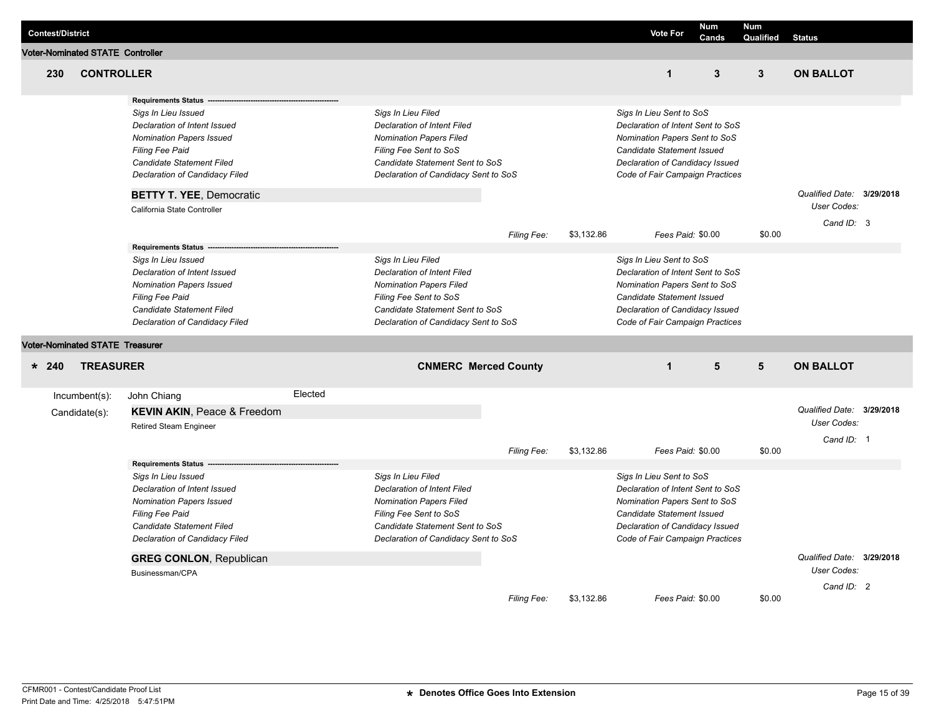| <b>Contest/District</b>                 |                                                                                                                                                                                                                                                                                 |         |                                                                                                                                                                                                 |             |            | <b>Vote For</b>                                                                                                                                                                                    | <b>Num</b><br>Cands | <b>Num</b><br><b>Qualified Status</b> |                                                        |  |
|-----------------------------------------|---------------------------------------------------------------------------------------------------------------------------------------------------------------------------------------------------------------------------------------------------------------------------------|---------|-------------------------------------------------------------------------------------------------------------------------------------------------------------------------------------------------|-------------|------------|----------------------------------------------------------------------------------------------------------------------------------------------------------------------------------------------------|---------------------|---------------------------------------|--------------------------------------------------------|--|
| <b>Voter-Nominated STATE Controller</b> |                                                                                                                                                                                                                                                                                 |         |                                                                                                                                                                                                 |             |            |                                                                                                                                                                                                    |                     |                                       |                                                        |  |
| 230<br><b>CONTROLLER</b>                |                                                                                                                                                                                                                                                                                 |         |                                                                                                                                                                                                 |             |            | $\mathbf{1}$                                                                                                                                                                                       | 3                   | $\mathbf{3}$                          | <b>ON BALLOT</b>                                       |  |
|                                         | <b>Requirements Status</b><br>Sigs In Lieu Issued<br>Declaration of Intent Issued<br><b>Nomination Papers Issued</b><br>Filing Fee Paid<br><b>Candidate Statement Filed</b><br>Declaration of Candidacy Filed<br><b>BETTY T. YEE, Democratic</b><br>California State Controller |         | Sigs In Lieu Filed<br><b>Declaration of Intent Filed</b><br><b>Nomination Papers Filed</b><br>Filing Fee Sent to SoS<br>Candidate Statement Sent to SoS<br>Declaration of Candidacy Sent to SoS | Filing Fee: | \$3,132.86 | Sigs In Lieu Sent to SoS<br>Declaration of Intent Sent to SoS<br>Nomination Papers Sent to SoS<br>Candidate Statement Issued<br>Declaration of Candidacy Issued<br>Code of Fair Campaign Practices | Fees Paid: \$0.00   | \$0.00                                | Qualified Date: 3/29/2018<br>User Codes:<br>Cand ID: 3 |  |
|                                         | <b>Requirements Status</b><br>Sigs In Lieu Issued<br>Declaration of Intent Issued<br><b>Nomination Papers Issued</b><br><b>Filing Fee Paid</b><br>Candidate Statement Filed<br>Declaration of Candidacy Filed                                                                   |         | Sigs In Lieu Filed<br><b>Declaration of Intent Filed</b><br><b>Nomination Papers Filed</b><br>Filing Fee Sent to SoS<br>Candidate Statement Sent to SoS<br>Declaration of Candidacy Sent to SoS |             |            | Sigs In Lieu Sent to SoS<br>Declaration of Intent Sent to SoS<br>Nomination Papers Sent to SoS<br>Candidate Statement Issued<br>Declaration of Candidacy Issued<br>Code of Fair Campaign Practices |                     |                                       |                                                        |  |
| <b>Voter-Nominated STATE Treasurer</b>  |                                                                                                                                                                                                                                                                                 |         |                                                                                                                                                                                                 |             |            |                                                                                                                                                                                                    |                     |                                       |                                                        |  |
| <b>TREASURER</b><br>$* 240$             |                                                                                                                                                                                                                                                                                 |         | <b>CNMERC Merced County</b>                                                                                                                                                                     |             |            | $\mathbf{1}$                                                                                                                                                                                       | 5                   | 5                                     | <b>ON BALLOT</b>                                       |  |
| Incumbent(s):<br>Candidate(s):          | John Chiang<br><b>KEVIN AKIN, Peace &amp; Freedom</b><br>Retired Steam Engineer                                                                                                                                                                                                 | Elected |                                                                                                                                                                                                 |             |            |                                                                                                                                                                                                    |                     |                                       | Qualified Date: 3/29/2018<br>User Codes:<br>Cand ID: 1 |  |
|                                         | <b>Requirements Status</b><br>Sigs In Lieu Issued<br>Declaration of Intent Issued<br><b>Nomination Papers Issued</b><br>Filing Fee Paid<br>Candidate Statement Filed<br>Declaration of Candidacy Filed<br><b>GREG CONLON, Republican</b><br>Businessman/CPA                     |         | Sigs In Lieu Filed<br><b>Declaration of Intent Filed</b><br><b>Nomination Papers Filed</b><br>Filing Fee Sent to SoS<br>Candidate Statement Sent to SoS<br>Declaration of Candidacy Sent to SoS | Filing Fee: | \$3.132.86 | Sigs In Lieu Sent to SoS<br>Declaration of Intent Sent to SoS<br>Nomination Papers Sent to SoS<br>Candidate Statement Issued<br>Declaration of Candidacy Issued<br>Code of Fair Campaign Practices | Fees Paid: \$0.00   | \$0.00                                | Qualified Date: 3/29/2018<br>User Codes:               |  |
|                                         |                                                                                                                                                                                                                                                                                 |         |                                                                                                                                                                                                 | Filing Fee: | \$3,132.86 | Fees Paid: \$0.00                                                                                                                                                                                  |                     | \$0.00                                | Cand ID: 2                                             |  |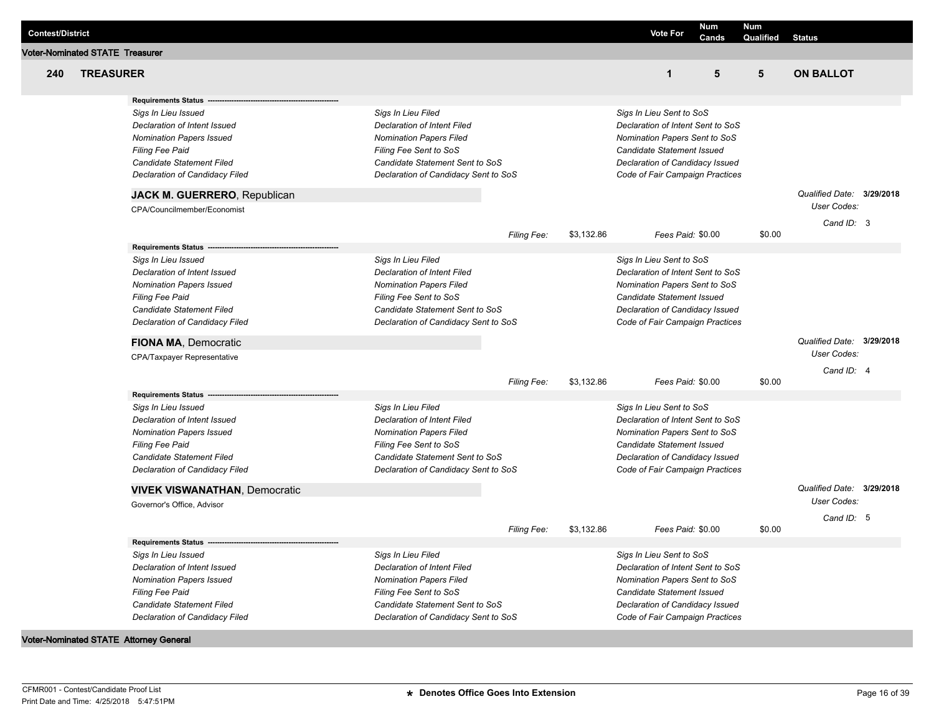| <b>Contest/District</b> |                                        |                                                                 |                                                   |                    |            | <b>Vote For</b>                                                    | <b>Num</b><br>Cands | Num<br>Qualified | <b>Status</b>                                   |  |
|-------------------------|----------------------------------------|-----------------------------------------------------------------|---------------------------------------------------|--------------------|------------|--------------------------------------------------------------------|---------------------|------------------|-------------------------------------------------|--|
|                         | <b>Voter-Nominated STATE Treasurer</b> |                                                                 |                                                   |                    |            |                                                                    |                     |                  |                                                 |  |
| 240                     | <b>TREASURER</b>                       |                                                                 |                                                   |                    |            | $\mathbf{1}$                                                       | 5                   | 5                | <b>ON BALLOT</b>                                |  |
|                         |                                        | <b>Requirements Status</b>                                      |                                                   |                    |            |                                                                    |                     |                  |                                                 |  |
|                         |                                        | Sigs In Lieu Issued                                             | Sigs In Lieu Filed                                |                    |            | Sigs In Lieu Sent to SoS                                           |                     |                  |                                                 |  |
|                         |                                        | Declaration of Intent Issued                                    | Declaration of Intent Filed                       |                    |            | Declaration of Intent Sent to SoS                                  |                     |                  |                                                 |  |
|                         |                                        | <b>Nomination Papers Issued</b>                                 | <b>Nomination Papers Filed</b>                    |                    |            | Nomination Papers Sent to SoS                                      |                     |                  |                                                 |  |
|                         |                                        | <b>Filing Fee Paid</b>                                          | Filing Fee Sent to SoS                            |                    |            | Candidate Statement Issued                                         |                     |                  |                                                 |  |
|                         |                                        | Candidate Statement Filed                                       | Candidate Statement Sent to SoS                   |                    |            | Declaration of Candidacy Issued                                    |                     |                  |                                                 |  |
|                         |                                        | Declaration of Candidacy Filed                                  | Declaration of Candidacy Sent to SoS              |                    |            | Code of Fair Campaign Practices                                    |                     |                  |                                                 |  |
|                         |                                        | <b>JACK M. GUERRERO, Republican</b>                             |                                                   |                    |            |                                                                    |                     |                  | Qualified Date: 3/29/2018<br><b>User Codes:</b> |  |
|                         |                                        | CPA/Councilmember/Economist                                     |                                                   |                    |            |                                                                    |                     |                  |                                                 |  |
|                         |                                        |                                                                 |                                                   |                    |            |                                                                    | Fees Paid: \$0.00   | \$0.00           | Cand ID: 3                                      |  |
|                         |                                        | <b>Requirements Status</b>                                      |                                                   | <b>Filing Fee:</b> | \$3,132.86 |                                                                    |                     |                  |                                                 |  |
|                         |                                        | Sigs In Lieu Issued                                             | Sigs In Lieu Filed                                |                    |            | Sigs In Lieu Sent to SoS                                           |                     |                  |                                                 |  |
|                         |                                        | Declaration of Intent Issued                                    | <b>Declaration of Intent Filed</b>                |                    |            | Declaration of Intent Sent to SoS                                  |                     |                  |                                                 |  |
|                         |                                        | <b>Nomination Papers Issued</b>                                 | <b>Nomination Papers Filed</b>                    |                    |            | Nomination Papers Sent to SoS                                      |                     |                  |                                                 |  |
|                         |                                        | Filing Fee Paid                                                 | Filing Fee Sent to SoS                            |                    |            | Candidate Statement Issued                                         |                     |                  |                                                 |  |
|                         |                                        | Candidate Statement Filed                                       | Candidate Statement Sent to SoS                   |                    |            | Declaration of Candidacy Issued                                    |                     |                  |                                                 |  |
|                         |                                        | Declaration of Candidacy Filed                                  | Declaration of Candidacy Sent to SoS              |                    |            | Code of Fair Campaign Practices                                    |                     |                  |                                                 |  |
|                         |                                        | FIONA MA, Democratic                                            |                                                   |                    |            |                                                                    |                     |                  | Qualified Date: 3/29/2018                       |  |
|                         |                                        | CPA/Taxpayer Representative                                     |                                                   |                    |            |                                                                    |                     |                  | User Codes:                                     |  |
|                         |                                        |                                                                 |                                                   |                    |            |                                                                    |                     |                  | Cand ID: 4                                      |  |
|                         |                                        |                                                                 |                                                   | Filing Fee:        | \$3,132.86 |                                                                    | Fees Paid: \$0.00   | \$0.00           |                                                 |  |
|                         |                                        | <b>Requirements Status</b>                                      |                                                   |                    |            |                                                                    |                     |                  |                                                 |  |
|                         |                                        | Sigs In Lieu Issued                                             | Sigs In Lieu Filed<br>Declaration of Intent Filed |                    |            | Sigs In Lieu Sent to SoS                                           |                     |                  |                                                 |  |
|                         |                                        | Declaration of Intent Issued<br><b>Nomination Papers Issued</b> | <b>Nomination Papers Filed</b>                    |                    |            | Declaration of Intent Sent to SoS<br>Nomination Papers Sent to SoS |                     |                  |                                                 |  |
|                         |                                        | <b>Filing Fee Paid</b>                                          | Filing Fee Sent to SoS                            |                    |            | Candidate Statement Issued                                         |                     |                  |                                                 |  |
|                         |                                        | Candidate Statement Filed                                       | Candidate Statement Sent to SoS                   |                    |            | Declaration of Candidacy Issued                                    |                     |                  |                                                 |  |
|                         |                                        | Declaration of Candidacy Filed                                  | Declaration of Candidacy Sent to SoS              |                    |            | Code of Fair Campaign Practices                                    |                     |                  |                                                 |  |
|                         |                                        | <b>VIVEK VISWANATHAN, Democratic</b>                            |                                                   |                    |            |                                                                    |                     |                  | Qualified Date: 3/29/2018                       |  |
|                         |                                        | Governor's Office, Advisor                                      |                                                   |                    |            |                                                                    |                     |                  | User Codes:                                     |  |
|                         |                                        |                                                                 |                                                   |                    |            |                                                                    |                     |                  | Cand ID: 5                                      |  |
|                         |                                        |                                                                 |                                                   | <b>Filing Fee:</b> | \$3,132.86 |                                                                    | Fees Paid: \$0.00   | \$0.00           |                                                 |  |
|                         |                                        | Requirements Status -                                           |                                                   |                    |            |                                                                    |                     |                  |                                                 |  |
|                         |                                        | Sigs In Lieu Issued<br>Declaration of Intent Issued             | Sigs In Lieu Filed<br>Declaration of Intent Filed |                    |            | Sigs In Lieu Sent to SoS<br>Declaration of Intent Sent to SoS      |                     |                  |                                                 |  |
|                         |                                        | <b>Nomination Papers Issued</b>                                 | <b>Nomination Papers Filed</b>                    |                    |            | Nomination Papers Sent to SoS                                      |                     |                  |                                                 |  |
|                         |                                        | Filing Fee Paid                                                 | Filing Fee Sent to SoS                            |                    |            | Candidate Statement Issued                                         |                     |                  |                                                 |  |
|                         |                                        | Candidate Statement Filed                                       | Candidate Statement Sent to SoS                   |                    |            | Declaration of Candidacy Issued                                    |                     |                  |                                                 |  |
|                         |                                        | Declaration of Candidacy Filed                                  | Declaration of Candidacy Sent to SoS              |                    |            | Code of Fair Campaign Practices                                    |                     |                  |                                                 |  |
|                         |                                        |                                                                 |                                                   |                    |            |                                                                    |                     |                  |                                                 |  |

**Voter-Nominated STATE Attorney General**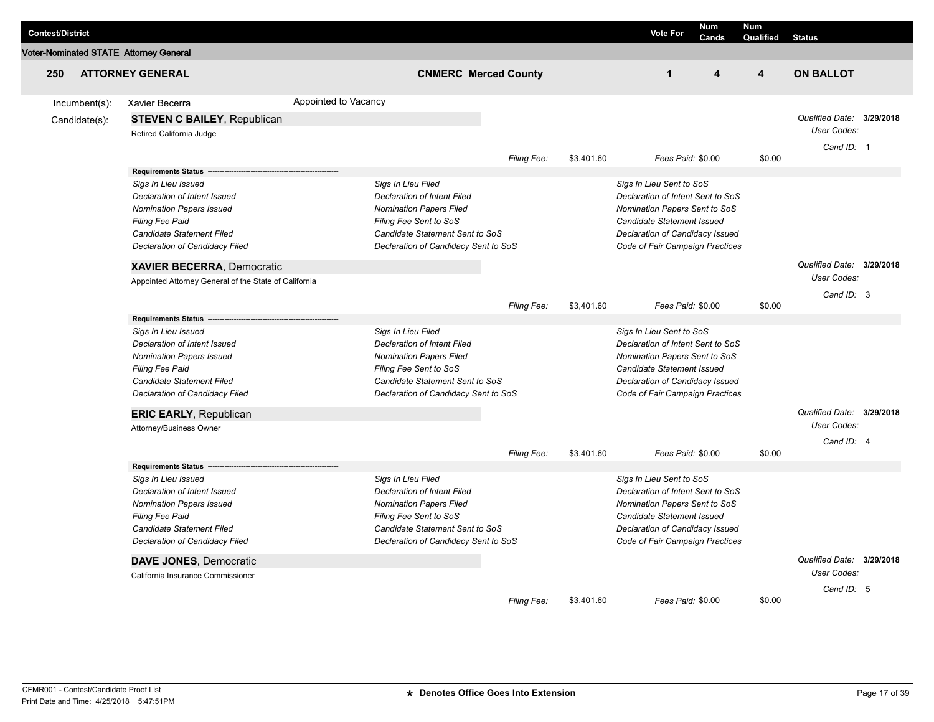| <b>Contest/District</b> |                  |                                                                                                                                                                                                               |                      |                                                                                                                                                                                                 |             |            | <b>Vote For</b>                                                                                                                                                                                           | <b>Num</b><br>Cands | <b>Num</b><br>Qualified | <b>Status</b>                                          |  |
|-------------------------|------------------|---------------------------------------------------------------------------------------------------------------------------------------------------------------------------------------------------------------|----------------------|-------------------------------------------------------------------------------------------------------------------------------------------------------------------------------------------------|-------------|------------|-----------------------------------------------------------------------------------------------------------------------------------------------------------------------------------------------------------|---------------------|-------------------------|--------------------------------------------------------|--|
|                         |                  | <b>Voter-Nominated STATE Attorney General</b>                                                                                                                                                                 |                      |                                                                                                                                                                                                 |             |            |                                                                                                                                                                                                           |                     |                         |                                                        |  |
| 250                     |                  | <b>ATTORNEY GENERAL</b>                                                                                                                                                                                       |                      | <b>CNMERC Merced County</b>                                                                                                                                                                     |             |            | $\mathbf{1}$                                                                                                                                                                                              | 4                   | $\overline{\mathbf{4}}$ | <b>ON BALLOT</b>                                       |  |
|                         | $Incumbent(s)$ : | Xavier Becerra                                                                                                                                                                                                | Appointed to Vacancy |                                                                                                                                                                                                 |             |            |                                                                                                                                                                                                           |                     |                         |                                                        |  |
|                         | Candidate(s):    | <b>STEVEN C BAILEY, Republican</b><br>Retired California Judge                                                                                                                                                |                      |                                                                                                                                                                                                 |             |            |                                                                                                                                                                                                           |                     |                         | Qualified Date: 3/29/2018<br>User Codes:<br>Cand ID: 1 |  |
|                         |                  |                                                                                                                                                                                                               |                      |                                                                                                                                                                                                 | Filing Fee: | \$3,401.60 | Fees Paid: \$0.00                                                                                                                                                                                         |                     | \$0.00                  |                                                        |  |
|                         |                  | <b>Requirements Status</b><br>Sigs In Lieu Issued<br>Declaration of Intent Issued<br>Nomination Papers Issued<br><b>Filing Fee Paid</b><br>Candidate Statement Filed<br>Declaration of Candidacy Filed        |                      | Sigs In Lieu Filed<br><b>Declaration of Intent Filed</b><br><b>Nomination Papers Filed</b><br>Filing Fee Sent to SoS<br>Candidate Statement Sent to SoS<br>Declaration of Candidacy Sent to SoS |             |            | Sigs In Lieu Sent to SoS<br>Declaration of Intent Sent to SoS<br>Nomination Papers Sent to SoS<br><b>Candidate Statement Issued</b><br>Declaration of Candidacy Issued<br>Code of Fair Campaign Practices |                     |                         |                                                        |  |
|                         |                  | XAVIER BECERRA, Democratic<br>Appointed Attorney General of the State of California                                                                                                                           |                      |                                                                                                                                                                                                 |             |            |                                                                                                                                                                                                           |                     |                         | Qualified Date: 3/29/2018<br>User Codes:               |  |
|                         |                  |                                                                                                                                                                                                               |                      |                                                                                                                                                                                                 | Filing Fee: | \$3,401.60 | Fees Paid: \$0.00                                                                                                                                                                                         |                     | \$0.00                  | Cand ID: 3                                             |  |
|                         |                  | <b>Requirements Status</b><br>Sigs In Lieu Issued<br>Declaration of Intent Issued<br><b>Nomination Papers Issued</b><br>Filing Fee Paid<br><b>Candidate Statement Filed</b><br>Declaration of Candidacy Filed |                      | Sigs In Lieu Filed<br><b>Declaration of Intent Filed</b><br><b>Nomination Papers Filed</b><br>Filing Fee Sent to SoS<br>Candidate Statement Sent to SoS<br>Declaration of Candidacy Sent to SoS |             |            | Sigs In Lieu Sent to SoS<br>Declaration of Intent Sent to SoS<br>Nomination Papers Sent to SoS<br>Candidate Statement Issued<br>Declaration of Candidacy Issued<br>Code of Fair Campaign Practices        |                     |                         |                                                        |  |
|                         |                  | <b>ERIC EARLY, Republican</b><br>Attorney/Business Owner                                                                                                                                                      |                      |                                                                                                                                                                                                 |             |            |                                                                                                                                                                                                           |                     |                         | Qualified Date: 3/29/2018<br>User Codes:<br>Cand ID: 4 |  |
|                         |                  |                                                                                                                                                                                                               |                      |                                                                                                                                                                                                 | Filing Fee: | \$3,401.60 | Fees Paid: \$0.00                                                                                                                                                                                         |                     | \$0.00                  |                                                        |  |
|                         |                  | <b>Requirements Status</b><br>Sigs In Lieu Issued<br>Declaration of Intent Issued<br><b>Nomination Papers Issued</b><br>Filing Fee Paid<br>Candidate Statement Filed<br>Declaration of Candidacy Filed        |                      | Sigs In Lieu Filed<br><b>Declaration of Intent Filed</b><br><b>Nomination Papers Filed</b><br>Filing Fee Sent to SoS<br>Candidate Statement Sent to SoS<br>Declaration of Candidacy Sent to SoS |             |            | Sigs In Lieu Sent to SoS<br>Declaration of Intent Sent to SoS<br>Nomination Papers Sent to SoS<br>Candidate Statement Issued<br>Declaration of Candidacy Issued<br>Code of Fair Campaign Practices        |                     |                         |                                                        |  |
|                         |                  | <b>DAVE JONES, Democratic</b><br>California Insurance Commissioner                                                                                                                                            |                      |                                                                                                                                                                                                 |             |            |                                                                                                                                                                                                           |                     |                         | Qualified Date: 3/29/2018<br>User Codes:               |  |
|                         |                  |                                                                                                                                                                                                               |                      |                                                                                                                                                                                                 | Filing Fee: | \$3.401.60 | Fees Paid: \$0.00                                                                                                                                                                                         |                     | \$0.00                  | Cand ID: 5                                             |  |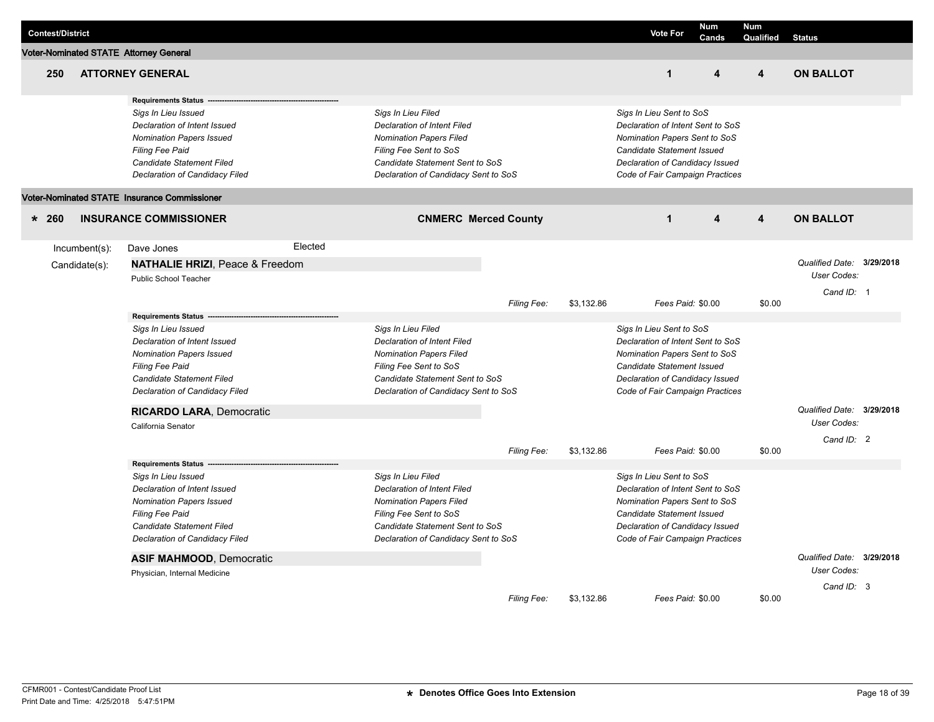| <b>Contest/District</b>                       |                                                                                                                                                                                                                                           |         |                                                                                                                                                                                                 |                             |            | <b>Vote For</b>                                                                                                                                                                                    | <b>Num</b>        | <b>Num</b>              |                                                        |  |
|-----------------------------------------------|-------------------------------------------------------------------------------------------------------------------------------------------------------------------------------------------------------------------------------------------|---------|-------------------------------------------------------------------------------------------------------------------------------------------------------------------------------------------------|-----------------------------|------------|----------------------------------------------------------------------------------------------------------------------------------------------------------------------------------------------------|-------------------|-------------------------|--------------------------------------------------------|--|
| <b>Voter-Nominated STATE Attorney General</b> |                                                                                                                                                                                                                                           |         |                                                                                                                                                                                                 |                             |            |                                                                                                                                                                                                    | Cands             | Qualified               | <b>Status</b>                                          |  |
| 250                                           | <b>ATTORNEY GENERAL</b>                                                                                                                                                                                                                   |         |                                                                                                                                                                                                 |                             |            | $\mathbf{1}$                                                                                                                                                                                       | 4                 | $\overline{\mathbf{4}}$ | <b>ON BALLOT</b>                                       |  |
|                                               | <b>Requirements Status</b><br>Sigs In Lieu Issued<br>Declaration of Intent Issued<br><b>Nomination Papers Issued</b><br><b>Filing Fee Paid</b><br>Candidate Statement Filed<br>Declaration of Candidacy Filed                             |         | Sigs In Lieu Filed<br><b>Declaration of Intent Filed</b><br><b>Nomination Papers Filed</b><br>Filing Fee Sent to SoS<br>Candidate Statement Sent to SoS<br>Declaration of Candidacy Sent to SoS |                             |            | Sigs In Lieu Sent to SoS<br>Declaration of Intent Sent to SoS<br>Nomination Papers Sent to SoS<br>Candidate Statement Issued<br>Declaration of Candidacy Issued<br>Code of Fair Campaign Practices |                   |                         |                                                        |  |
|                                               | Voter-Nominated STATE Insurance Commissioner                                                                                                                                                                                              |         |                                                                                                                                                                                                 |                             |            |                                                                                                                                                                                                    |                   |                         |                                                        |  |
| $* 260$                                       | <b>INSURANCE COMMISSIONER</b>                                                                                                                                                                                                             |         |                                                                                                                                                                                                 | <b>CNMERC Merced County</b> |            | $\mathbf{1}$                                                                                                                                                                                       | 4                 | $\overline{\mathbf{4}}$ | <b>ON BALLOT</b>                                       |  |
| $Incumbent(s)$ :<br>Candidate(s):             | Dave Jones<br><b>NATHALIE HRIZI, Peace &amp; Freedom</b><br>Public School Teacher                                                                                                                                                         | Elected |                                                                                                                                                                                                 |                             |            |                                                                                                                                                                                                    |                   |                         | Qualified Date: 3/29/2018<br>User Codes:<br>Cand ID: 1 |  |
|                                               |                                                                                                                                                                                                                                           |         |                                                                                                                                                                                                 | Filing Fee:                 | \$3.132.86 |                                                                                                                                                                                                    | Fees Paid: \$0.00 | \$0.00                  |                                                        |  |
|                                               | <b>Requirements Status</b><br>Sigs In Lieu Issued<br>Declaration of Intent Issued<br><b>Nomination Papers Issued</b><br>Filing Fee Paid<br>Candidate Statement Filed<br>Declaration of Candidacy Filed<br>RICARDO LARA, Democratic        |         | Sigs In Lieu Filed<br><b>Declaration of Intent Filed</b><br><b>Nomination Papers Filed</b><br>Filing Fee Sent to SoS<br>Candidate Statement Sent to SoS<br>Declaration of Candidacy Sent to SoS |                             |            | Sigs In Lieu Sent to SoS<br>Declaration of Intent Sent to SoS<br>Nomination Papers Sent to SoS<br>Candidate Statement Issued<br>Declaration of Candidacy Issued<br>Code of Fair Campaign Practices |                   |                         | Qualified Date: 3/29/2018                              |  |
|                                               | California Senator                                                                                                                                                                                                                        |         |                                                                                                                                                                                                 |                             |            |                                                                                                                                                                                                    |                   |                         | User Codes:                                            |  |
|                                               |                                                                                                                                                                                                                                           |         |                                                                                                                                                                                                 | Filing Fee:                 | \$3,132.86 |                                                                                                                                                                                                    | Fees Paid: \$0.00 | \$0.00                  | Cand ID: 2                                             |  |
|                                               | <b>Requirements Status</b><br>Sigs In Lieu Issued<br>Declaration of Intent Issued<br><b>Nomination Papers Issued</b><br>Filing Fee Paid<br>Candidate Statement Filed<br>Declaration of Candidacy Filed<br><b>ASIF MAHMOOD, Democratic</b> |         | Sigs In Lieu Filed<br><b>Declaration of Intent Filed</b><br><b>Nomination Papers Filed</b><br>Filing Fee Sent to SoS<br>Candidate Statement Sent to SoS<br>Declaration of Candidacy Sent to SoS |                             |            | Sigs In Lieu Sent to SoS<br>Declaration of Intent Sent to SoS<br>Nomination Papers Sent to SoS<br>Candidate Statement Issued<br>Declaration of Candidacy Issued<br>Code of Fair Campaign Practices |                   |                         | Qualified Date: 3/29/2018                              |  |
|                                               | Physician, Internal Medicine                                                                                                                                                                                                              |         |                                                                                                                                                                                                 |                             |            |                                                                                                                                                                                                    |                   |                         | User Codes:                                            |  |
|                                               |                                                                                                                                                                                                                                           |         |                                                                                                                                                                                                 | Filing Fee:                 | \$3,132.86 |                                                                                                                                                                                                    | Fees Paid: \$0.00 | \$0.00                  | Cand ID: 3                                             |  |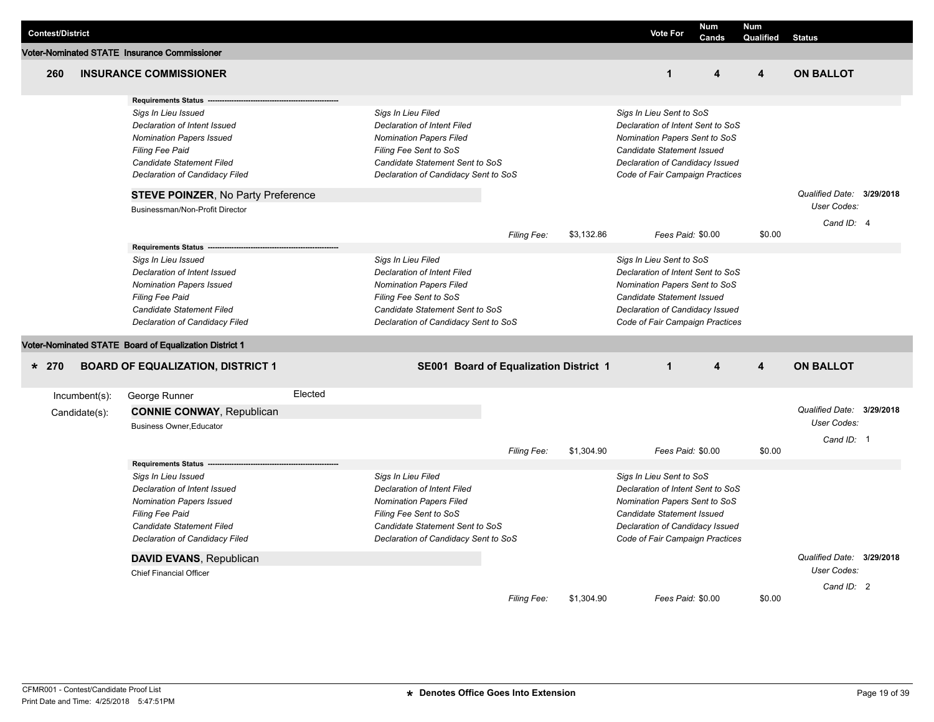| <b>Contest/District</b> |                                |                                                                                                                                                                                                                                                                                               |         |                                                                                                                                                                                                 |                                        |            | <b>Vote For</b>                                                                                                                                                                                    | <b>Num</b><br>Cands | <b>Num</b><br>Qualified | <b>Status</b>                                          |  |
|-------------------------|--------------------------------|-----------------------------------------------------------------------------------------------------------------------------------------------------------------------------------------------------------------------------------------------------------------------------------------------|---------|-------------------------------------------------------------------------------------------------------------------------------------------------------------------------------------------------|----------------------------------------|------------|----------------------------------------------------------------------------------------------------------------------------------------------------------------------------------------------------|---------------------|-------------------------|--------------------------------------------------------|--|
|                         |                                | Voter-Nominated STATE Insurance Commissioner                                                                                                                                                                                                                                                  |         |                                                                                                                                                                                                 |                                        |            |                                                                                                                                                                                                    |                     |                         |                                                        |  |
| 260                     |                                | <b>INSURANCE COMMISSIONER</b>                                                                                                                                                                                                                                                                 |         |                                                                                                                                                                                                 |                                        |            | $\overline{1}$                                                                                                                                                                                     | 4                   | $\overline{\mathbf{4}}$ | <b>ON BALLOT</b>                                       |  |
|                         |                                | <b>Requirements Status</b><br>Sigs In Lieu Issued<br>Declaration of Intent Issued<br><b>Nomination Papers Issued</b><br><b>Filing Fee Paid</b><br>Candidate Statement Filed<br>Declaration of Candidacy Filed<br><b>STEVE POINZER, No Party Preference</b><br>Businessman/Non-Profit Director |         | Sigs In Lieu Filed<br>Declaration of Intent Filed<br><b>Nomination Papers Filed</b><br>Filing Fee Sent to SoS<br>Candidate Statement Sent to SoS<br>Declaration of Candidacy Sent to SoS        |                                        |            | Sigs In Lieu Sent to SoS<br>Declaration of Intent Sent to SoS<br>Nomination Papers Sent to SoS<br>Candidate Statement Issued<br>Declaration of Candidacy Issued<br>Code of Fair Campaign Practices |                     |                         | Qualified Date: 3/29/2018<br>User Codes:               |  |
|                         |                                |                                                                                                                                                                                                                                                                                               |         |                                                                                                                                                                                                 | Filing Fee:                            | \$3,132.86 | Fees Paid: \$0.00                                                                                                                                                                                  |                     | \$0.00                  | Cand ID: 4                                             |  |
|                         |                                | <b>Requirements Status</b><br>Sigs In Lieu Issued<br>Declaration of Intent Issued<br><b>Nomination Papers Issued</b><br><b>Filing Fee Paid</b><br>Candidate Statement Filed<br>Declaration of Candidacy Filed                                                                                 |         | Sigs In Lieu Filed<br><b>Declaration of Intent Filed</b><br><b>Nomination Papers Filed</b><br>Filing Fee Sent to SoS<br>Candidate Statement Sent to SoS<br>Declaration of Candidacy Sent to SoS |                                        |            | Sigs In Lieu Sent to SoS<br>Declaration of Intent Sent to SoS<br>Nomination Papers Sent to SoS<br>Candidate Statement Issued<br>Declaration of Candidacy Issued<br>Code of Fair Campaign Practices |                     |                         |                                                        |  |
|                         |                                | Voter-Nominated STATE Board of Equalization District 1                                                                                                                                                                                                                                        |         |                                                                                                                                                                                                 |                                        |            |                                                                                                                                                                                                    |                     |                         |                                                        |  |
| $* 270$                 |                                | <b>BOARD OF EQUALIZATION, DISTRICT 1</b>                                                                                                                                                                                                                                                      |         |                                                                                                                                                                                                 | SE001 Board of Equalization District 1 |            | $\mathbf{1}$                                                                                                                                                                                       | 4                   | $\overline{4}$          | <b>ON BALLOT</b>                                       |  |
|                         | Incumbent(s):<br>Candidate(s): | George Runner<br><b>CONNIE CONWAY, Republican</b><br><b>Business Owner.Educator</b><br><b>Requirements Status</b>                                                                                                                                                                             | Elected |                                                                                                                                                                                                 | Filing Fee:                            | \$1,304.90 | Fees Paid: \$0.00                                                                                                                                                                                  |                     | \$0.00                  | Qualified Date: 3/29/2018<br>User Codes:<br>Cand ID: 1 |  |
|                         |                                | Sigs In Lieu Issued<br>Declaration of Intent Issued<br><b>Nomination Papers Issued</b><br><b>Filing Fee Paid</b><br>Candidate Statement Filed<br>Declaration of Candidacy Filed                                                                                                               |         | Sigs In Lieu Filed<br><b>Declaration of Intent Filed</b><br><b>Nomination Papers Filed</b><br>Filing Fee Sent to SoS<br>Candidate Statement Sent to SoS<br>Declaration of Candidacy Sent to SoS |                                        |            | Sigs In Lieu Sent to SoS<br>Declaration of Intent Sent to SoS<br>Nomination Papers Sent to SoS<br>Candidate Statement Issued<br>Declaration of Candidacy Issued<br>Code of Fair Campaign Practices |                     |                         |                                                        |  |
|                         |                                | <b>DAVID EVANS, Republican</b><br><b>Chief Financial Officer</b>                                                                                                                                                                                                                              |         |                                                                                                                                                                                                 |                                        |            |                                                                                                                                                                                                    |                     |                         | Qualified Date: 3/29/2018<br>User Codes:               |  |
|                         |                                |                                                                                                                                                                                                                                                                                               |         |                                                                                                                                                                                                 | Filing Fee:                            | \$1,304.90 | Fees Paid: \$0.00                                                                                                                                                                                  |                     | \$0.00                  | Cand ID: 2                                             |  |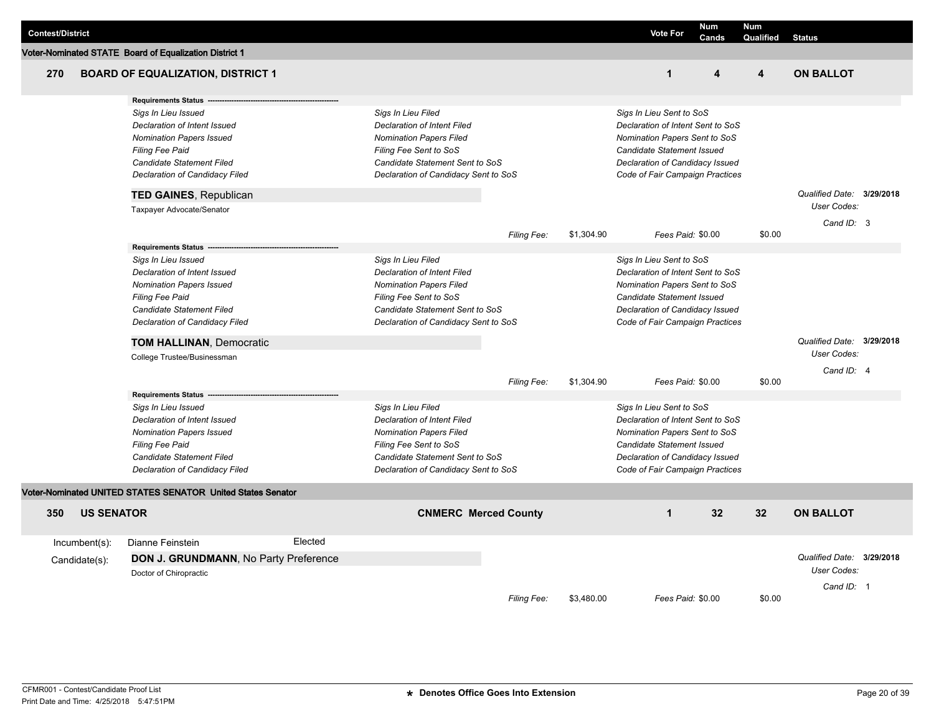| <b>Contest/District</b>                                                                                                                                                                                                                                                                                                                                                                                                           |                  |                                                                                                                         |                                                                                                                                                                                                                                                                                                           |                                                                                                                      |                    |                                                                                                                                                                                                                                                                                                                                                                | <b>Vote For</b>                                                                                                              | <b>Num</b><br>Cands | <b>Num</b><br>Qualified                                | <b>Status</b>                                            |  |
|-----------------------------------------------------------------------------------------------------------------------------------------------------------------------------------------------------------------------------------------------------------------------------------------------------------------------------------------------------------------------------------------------------------------------------------|------------------|-------------------------------------------------------------------------------------------------------------------------|-----------------------------------------------------------------------------------------------------------------------------------------------------------------------------------------------------------------------------------------------------------------------------------------------------------|----------------------------------------------------------------------------------------------------------------------|--------------------|----------------------------------------------------------------------------------------------------------------------------------------------------------------------------------------------------------------------------------------------------------------------------------------------------------------------------------------------------------------|------------------------------------------------------------------------------------------------------------------------------|---------------------|--------------------------------------------------------|----------------------------------------------------------|--|
|                                                                                                                                                                                                                                                                                                                                                                                                                                   |                  | Voter-Nominated STATE Board of Equalization District 1                                                                  |                                                                                                                                                                                                                                                                                                           |                                                                                                                      |                    |                                                                                                                                                                                                                                                                                                                                                                |                                                                                                                              |                     |                                                        |                                                          |  |
| 270                                                                                                                                                                                                                                                                                                                                                                                                                               |                  | <b>BOARD OF EQUALIZATION, DISTRICT 1</b>                                                                                |                                                                                                                                                                                                                                                                                                           |                                                                                                                      |                    |                                                                                                                                                                                                                                                                                                                                                                | $\mathbf{1}$                                                                                                                 | 4                   | 4                                                      | <b>ON BALLOT</b>                                         |  |
|                                                                                                                                                                                                                                                                                                                                                                                                                                   |                  | <b>Requirements Status</b>                                                                                              |                                                                                                                                                                                                                                                                                                           |                                                                                                                      |                    |                                                                                                                                                                                                                                                                                                                                                                |                                                                                                                              |                     |                                                        |                                                          |  |
|                                                                                                                                                                                                                                                                                                                                                                                                                                   |                  | Sigs In Lieu Issued<br><b>Declaration of Intent Issued</b><br><b>Nomination Papers Issued</b><br><b>Filing Fee Paid</b> |                                                                                                                                                                                                                                                                                                           | Sigs In Lieu Filed<br><b>Declaration of Intent Filed</b><br><b>Nomination Papers Filed</b><br>Filing Fee Sent to SoS |                    |                                                                                                                                                                                                                                                                                                                                                                | Sigs In Lieu Sent to SoS<br>Declaration of Intent Sent to SoS<br>Nomination Papers Sent to SoS<br>Candidate Statement Issued |                     |                                                        |                                                          |  |
|                                                                                                                                                                                                                                                                                                                                                                                                                                   |                  | Candidate Statement Filed                                                                                               |                                                                                                                                                                                                                                                                                                           | Candidate Statement Sent to SoS                                                                                      |                    |                                                                                                                                                                                                                                                                                                                                                                | Declaration of Candidacy Issued                                                                                              |                     |                                                        |                                                          |  |
|                                                                                                                                                                                                                                                                                                                                                                                                                                   |                  | Declaration of Candidacy Filed                                                                                          |                                                                                                                                                                                                                                                                                                           | Declaration of Candidacy Sent to SoS                                                                                 |                    |                                                                                                                                                                                                                                                                                                                                                                | Code of Fair Campaign Practices                                                                                              |                     |                                                        |                                                          |  |
|                                                                                                                                                                                                                                                                                                                                                                                                                                   |                  | <b>TED GAINES, Republican</b>                                                                                           |                                                                                                                                                                                                                                                                                                           |                                                                                                                      |                    |                                                                                                                                                                                                                                                                                                                                                                |                                                                                                                              |                     |                                                        | Qualified Date: 3/29/2018                                |  |
|                                                                                                                                                                                                                                                                                                                                                                                                                                   |                  | Taxpayer Advocate/Senator                                                                                               |                                                                                                                                                                                                                                                                                                           |                                                                                                                      |                    |                                                                                                                                                                                                                                                                                                                                                                |                                                                                                                              |                     |                                                        | User Codes:                                              |  |
|                                                                                                                                                                                                                                                                                                                                                                                                                                   |                  |                                                                                                                         |                                                                                                                                                                                                                                                                                                           |                                                                                                                      |                    |                                                                                                                                                                                                                                                                                                                                                                |                                                                                                                              |                     |                                                        | Cand ID: 3                                               |  |
|                                                                                                                                                                                                                                                                                                                                                                                                                                   |                  |                                                                                                                         |                                                                                                                                                                                                                                                                                                           |                                                                                                                      | <b>Filing Fee:</b> | \$1,304.90                                                                                                                                                                                                                                                                                                                                                     | Fees Paid: \$0.00                                                                                                            |                     | \$0.00                                                 |                                                          |  |
| <b>Requirements Status</b><br>Sigs In Lieu Issued<br>Declaration of Intent Issued<br><b>Nomination Papers Issued</b><br><b>Filing Fee Paid</b><br>Candidate Statement Filed<br>Declaration of Candidacy Filed<br><b>TOM HALLINAN, Democratic</b><br>College Trustee/Businessman<br><b>Requirements Status</b><br>Sigs In Lieu Issued<br>Declaration of Intent Issued<br><b>Nomination Papers Issued</b><br><b>Filing Fee Paid</b> |                  |                                                                                                                         | Sigs In Lieu Filed<br>Declaration of Intent Filed<br><b>Nomination Papers Filed</b><br>Filing Fee Sent to SoS<br>Candidate Statement Sent to SoS<br>Declaration of Candidacy Sent to SoS<br>Sigs In Lieu Filed<br>Declaration of Intent Filed<br><b>Nomination Papers Filed</b><br>Filing Fee Sent to SoS | Filing Fee:                                                                                                          | \$1,304.90         | Sigs In Lieu Sent to SoS<br>Declaration of Intent Sent to SoS<br>Nomination Papers Sent to SoS<br><b>Candidate Statement Issued</b><br>Declaration of Candidacy Issued<br>Code of Fair Campaign Practices<br>Fees Paid: \$0.00<br>Sigs In Lieu Sent to SoS<br>Declaration of Intent Sent to SoS<br>Nomination Papers Sent to SoS<br>Candidate Statement Issued |                                                                                                                              | \$0.00              | Qualified Date: 3/29/2018<br>User Codes:<br>Cand ID: 4 |                                                          |  |
|                                                                                                                                                                                                                                                                                                                                                                                                                                   |                  | Candidate Statement Filed<br>Declaration of Candidacy Filed                                                             |                                                                                                                                                                                                                                                                                                           | Candidate Statement Sent to SoS<br>Declaration of Candidacy Sent to SoS                                              |                    |                                                                                                                                                                                                                                                                                                                                                                | Declaration of Candidacy Issued<br>Code of Fair Campaign Practices                                                           |                     |                                                        |                                                          |  |
|                                                                                                                                                                                                                                                                                                                                                                                                                                   |                  | Voter-Nominated UNITED STATES SENATOR United States Senator                                                             |                                                                                                                                                                                                                                                                                                           |                                                                                                                      |                    |                                                                                                                                                                                                                                                                                                                                                                |                                                                                                                              |                     |                                                        |                                                          |  |
| 350                                                                                                                                                                                                                                                                                                                                                                                                                               |                  | <b>US SENATOR</b>                                                                                                       |                                                                                                                                                                                                                                                                                                           | <b>CNMERC Merced County</b>                                                                                          |                    |                                                                                                                                                                                                                                                                                                                                                                | $\mathbf{1}$                                                                                                                 | 32                  | 32                                                     | <b>ON BALLOT</b>                                         |  |
|                                                                                                                                                                                                                                                                                                                                                                                                                                   | $Incumbent(s)$ : | Dianne Feinstein                                                                                                        | Elected                                                                                                                                                                                                                                                                                                   |                                                                                                                      |                    |                                                                                                                                                                                                                                                                                                                                                                |                                                                                                                              |                     |                                                        |                                                          |  |
|                                                                                                                                                                                                                                                                                                                                                                                                                                   | Candidate(s):    | DON J. GRUNDMANN, No Party Preference<br>Doctor of Chiropractic                                                         |                                                                                                                                                                                                                                                                                                           |                                                                                                                      | Filing Fee:        | \$3.480.00                                                                                                                                                                                                                                                                                                                                                     | Fees Paid: \$0.00                                                                                                            |                     | \$0.00                                                 | Qualified Date: 3/29/2018<br>User Codes:<br>Cand $ID: 1$ |  |
|                                                                                                                                                                                                                                                                                                                                                                                                                                   |                  |                                                                                                                         |                                                                                                                                                                                                                                                                                                           |                                                                                                                      |                    |                                                                                                                                                                                                                                                                                                                                                                |                                                                                                                              |                     |                                                        |                                                          |  |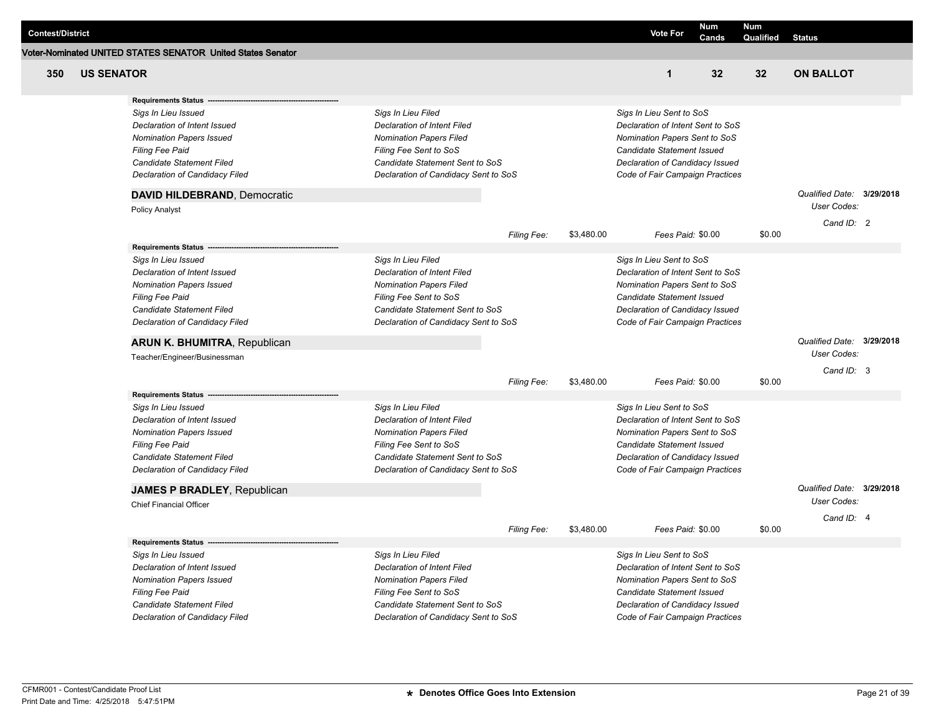| <b>Contest/District</b> |                   |                                                                                                                                                                                 |                                                                                                                                                                                                 |                    |            | <b>Vote For</b>                                                                                                                                                                                    | Num   | <b>Num</b>      |                           |  |
|-------------------------|-------------------|---------------------------------------------------------------------------------------------------------------------------------------------------------------------------------|-------------------------------------------------------------------------------------------------------------------------------------------------------------------------------------------------|--------------------|------------|----------------------------------------------------------------------------------------------------------------------------------------------------------------------------------------------------|-------|-----------------|---------------------------|--|
|                         |                   | Voter-Nominated UNITED STATES SENATOR United States Senator                                                                                                                     |                                                                                                                                                                                                 |                    |            |                                                                                                                                                                                                    | Cands | Qualified       | <b>Status</b>             |  |
| 350                     | <b>US SENATOR</b> |                                                                                                                                                                                 |                                                                                                                                                                                                 |                    |            | $\mathbf{1}$                                                                                                                                                                                       | 32    | 32 <sub>2</sub> | <b>ON BALLOT</b>          |  |
|                         |                   | <b>Requirements Status</b>                                                                                                                                                      |                                                                                                                                                                                                 |                    |            |                                                                                                                                                                                                    |       |                 |                           |  |
|                         |                   | Sigs In Lieu Issued<br>Declaration of Intent Issued<br><b>Nomination Papers Issued</b><br><b>Filing Fee Paid</b><br>Candidate Statement Filed<br>Declaration of Candidacy Filed | Sigs In Lieu Filed<br><b>Declaration of Intent Filed</b><br><b>Nomination Papers Filed</b><br>Filing Fee Sent to SoS<br>Candidate Statement Sent to SoS<br>Declaration of Candidacy Sent to SoS |                    |            | Sigs In Lieu Sent to SoS<br>Declaration of Intent Sent to SoS<br>Nomination Papers Sent to SoS<br>Candidate Statement Issued<br>Declaration of Candidacy Issued<br>Code of Fair Campaign Practices |       |                 |                           |  |
|                         |                   | DAVID HILDEBRAND, Democratic                                                                                                                                                    |                                                                                                                                                                                                 |                    |            |                                                                                                                                                                                                    |       |                 | Qualified Date: 3/29/2018 |  |
|                         |                   | <b>Policy Analyst</b>                                                                                                                                                           |                                                                                                                                                                                                 |                    |            |                                                                                                                                                                                                    |       |                 | User Codes:               |  |
|                         |                   |                                                                                                                                                                                 |                                                                                                                                                                                                 | Filing Fee:        | \$3,480.00 | Fees Paid: \$0.00                                                                                                                                                                                  |       | \$0.00          | Cand ID: 2                |  |
|                         |                   | <b>Requirements Status</b>                                                                                                                                                      |                                                                                                                                                                                                 |                    |            |                                                                                                                                                                                                    |       |                 |                           |  |
|                         |                   | Sigs In Lieu Issued<br>Declaration of Intent Issued<br><b>Nomination Papers Issued</b><br>Filing Fee Paid<br>Candidate Statement Filed<br>Declaration of Candidacy Filed        | Sigs In Lieu Filed<br><b>Declaration of Intent Filed</b><br><b>Nomination Papers Filed</b><br>Filing Fee Sent to SoS<br>Candidate Statement Sent to SoS<br>Declaration of Candidacy Sent to SoS |                    |            | Sigs In Lieu Sent to SoS<br>Declaration of Intent Sent to SoS<br>Nomination Papers Sent to SoS<br>Candidate Statement Issued<br>Declaration of Candidacy Issued<br>Code of Fair Campaign Practices |       |                 |                           |  |
|                         |                   | <b>ARUN K. BHUMITRA, Republican</b>                                                                                                                                             |                                                                                                                                                                                                 |                    |            |                                                                                                                                                                                                    |       |                 | Qualified Date: 3/29/2018 |  |
|                         |                   | Teacher/Engineer/Businessman                                                                                                                                                    |                                                                                                                                                                                                 |                    |            |                                                                                                                                                                                                    |       |                 | User Codes:               |  |
|                         |                   |                                                                                                                                                                                 |                                                                                                                                                                                                 | Filing Fee:        | \$3,480.00 | Fees Paid: \$0.00                                                                                                                                                                                  |       | \$0.00          | Cand ID: 3                |  |
|                         |                   | <b>Requirements Status</b>                                                                                                                                                      |                                                                                                                                                                                                 |                    |            |                                                                                                                                                                                                    |       |                 |                           |  |
|                         |                   | Sigs In Lieu Issued<br>Declaration of Intent Issued<br><b>Nomination Papers Issued</b><br><b>Filing Fee Paid</b><br>Candidate Statement Filed<br>Declaration of Candidacy Filed | Sigs In Lieu Filed<br><b>Declaration of Intent Filed</b><br><b>Nomination Papers Filed</b><br>Filing Fee Sent to SoS<br>Candidate Statement Sent to SoS<br>Declaration of Candidacy Sent to SoS |                    |            | Sigs In Lieu Sent to SoS<br>Declaration of Intent Sent to SoS<br>Nomination Papers Sent to SoS<br>Candidate Statement Issued<br>Declaration of Candidacy Issued<br>Code of Fair Campaign Practices |       |                 |                           |  |
|                         |                   | <b>JAMES P BRADLEY, Republican</b>                                                                                                                                              |                                                                                                                                                                                                 |                    |            |                                                                                                                                                                                                    |       |                 | Qualified Date: 3/29/2018 |  |
|                         |                   | <b>Chief Financial Officer</b>                                                                                                                                                  |                                                                                                                                                                                                 |                    |            |                                                                                                                                                                                                    |       |                 | <b>User Codes:</b>        |  |
|                         |                   |                                                                                                                                                                                 |                                                                                                                                                                                                 | <b>Filing Fee:</b> | \$3,480.00 | Fees Paid: \$0.00                                                                                                                                                                                  |       | \$0.00          | Cand ID: 4                |  |
|                         |                   | <b>Requirements Status</b>                                                                                                                                                      |                                                                                                                                                                                                 |                    |            |                                                                                                                                                                                                    |       |                 |                           |  |
|                         |                   | Sigs In Lieu Issued<br>Declaration of Intent Issued<br><b>Nomination Papers Issued</b><br><b>Filing Fee Paid</b><br>Candidate Statement Filed                                   | Sigs In Lieu Filed<br><b>Declaration of Intent Filed</b><br><b>Nomination Papers Filed</b><br>Filing Fee Sent to SoS<br>Candidate Statement Sent to SoS                                         |                    |            | Sigs In Lieu Sent to SoS<br>Declaration of Intent Sent to SoS<br>Nomination Papers Sent to SoS<br>Candidate Statement Issued<br>Declaration of Candidacy Issued                                    |       |                 |                           |  |
|                         |                   | Declaration of Candidacy Filed                                                                                                                                                  | Declaration of Candidacy Sent to SoS                                                                                                                                                            |                    |            | Code of Fair Campaign Practices                                                                                                                                                                    |       |                 |                           |  |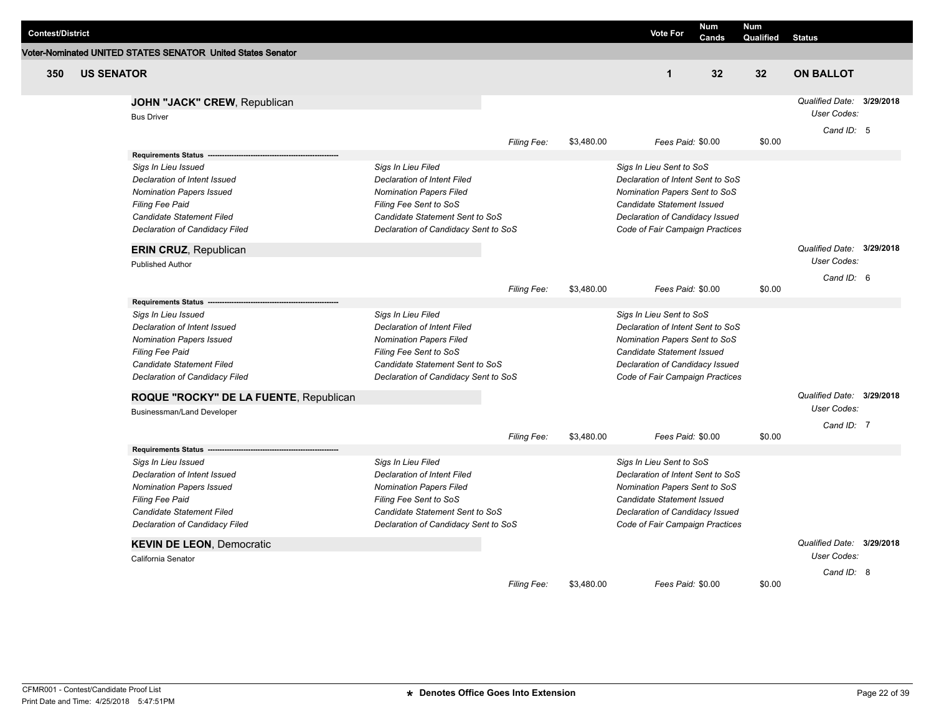| <b>Contest/District</b> |                   |                                                             |                                      |                    |            | <b>Vote For</b>                   | <b>Num</b><br>Cands | <b>Num</b><br>Qualified | <b>Status</b>             |  |
|-------------------------|-------------------|-------------------------------------------------------------|--------------------------------------|--------------------|------------|-----------------------------------|---------------------|-------------------------|---------------------------|--|
|                         |                   | Voter-Nominated UNITED STATES SENATOR United States Senator |                                      |                    |            |                                   |                     |                         |                           |  |
| 350                     | <b>US SENATOR</b> |                                                             |                                      |                    |            | $\mathbf{1}$                      | 32                  | 32 <sub>2</sub>         | <b>ON BALLOT</b>          |  |
|                         |                   | JOHN "JACK" CREW, Republican                                |                                      |                    |            |                                   |                     |                         | Qualified Date: 3/29/2018 |  |
|                         |                   | <b>Bus Driver</b>                                           |                                      |                    |            |                                   |                     |                         | User Codes:               |  |
|                         |                   |                                                             |                                      | Filing Fee:        | \$3,480.00 | Fees Paid: \$0.00                 |                     | \$0.00                  | Cand ID: 5                |  |
|                         |                   | <b>Requirements Status</b>                                  |                                      |                    |            |                                   |                     |                         |                           |  |
|                         |                   | Sigs In Lieu Issued                                         | Sigs In Lieu Filed                   |                    |            | Sigs In Lieu Sent to SoS          |                     |                         |                           |  |
|                         |                   | Declaration of Intent Issued                                | <b>Declaration of Intent Filed</b>   |                    |            | Declaration of Intent Sent to SoS |                     |                         |                           |  |
|                         |                   | <b>Nomination Papers Issued</b>                             | <b>Nomination Papers Filed</b>       |                    |            | Nomination Papers Sent to SoS     |                     |                         |                           |  |
|                         |                   | Filing Fee Paid                                             | Filing Fee Sent to SoS               |                    |            | <b>Candidate Statement Issued</b> |                     |                         |                           |  |
|                         |                   | Candidate Statement Filed                                   | Candidate Statement Sent to SoS      |                    |            | Declaration of Candidacy Issued   |                     |                         |                           |  |
|                         |                   | Declaration of Candidacy Filed                              | Declaration of Candidacy Sent to SoS |                    |            | Code of Fair Campaign Practices   |                     |                         |                           |  |
|                         |                   | ERIN CRUZ, Republican                                       |                                      |                    |            |                                   |                     |                         | Qualified Date: 3/29/2018 |  |
|                         |                   | <b>Published Author</b>                                     |                                      |                    |            |                                   |                     |                         | User Codes:               |  |
|                         |                   |                                                             |                                      |                    |            |                                   |                     |                         | Cand $ID: 6$              |  |
|                         |                   |                                                             |                                      | Filing Fee:        | \$3,480.00 | Fees Paid: \$0.00                 |                     | \$0.00                  |                           |  |
|                         |                   | <b>Requirements Status</b>                                  |                                      |                    |            |                                   |                     |                         |                           |  |
|                         |                   | Sigs In Lieu Issued                                         | Sigs In Lieu Filed                   |                    |            | Sigs In Lieu Sent to SoS          |                     |                         |                           |  |
|                         |                   | Declaration of Intent Issued                                | Declaration of Intent Filed          |                    |            | Declaration of Intent Sent to SoS |                     |                         |                           |  |
|                         |                   | <b>Nomination Papers Issued</b>                             | <b>Nomination Papers Filed</b>       |                    |            | Nomination Papers Sent to SoS     |                     |                         |                           |  |
|                         |                   | <b>Filing Fee Paid</b>                                      | Filing Fee Sent to SoS               |                    |            | <b>Candidate Statement Issued</b> |                     |                         |                           |  |
|                         |                   | Candidate Statement Filed                                   | Candidate Statement Sent to SoS      |                    |            | Declaration of Candidacy Issued   |                     |                         |                           |  |
|                         |                   | Declaration of Candidacy Filed                              | Declaration of Candidacy Sent to SoS |                    |            | Code of Fair Campaign Practices   |                     |                         |                           |  |
|                         |                   | ROQUE "ROCKY" DE LA FUENTE, Republican                      |                                      |                    |            |                                   |                     |                         | Qualified Date: 3/29/2018 |  |
|                         |                   | <b>Businessman/Land Developer</b>                           |                                      |                    |            |                                   |                     |                         | User Codes:               |  |
|                         |                   |                                                             |                                      | Filing Fee:        | \$3,480.00 | Fees Paid: \$0.00                 |                     | \$0.00                  | Cand ID: 7                |  |
|                         |                   | Requirements Status --                                      |                                      |                    |            |                                   |                     |                         |                           |  |
|                         |                   | Sigs In Lieu Issued                                         | Sigs In Lieu Filed                   |                    |            | Sigs In Lieu Sent to SoS          |                     |                         |                           |  |
|                         |                   | Declaration of Intent Issued                                | <b>Declaration of Intent Filed</b>   |                    |            | Declaration of Intent Sent to SoS |                     |                         |                           |  |
|                         |                   | <b>Nomination Papers Issued</b>                             | Nomination Papers Filed              |                    |            | Nomination Papers Sent to SoS     |                     |                         |                           |  |
|                         |                   | <b>Filing Fee Paid</b>                                      | Filing Fee Sent to SoS               |                    |            | <b>Candidate Statement Issued</b> |                     |                         |                           |  |
|                         |                   | Candidate Statement Filed                                   | Candidate Statement Sent to SoS      |                    |            | Declaration of Candidacy Issued   |                     |                         |                           |  |
|                         |                   | Declaration of Candidacy Filed                              | Declaration of Candidacy Sent to SoS |                    |            | Code of Fair Campaign Practices   |                     |                         |                           |  |
|                         |                   | <b>KEVIN DE LEON, Democratic</b>                            |                                      |                    |            |                                   |                     |                         | Qualified Date: 3/29/2018 |  |
|                         |                   | California Senator                                          |                                      |                    |            |                                   |                     |                         | User Codes:               |  |
|                         |                   |                                                             |                                      |                    |            |                                   |                     |                         | Cand ID: 8                |  |
|                         |                   |                                                             |                                      | <b>Filing Fee:</b> | \$3,480.00 | Fees Paid: \$0.00                 |                     | \$0.00                  |                           |  |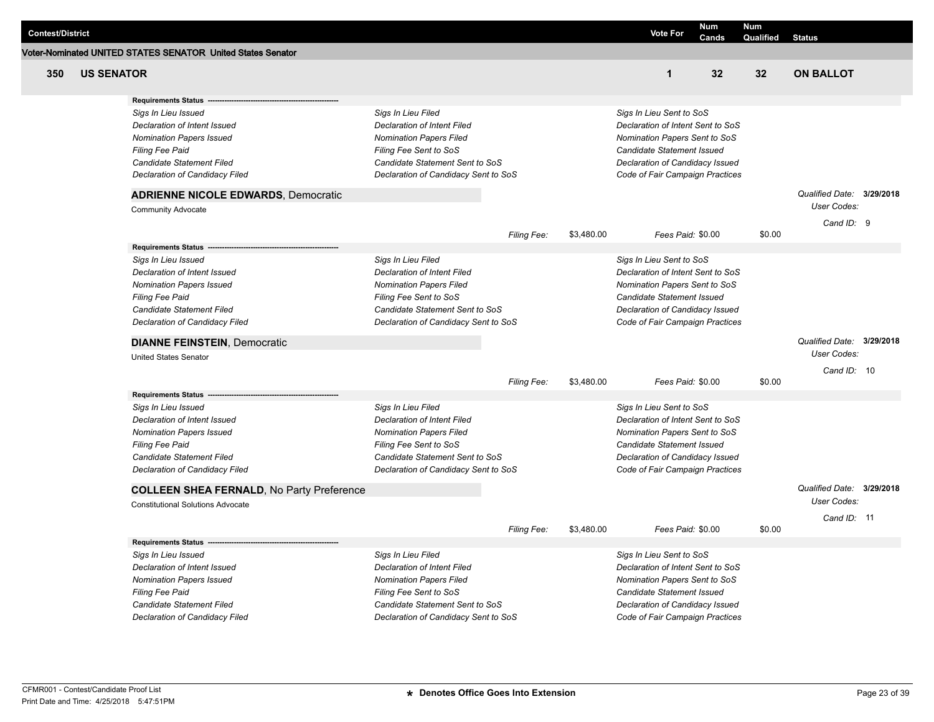| Voter-Nominated UNITED STATES SENATOR United States Senator<br>350<br>32<br>32<br><b>ON BALLOT</b><br><b>US SENATOR</b><br>$\mathbf{1}$<br><b>Requirements Status</b><br>Sigs In Lieu Filed<br>Sigs In Lieu Sent to SoS<br>Sigs In Lieu Issued<br>Declaration of Intent Issued<br><b>Declaration of Intent Filed</b><br>Declaration of Intent Sent to SoS<br><b>Nomination Papers Issued</b><br><b>Nomination Papers Filed</b><br>Nomination Papers Sent to SoS<br>Filing Fee Sent to SoS<br><b>Filing Fee Paid</b><br>Candidate Statement Issued<br>Candidate Statement Filed<br>Candidate Statement Sent to SoS<br>Declaration of Candidacy Issued<br>Declaration of Candidacy Filed<br>Declaration of Candidacy Sent to SoS<br>Code of Fair Campaign Practices<br>Qualified Date: 3/29/2018<br><b>ADRIENNE NICOLE EDWARDS, Democratic</b><br><b>User Codes:</b><br><b>Community Advocate</b><br>Cand ID: 9<br>Filing Fee:<br>\$3,480.00<br>Fees Paid: \$0.00<br>\$0.00<br><b>Requirements Status</b><br>Sigs In Lieu Filed<br>Sigs In Lieu Sent to SoS<br>Sigs In Lieu Issued<br><b>Declaration of Intent Filed</b><br>Declaration of Intent Sent to SoS<br>Declaration of Intent Issued<br><b>Nomination Papers Issued</b><br><b>Nomination Papers Filed</b><br>Nomination Papers Sent to SoS<br>Candidate Statement Issued<br><b>Filing Fee Paid</b><br>Filing Fee Sent to SoS<br>Candidate Statement Filed<br>Candidate Statement Sent to SoS<br>Declaration of Candidacy Issued<br>Declaration of Candidacy Filed<br>Declaration of Candidacy Sent to SoS<br>Code of Fair Campaign Practices<br>Qualified Date: 3/29/2018<br><b>DIANNE FEINSTEIN, Democratic</b><br><b>User Codes:</b><br><b>United States Senator</b><br>Cand ID: 10<br>\$0.00<br>Filing Fee:<br>\$3,480.00<br>Fees Paid: \$0.00<br><b>Requirements Status</b><br>Sigs In Lieu Filed<br>Sigs In Lieu Issued<br>Sigs In Lieu Sent to SoS<br>Declaration of Intent Issued<br><b>Declaration of Intent Filed</b><br>Declaration of Intent Sent to SoS<br><b>Nomination Papers Issued</b><br><b>Nomination Papers Filed</b><br>Nomination Papers Sent to SoS<br>Filing Fee Paid<br>Filing Fee Sent to SoS<br>Candidate Statement Issued<br>Candidate Statement Filed<br>Candidate Statement Sent to SoS<br>Declaration of Candidacy Issued<br>Declaration of Candidacy Filed<br>Declaration of Candidacy Sent to SoS<br>Code of Fair Campaign Practices<br>Qualified Date: 3/29/2018<br><b>COLLEEN SHEA FERNALD, No Party Preference</b><br>User Codes:<br><b>Constitutional Solutions Advocate</b><br>Cand ID: 11<br>\$0.00<br>\$3,480.00<br>Fees Paid: \$0.00<br>Filing Fee:<br><b>Requirements Status</b><br>Sigs In Lieu Filed<br>Sigs In Lieu Issued<br>Sigs In Lieu Sent to SoS<br>Declaration of Intent Issued<br><b>Declaration of Intent Filed</b><br>Declaration of Intent Sent to SoS<br><b>Nomination Papers Issued</b><br><b>Nomination Papers Filed</b><br>Nomination Papers Sent to SoS<br><b>Filing Fee Paid</b><br>Filing Fee Sent to SoS<br>Candidate Statement Issued<br>Candidate Statement Filed<br>Candidate Statement Sent to SoS<br>Declaration of Candidacy Issued<br>Declaration of Candidacy Filed<br>Declaration of Candidacy Sent to SoS<br>Code of Fair Campaign Practices | <b>Contest/District</b> |  |  | <b>Vote For</b> | Num<br>Cands | <b>Num</b><br>Qualified | <b>Status</b> |  |
|------------------------------------------------------------------------------------------------------------------------------------------------------------------------------------------------------------------------------------------------------------------------------------------------------------------------------------------------------------------------------------------------------------------------------------------------------------------------------------------------------------------------------------------------------------------------------------------------------------------------------------------------------------------------------------------------------------------------------------------------------------------------------------------------------------------------------------------------------------------------------------------------------------------------------------------------------------------------------------------------------------------------------------------------------------------------------------------------------------------------------------------------------------------------------------------------------------------------------------------------------------------------------------------------------------------------------------------------------------------------------------------------------------------------------------------------------------------------------------------------------------------------------------------------------------------------------------------------------------------------------------------------------------------------------------------------------------------------------------------------------------------------------------------------------------------------------------------------------------------------------------------------------------------------------------------------------------------------------------------------------------------------------------------------------------------------------------------------------------------------------------------------------------------------------------------------------------------------------------------------------------------------------------------------------------------------------------------------------------------------------------------------------------------------------------------------------------------------------------------------------------------------------------------------------------------------------------------------------------------------------------------------------------------------------------------------------------------------------------------------------------------------------------------------------------------------------------------------------------------------------------------------------------------------------------------------------------------------------------------------------------------------------------------------------------------------------------------------------------------------------------------------------------------------------------------------------------------------------------------------------------------------------|-------------------------|--|--|-----------------|--------------|-------------------------|---------------|--|
|                                                                                                                                                                                                                                                                                                                                                                                                                                                                                                                                                                                                                                                                                                                                                                                                                                                                                                                                                                                                                                                                                                                                                                                                                                                                                                                                                                                                                                                                                                                                                                                                                                                                                                                                                                                                                                                                                                                                                                                                                                                                                                                                                                                                                                                                                                                                                                                                                                                                                                                                                                                                                                                                                                                                                                                                                                                                                                                                                                                                                                                                                                                                                                                                                                                                              |                         |  |  |                 |              |                         |               |  |
|                                                                                                                                                                                                                                                                                                                                                                                                                                                                                                                                                                                                                                                                                                                                                                                                                                                                                                                                                                                                                                                                                                                                                                                                                                                                                                                                                                                                                                                                                                                                                                                                                                                                                                                                                                                                                                                                                                                                                                                                                                                                                                                                                                                                                                                                                                                                                                                                                                                                                                                                                                                                                                                                                                                                                                                                                                                                                                                                                                                                                                                                                                                                                                                                                                                                              |                         |  |  |                 |              |                         |               |  |
|                                                                                                                                                                                                                                                                                                                                                                                                                                                                                                                                                                                                                                                                                                                                                                                                                                                                                                                                                                                                                                                                                                                                                                                                                                                                                                                                                                                                                                                                                                                                                                                                                                                                                                                                                                                                                                                                                                                                                                                                                                                                                                                                                                                                                                                                                                                                                                                                                                                                                                                                                                                                                                                                                                                                                                                                                                                                                                                                                                                                                                                                                                                                                                                                                                                                              |                         |  |  |                 |              |                         |               |  |
|                                                                                                                                                                                                                                                                                                                                                                                                                                                                                                                                                                                                                                                                                                                                                                                                                                                                                                                                                                                                                                                                                                                                                                                                                                                                                                                                                                                                                                                                                                                                                                                                                                                                                                                                                                                                                                                                                                                                                                                                                                                                                                                                                                                                                                                                                                                                                                                                                                                                                                                                                                                                                                                                                                                                                                                                                                                                                                                                                                                                                                                                                                                                                                                                                                                                              |                         |  |  |                 |              |                         |               |  |
|                                                                                                                                                                                                                                                                                                                                                                                                                                                                                                                                                                                                                                                                                                                                                                                                                                                                                                                                                                                                                                                                                                                                                                                                                                                                                                                                                                                                                                                                                                                                                                                                                                                                                                                                                                                                                                                                                                                                                                                                                                                                                                                                                                                                                                                                                                                                                                                                                                                                                                                                                                                                                                                                                                                                                                                                                                                                                                                                                                                                                                                                                                                                                                                                                                                                              |                         |  |  |                 |              |                         |               |  |
|                                                                                                                                                                                                                                                                                                                                                                                                                                                                                                                                                                                                                                                                                                                                                                                                                                                                                                                                                                                                                                                                                                                                                                                                                                                                                                                                                                                                                                                                                                                                                                                                                                                                                                                                                                                                                                                                                                                                                                                                                                                                                                                                                                                                                                                                                                                                                                                                                                                                                                                                                                                                                                                                                                                                                                                                                                                                                                                                                                                                                                                                                                                                                                                                                                                                              |                         |  |  |                 |              |                         |               |  |
|                                                                                                                                                                                                                                                                                                                                                                                                                                                                                                                                                                                                                                                                                                                                                                                                                                                                                                                                                                                                                                                                                                                                                                                                                                                                                                                                                                                                                                                                                                                                                                                                                                                                                                                                                                                                                                                                                                                                                                                                                                                                                                                                                                                                                                                                                                                                                                                                                                                                                                                                                                                                                                                                                                                                                                                                                                                                                                                                                                                                                                                                                                                                                                                                                                                                              |                         |  |  |                 |              |                         |               |  |
|                                                                                                                                                                                                                                                                                                                                                                                                                                                                                                                                                                                                                                                                                                                                                                                                                                                                                                                                                                                                                                                                                                                                                                                                                                                                                                                                                                                                                                                                                                                                                                                                                                                                                                                                                                                                                                                                                                                                                                                                                                                                                                                                                                                                                                                                                                                                                                                                                                                                                                                                                                                                                                                                                                                                                                                                                                                                                                                                                                                                                                                                                                                                                                                                                                                                              |                         |  |  |                 |              |                         |               |  |
|                                                                                                                                                                                                                                                                                                                                                                                                                                                                                                                                                                                                                                                                                                                                                                                                                                                                                                                                                                                                                                                                                                                                                                                                                                                                                                                                                                                                                                                                                                                                                                                                                                                                                                                                                                                                                                                                                                                                                                                                                                                                                                                                                                                                                                                                                                                                                                                                                                                                                                                                                                                                                                                                                                                                                                                                                                                                                                                                                                                                                                                                                                                                                                                                                                                                              |                         |  |  |                 |              |                         |               |  |
|                                                                                                                                                                                                                                                                                                                                                                                                                                                                                                                                                                                                                                                                                                                                                                                                                                                                                                                                                                                                                                                                                                                                                                                                                                                                                                                                                                                                                                                                                                                                                                                                                                                                                                                                                                                                                                                                                                                                                                                                                                                                                                                                                                                                                                                                                                                                                                                                                                                                                                                                                                                                                                                                                                                                                                                                                                                                                                                                                                                                                                                                                                                                                                                                                                                                              |                         |  |  |                 |              |                         |               |  |
|                                                                                                                                                                                                                                                                                                                                                                                                                                                                                                                                                                                                                                                                                                                                                                                                                                                                                                                                                                                                                                                                                                                                                                                                                                                                                                                                                                                                                                                                                                                                                                                                                                                                                                                                                                                                                                                                                                                                                                                                                                                                                                                                                                                                                                                                                                                                                                                                                                                                                                                                                                                                                                                                                                                                                                                                                                                                                                                                                                                                                                                                                                                                                                                                                                                                              |                         |  |  |                 |              |                         |               |  |
|                                                                                                                                                                                                                                                                                                                                                                                                                                                                                                                                                                                                                                                                                                                                                                                                                                                                                                                                                                                                                                                                                                                                                                                                                                                                                                                                                                                                                                                                                                                                                                                                                                                                                                                                                                                                                                                                                                                                                                                                                                                                                                                                                                                                                                                                                                                                                                                                                                                                                                                                                                                                                                                                                                                                                                                                                                                                                                                                                                                                                                                                                                                                                                                                                                                                              |                         |  |  |                 |              |                         |               |  |
|                                                                                                                                                                                                                                                                                                                                                                                                                                                                                                                                                                                                                                                                                                                                                                                                                                                                                                                                                                                                                                                                                                                                                                                                                                                                                                                                                                                                                                                                                                                                                                                                                                                                                                                                                                                                                                                                                                                                                                                                                                                                                                                                                                                                                                                                                                                                                                                                                                                                                                                                                                                                                                                                                                                                                                                                                                                                                                                                                                                                                                                                                                                                                                                                                                                                              |                         |  |  |                 |              |                         |               |  |
|                                                                                                                                                                                                                                                                                                                                                                                                                                                                                                                                                                                                                                                                                                                                                                                                                                                                                                                                                                                                                                                                                                                                                                                                                                                                                                                                                                                                                                                                                                                                                                                                                                                                                                                                                                                                                                                                                                                                                                                                                                                                                                                                                                                                                                                                                                                                                                                                                                                                                                                                                                                                                                                                                                                                                                                                                                                                                                                                                                                                                                                                                                                                                                                                                                                                              |                         |  |  |                 |              |                         |               |  |
|                                                                                                                                                                                                                                                                                                                                                                                                                                                                                                                                                                                                                                                                                                                                                                                                                                                                                                                                                                                                                                                                                                                                                                                                                                                                                                                                                                                                                                                                                                                                                                                                                                                                                                                                                                                                                                                                                                                                                                                                                                                                                                                                                                                                                                                                                                                                                                                                                                                                                                                                                                                                                                                                                                                                                                                                                                                                                                                                                                                                                                                                                                                                                                                                                                                                              |                         |  |  |                 |              |                         |               |  |
|                                                                                                                                                                                                                                                                                                                                                                                                                                                                                                                                                                                                                                                                                                                                                                                                                                                                                                                                                                                                                                                                                                                                                                                                                                                                                                                                                                                                                                                                                                                                                                                                                                                                                                                                                                                                                                                                                                                                                                                                                                                                                                                                                                                                                                                                                                                                                                                                                                                                                                                                                                                                                                                                                                                                                                                                                                                                                                                                                                                                                                                                                                                                                                                                                                                                              |                         |  |  |                 |              |                         |               |  |
|                                                                                                                                                                                                                                                                                                                                                                                                                                                                                                                                                                                                                                                                                                                                                                                                                                                                                                                                                                                                                                                                                                                                                                                                                                                                                                                                                                                                                                                                                                                                                                                                                                                                                                                                                                                                                                                                                                                                                                                                                                                                                                                                                                                                                                                                                                                                                                                                                                                                                                                                                                                                                                                                                                                                                                                                                                                                                                                                                                                                                                                                                                                                                                                                                                                                              |                         |  |  |                 |              |                         |               |  |
|                                                                                                                                                                                                                                                                                                                                                                                                                                                                                                                                                                                                                                                                                                                                                                                                                                                                                                                                                                                                                                                                                                                                                                                                                                                                                                                                                                                                                                                                                                                                                                                                                                                                                                                                                                                                                                                                                                                                                                                                                                                                                                                                                                                                                                                                                                                                                                                                                                                                                                                                                                                                                                                                                                                                                                                                                                                                                                                                                                                                                                                                                                                                                                                                                                                                              |                         |  |  |                 |              |                         |               |  |
|                                                                                                                                                                                                                                                                                                                                                                                                                                                                                                                                                                                                                                                                                                                                                                                                                                                                                                                                                                                                                                                                                                                                                                                                                                                                                                                                                                                                                                                                                                                                                                                                                                                                                                                                                                                                                                                                                                                                                                                                                                                                                                                                                                                                                                                                                                                                                                                                                                                                                                                                                                                                                                                                                                                                                                                                                                                                                                                                                                                                                                                                                                                                                                                                                                                                              |                         |  |  |                 |              |                         |               |  |
|                                                                                                                                                                                                                                                                                                                                                                                                                                                                                                                                                                                                                                                                                                                                                                                                                                                                                                                                                                                                                                                                                                                                                                                                                                                                                                                                                                                                                                                                                                                                                                                                                                                                                                                                                                                                                                                                                                                                                                                                                                                                                                                                                                                                                                                                                                                                                                                                                                                                                                                                                                                                                                                                                                                                                                                                                                                                                                                                                                                                                                                                                                                                                                                                                                                                              |                         |  |  |                 |              |                         |               |  |
|                                                                                                                                                                                                                                                                                                                                                                                                                                                                                                                                                                                                                                                                                                                                                                                                                                                                                                                                                                                                                                                                                                                                                                                                                                                                                                                                                                                                                                                                                                                                                                                                                                                                                                                                                                                                                                                                                                                                                                                                                                                                                                                                                                                                                                                                                                                                                                                                                                                                                                                                                                                                                                                                                                                                                                                                                                                                                                                                                                                                                                                                                                                                                                                                                                                                              |                         |  |  |                 |              |                         |               |  |
|                                                                                                                                                                                                                                                                                                                                                                                                                                                                                                                                                                                                                                                                                                                                                                                                                                                                                                                                                                                                                                                                                                                                                                                                                                                                                                                                                                                                                                                                                                                                                                                                                                                                                                                                                                                                                                                                                                                                                                                                                                                                                                                                                                                                                                                                                                                                                                                                                                                                                                                                                                                                                                                                                                                                                                                                                                                                                                                                                                                                                                                                                                                                                                                                                                                                              |                         |  |  |                 |              |                         |               |  |
|                                                                                                                                                                                                                                                                                                                                                                                                                                                                                                                                                                                                                                                                                                                                                                                                                                                                                                                                                                                                                                                                                                                                                                                                                                                                                                                                                                                                                                                                                                                                                                                                                                                                                                                                                                                                                                                                                                                                                                                                                                                                                                                                                                                                                                                                                                                                                                                                                                                                                                                                                                                                                                                                                                                                                                                                                                                                                                                                                                                                                                                                                                                                                                                                                                                                              |                         |  |  |                 |              |                         |               |  |
|                                                                                                                                                                                                                                                                                                                                                                                                                                                                                                                                                                                                                                                                                                                                                                                                                                                                                                                                                                                                                                                                                                                                                                                                                                                                                                                                                                                                                                                                                                                                                                                                                                                                                                                                                                                                                                                                                                                                                                                                                                                                                                                                                                                                                                                                                                                                                                                                                                                                                                                                                                                                                                                                                                                                                                                                                                                                                                                                                                                                                                                                                                                                                                                                                                                                              |                         |  |  |                 |              |                         |               |  |
|                                                                                                                                                                                                                                                                                                                                                                                                                                                                                                                                                                                                                                                                                                                                                                                                                                                                                                                                                                                                                                                                                                                                                                                                                                                                                                                                                                                                                                                                                                                                                                                                                                                                                                                                                                                                                                                                                                                                                                                                                                                                                                                                                                                                                                                                                                                                                                                                                                                                                                                                                                                                                                                                                                                                                                                                                                                                                                                                                                                                                                                                                                                                                                                                                                                                              |                         |  |  |                 |              |                         |               |  |
|                                                                                                                                                                                                                                                                                                                                                                                                                                                                                                                                                                                                                                                                                                                                                                                                                                                                                                                                                                                                                                                                                                                                                                                                                                                                                                                                                                                                                                                                                                                                                                                                                                                                                                                                                                                                                                                                                                                                                                                                                                                                                                                                                                                                                                                                                                                                                                                                                                                                                                                                                                                                                                                                                                                                                                                                                                                                                                                                                                                                                                                                                                                                                                                                                                                                              |                         |  |  |                 |              |                         |               |  |
|                                                                                                                                                                                                                                                                                                                                                                                                                                                                                                                                                                                                                                                                                                                                                                                                                                                                                                                                                                                                                                                                                                                                                                                                                                                                                                                                                                                                                                                                                                                                                                                                                                                                                                                                                                                                                                                                                                                                                                                                                                                                                                                                                                                                                                                                                                                                                                                                                                                                                                                                                                                                                                                                                                                                                                                                                                                                                                                                                                                                                                                                                                                                                                                                                                                                              |                         |  |  |                 |              |                         |               |  |
|                                                                                                                                                                                                                                                                                                                                                                                                                                                                                                                                                                                                                                                                                                                                                                                                                                                                                                                                                                                                                                                                                                                                                                                                                                                                                                                                                                                                                                                                                                                                                                                                                                                                                                                                                                                                                                                                                                                                                                                                                                                                                                                                                                                                                                                                                                                                                                                                                                                                                                                                                                                                                                                                                                                                                                                                                                                                                                                                                                                                                                                                                                                                                                                                                                                                              |                         |  |  |                 |              |                         |               |  |
|                                                                                                                                                                                                                                                                                                                                                                                                                                                                                                                                                                                                                                                                                                                                                                                                                                                                                                                                                                                                                                                                                                                                                                                                                                                                                                                                                                                                                                                                                                                                                                                                                                                                                                                                                                                                                                                                                                                                                                                                                                                                                                                                                                                                                                                                                                                                                                                                                                                                                                                                                                                                                                                                                                                                                                                                                                                                                                                                                                                                                                                                                                                                                                                                                                                                              |                         |  |  |                 |              |                         |               |  |
|                                                                                                                                                                                                                                                                                                                                                                                                                                                                                                                                                                                                                                                                                                                                                                                                                                                                                                                                                                                                                                                                                                                                                                                                                                                                                                                                                                                                                                                                                                                                                                                                                                                                                                                                                                                                                                                                                                                                                                                                                                                                                                                                                                                                                                                                                                                                                                                                                                                                                                                                                                                                                                                                                                                                                                                                                                                                                                                                                                                                                                                                                                                                                                                                                                                                              |                         |  |  |                 |              |                         |               |  |
|                                                                                                                                                                                                                                                                                                                                                                                                                                                                                                                                                                                                                                                                                                                                                                                                                                                                                                                                                                                                                                                                                                                                                                                                                                                                                                                                                                                                                                                                                                                                                                                                                                                                                                                                                                                                                                                                                                                                                                                                                                                                                                                                                                                                                                                                                                                                                                                                                                                                                                                                                                                                                                                                                                                                                                                                                                                                                                                                                                                                                                                                                                                                                                                                                                                                              |                         |  |  |                 |              |                         |               |  |
|                                                                                                                                                                                                                                                                                                                                                                                                                                                                                                                                                                                                                                                                                                                                                                                                                                                                                                                                                                                                                                                                                                                                                                                                                                                                                                                                                                                                                                                                                                                                                                                                                                                                                                                                                                                                                                                                                                                                                                                                                                                                                                                                                                                                                                                                                                                                                                                                                                                                                                                                                                                                                                                                                                                                                                                                                                                                                                                                                                                                                                                                                                                                                                                                                                                                              |                         |  |  |                 |              |                         |               |  |
|                                                                                                                                                                                                                                                                                                                                                                                                                                                                                                                                                                                                                                                                                                                                                                                                                                                                                                                                                                                                                                                                                                                                                                                                                                                                                                                                                                                                                                                                                                                                                                                                                                                                                                                                                                                                                                                                                                                                                                                                                                                                                                                                                                                                                                                                                                                                                                                                                                                                                                                                                                                                                                                                                                                                                                                                                                                                                                                                                                                                                                                                                                                                                                                                                                                                              |                         |  |  |                 |              |                         |               |  |
|                                                                                                                                                                                                                                                                                                                                                                                                                                                                                                                                                                                                                                                                                                                                                                                                                                                                                                                                                                                                                                                                                                                                                                                                                                                                                                                                                                                                                                                                                                                                                                                                                                                                                                                                                                                                                                                                                                                                                                                                                                                                                                                                                                                                                                                                                                                                                                                                                                                                                                                                                                                                                                                                                                                                                                                                                                                                                                                                                                                                                                                                                                                                                                                                                                                                              |                         |  |  |                 |              |                         |               |  |
|                                                                                                                                                                                                                                                                                                                                                                                                                                                                                                                                                                                                                                                                                                                                                                                                                                                                                                                                                                                                                                                                                                                                                                                                                                                                                                                                                                                                                                                                                                                                                                                                                                                                                                                                                                                                                                                                                                                                                                                                                                                                                                                                                                                                                                                                                                                                                                                                                                                                                                                                                                                                                                                                                                                                                                                                                                                                                                                                                                                                                                                                                                                                                                                                                                                                              |                         |  |  |                 |              |                         |               |  |
|                                                                                                                                                                                                                                                                                                                                                                                                                                                                                                                                                                                                                                                                                                                                                                                                                                                                                                                                                                                                                                                                                                                                                                                                                                                                                                                                                                                                                                                                                                                                                                                                                                                                                                                                                                                                                                                                                                                                                                                                                                                                                                                                                                                                                                                                                                                                                                                                                                                                                                                                                                                                                                                                                                                                                                                                                                                                                                                                                                                                                                                                                                                                                                                                                                                                              |                         |  |  |                 |              |                         |               |  |
|                                                                                                                                                                                                                                                                                                                                                                                                                                                                                                                                                                                                                                                                                                                                                                                                                                                                                                                                                                                                                                                                                                                                                                                                                                                                                                                                                                                                                                                                                                                                                                                                                                                                                                                                                                                                                                                                                                                                                                                                                                                                                                                                                                                                                                                                                                                                                                                                                                                                                                                                                                                                                                                                                                                                                                                                                                                                                                                                                                                                                                                                                                                                                                                                                                                                              |                         |  |  |                 |              |                         |               |  |
|                                                                                                                                                                                                                                                                                                                                                                                                                                                                                                                                                                                                                                                                                                                                                                                                                                                                                                                                                                                                                                                                                                                                                                                                                                                                                                                                                                                                                                                                                                                                                                                                                                                                                                                                                                                                                                                                                                                                                                                                                                                                                                                                                                                                                                                                                                                                                                                                                                                                                                                                                                                                                                                                                                                                                                                                                                                                                                                                                                                                                                                                                                                                                                                                                                                                              |                         |  |  |                 |              |                         |               |  |
|                                                                                                                                                                                                                                                                                                                                                                                                                                                                                                                                                                                                                                                                                                                                                                                                                                                                                                                                                                                                                                                                                                                                                                                                                                                                                                                                                                                                                                                                                                                                                                                                                                                                                                                                                                                                                                                                                                                                                                                                                                                                                                                                                                                                                                                                                                                                                                                                                                                                                                                                                                                                                                                                                                                                                                                                                                                                                                                                                                                                                                                                                                                                                                                                                                                                              |                         |  |  |                 |              |                         |               |  |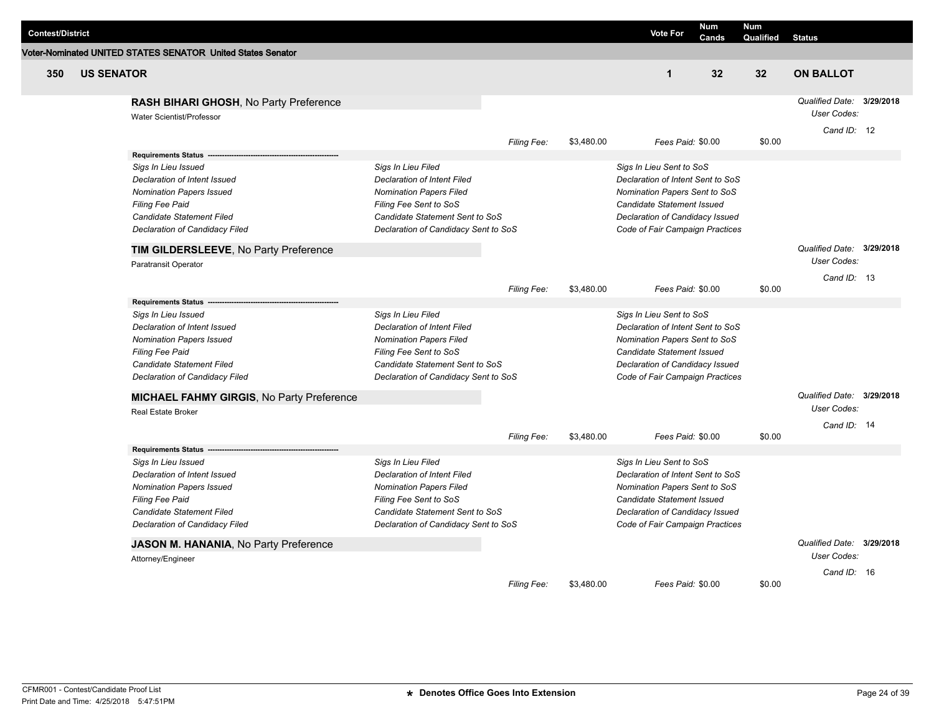| <b>Contest/District</b> |                   |                                                                     |                                      |             |            | <b>Vote For</b>                   | Num<br>Cands | <b>Num</b><br>Qualified | <b>Status</b>                            |  |
|-------------------------|-------------------|---------------------------------------------------------------------|--------------------------------------|-------------|------------|-----------------------------------|--------------|-------------------------|------------------------------------------|--|
|                         |                   | Voter-Nominated UNITED STATES SENATOR United States Senator         |                                      |             |            |                                   |              |                         |                                          |  |
| 350                     | <b>US SENATOR</b> |                                                                     |                                      |             |            | $\mathbf{1}$                      | 32           | 32                      | <b>ON BALLOT</b>                         |  |
|                         |                   | RASH BIHARI GHOSH, No Party Preference<br>Water Scientist/Professor |                                      |             |            |                                   |              |                         | Qualified Date: 3/29/2018<br>User Codes: |  |
|                         |                   |                                                                     |                                      | Filing Fee: | \$3,480.00 | Fees Paid: \$0.00                 |              | \$0.00                  | Cand ID: 12                              |  |
|                         |                   | <b>Requirements Status</b>                                          |                                      |             |            |                                   |              |                         |                                          |  |
|                         |                   | Sigs In Lieu Issued                                                 | Sigs In Lieu Filed                   |             |            | Sigs In Lieu Sent to SoS          |              |                         |                                          |  |
|                         |                   | Declaration of Intent Issued                                        | <b>Declaration of Intent Filed</b>   |             |            | Declaration of Intent Sent to SoS |              |                         |                                          |  |
|                         |                   | <b>Nomination Papers Issued</b>                                     | <b>Nomination Papers Filed</b>       |             |            | Nomination Papers Sent to SoS     |              |                         |                                          |  |
|                         |                   | <b>Filing Fee Paid</b>                                              | Filing Fee Sent to SoS               |             |            | Candidate Statement Issued        |              |                         |                                          |  |
|                         |                   | <b>Candidate Statement Filed</b>                                    | Candidate Statement Sent to SoS      |             |            | Declaration of Candidacy Issued   |              |                         |                                          |  |
|                         |                   | Declaration of Candidacy Filed                                      | Declaration of Candidacy Sent to SoS |             |            | Code of Fair Campaign Practices   |              |                         |                                          |  |
|                         |                   | TIM GILDERSLEEVE, No Party Preference                               |                                      |             |            |                                   |              |                         | Qualified Date: 3/29/2018                |  |
|                         |                   | Paratransit Operator                                                |                                      |             |            |                                   |              |                         | User Codes:                              |  |
|                         |                   |                                                                     |                                      | Filing Fee: | \$3,480.00 | Fees Paid: \$0.00                 |              | \$0.00                  | Cand ID: 13                              |  |
|                         |                   | <b>Requirements Status</b>                                          |                                      |             |            |                                   |              |                         |                                          |  |
|                         |                   | Sigs In Lieu Issued                                                 | Sigs In Lieu Filed                   |             |            | Sigs In Lieu Sent to SoS          |              |                         |                                          |  |
|                         |                   | Declaration of Intent Issued                                        | <b>Declaration of Intent Filed</b>   |             |            | Declaration of Intent Sent to SoS |              |                         |                                          |  |
|                         |                   | <b>Nomination Papers Issued</b>                                     | <b>Nomination Papers Filed</b>       |             |            | Nomination Papers Sent to SoS     |              |                         |                                          |  |
|                         |                   | <b>Filing Fee Paid</b>                                              | Filing Fee Sent to SoS               |             |            | Candidate Statement Issued        |              |                         |                                          |  |
|                         |                   | Candidate Statement Filed                                           | Candidate Statement Sent to SoS      |             |            | Declaration of Candidacy Issued   |              |                         |                                          |  |
|                         |                   | Declaration of Candidacy Filed                                      | Declaration of Candidacy Sent to SoS |             |            | Code of Fair Campaign Practices   |              |                         |                                          |  |
|                         |                   | MICHAEL FAHMY GIRGIS, No Party Preference                           |                                      |             |            |                                   |              |                         | Qualified Date: 3/29/2018                |  |
|                         |                   | Real Estate Broker                                                  |                                      |             |            |                                   |              |                         | <b>User Codes:</b>                       |  |
|                         |                   |                                                                     |                                      | Filing Fee: | \$3,480.00 | Fees Paid: \$0.00                 |              | \$0.00                  | Cand ID: 14                              |  |
|                         |                   | <b>Requirements Status</b>                                          |                                      |             |            |                                   |              |                         |                                          |  |
|                         |                   | Sigs In Lieu Issued                                                 | Sigs In Lieu Filed                   |             |            | Sigs In Lieu Sent to SoS          |              |                         |                                          |  |
|                         |                   | Declaration of Intent Issued                                        | <b>Declaration of Intent Filed</b>   |             |            | Declaration of Intent Sent to SoS |              |                         |                                          |  |
|                         |                   | <b>Nomination Papers Issued</b>                                     | <b>Nomination Papers Filed</b>       |             |            | Nomination Papers Sent to SoS     |              |                         |                                          |  |
|                         |                   | <b>Filing Fee Paid</b>                                              | Filing Fee Sent to SoS               |             |            | Candidate Statement Issued        |              |                         |                                          |  |
|                         |                   | Candidate Statement Filed                                           | Candidate Statement Sent to SoS      |             |            | Declaration of Candidacy Issued   |              |                         |                                          |  |
|                         |                   | Declaration of Candidacy Filed                                      | Declaration of Candidacy Sent to SoS |             |            | Code of Fair Campaign Practices   |              |                         |                                          |  |
|                         |                   | JASON M. HANANIA, No Party Preference                               |                                      |             |            |                                   |              |                         | Qualified Date: 3/29/2018                |  |
|                         |                   | Attorney/Engineer                                                   |                                      |             |            |                                   |              |                         | <b>User Codes:</b>                       |  |
|                         |                   |                                                                     |                                      |             |            |                                   |              |                         | Cand $ID: 16$                            |  |
|                         |                   |                                                                     |                                      | Filing Fee: | \$3,480.00 | Fees Paid: \$0.00                 |              | \$0.00                  |                                          |  |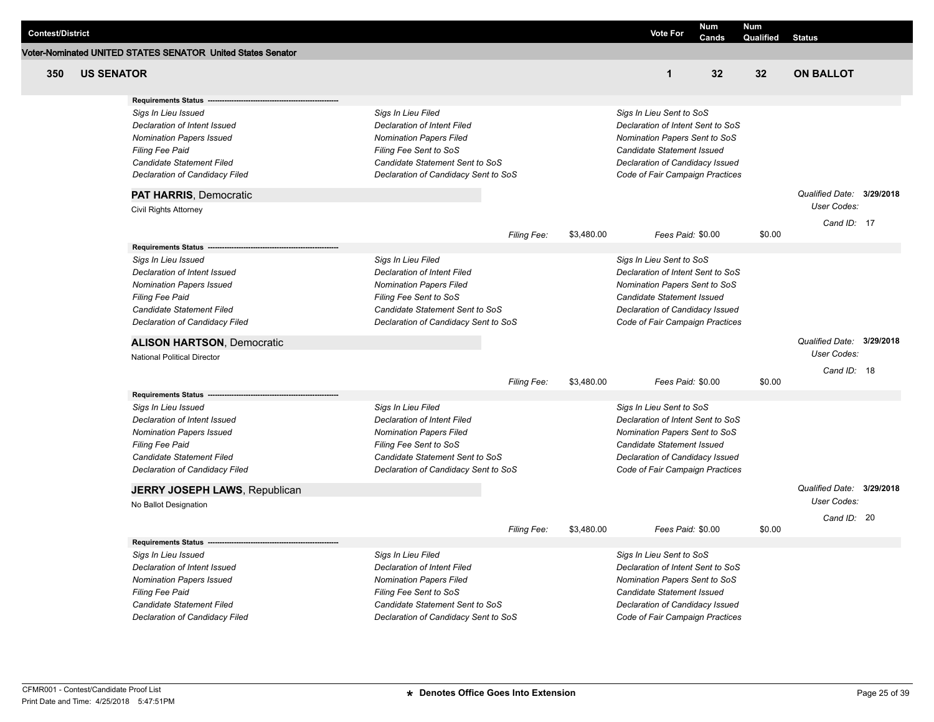|                         |                   |                                                             |                                      |                    |            |                                   | Num   | Num             |                           |  |
|-------------------------|-------------------|-------------------------------------------------------------|--------------------------------------|--------------------|------------|-----------------------------------|-------|-----------------|---------------------------|--|
| <b>Contest/District</b> |                   |                                                             |                                      |                    |            | <b>Vote For</b>                   | Cands | Qualified       | <b>Status</b>             |  |
|                         |                   | Voter-Nominated UNITED STATES SENATOR United States Senator |                                      |                    |            |                                   |       |                 |                           |  |
| 350                     | <b>US SENATOR</b> |                                                             |                                      |                    |            | $\mathbf{1}$                      | 32    | 32 <sub>2</sub> | <b>ON BALLOT</b>          |  |
|                         |                   |                                                             |                                      |                    |            |                                   |       |                 |                           |  |
|                         |                   | <b>Requirements Status</b>                                  |                                      |                    |            |                                   |       |                 |                           |  |
|                         |                   | Sigs In Lieu Issued                                         | Sigs In Lieu Filed                   |                    |            | Sigs In Lieu Sent to SoS          |       |                 |                           |  |
|                         |                   | Declaration of Intent Issued                                | Declaration of Intent Filed          |                    |            | Declaration of Intent Sent to SoS |       |                 |                           |  |
|                         |                   | <b>Nomination Papers Issued</b>                             | <b>Nomination Papers Filed</b>       |                    |            | Nomination Papers Sent to SoS     |       |                 |                           |  |
|                         |                   | Filing Fee Paid                                             | Filing Fee Sent to SoS               |                    |            | Candidate Statement Issued        |       |                 |                           |  |
|                         |                   | Candidate Statement Filed                                   | Candidate Statement Sent to SoS      |                    |            | Declaration of Candidacy Issued   |       |                 |                           |  |
|                         |                   | Declaration of Candidacy Filed                              | Declaration of Candidacy Sent to SoS |                    |            | Code of Fair Campaign Practices   |       |                 |                           |  |
|                         |                   | <b>PAT HARRIS, Democratic</b>                               |                                      |                    |            |                                   |       |                 | Qualified Date: 3/29/2018 |  |
|                         |                   | Civil Rights Attorney                                       |                                      |                    |            |                                   |       |                 | User Codes:               |  |
|                         |                   |                                                             |                                      | <b>Filing Fee:</b> | \$3,480.00 | Fees Paid: \$0.00                 |       | \$0.00          | Cand ID: 17               |  |
|                         |                   | <b>Requirements Status</b>                                  |                                      |                    |            |                                   |       |                 |                           |  |
|                         |                   | Sigs In Lieu Issued                                         | Sigs In Lieu Filed                   |                    |            | Sigs In Lieu Sent to SoS          |       |                 |                           |  |
|                         |                   | Declaration of Intent Issued                                | Declaration of Intent Filed          |                    |            | Declaration of Intent Sent to SoS |       |                 |                           |  |
|                         |                   | <b>Nomination Papers Issued</b>                             | <b>Nomination Papers Filed</b>       |                    |            | Nomination Papers Sent to SoS     |       |                 |                           |  |
|                         |                   | Filing Fee Paid                                             | Filing Fee Sent to SoS               |                    |            | Candidate Statement Issued        |       |                 |                           |  |
|                         |                   | Candidate Statement Filed                                   | Candidate Statement Sent to SoS      |                    |            | Declaration of Candidacy Issued   |       |                 |                           |  |
|                         |                   | Declaration of Candidacy Filed                              | Declaration of Candidacy Sent to SoS |                    |            | Code of Fair Campaign Practices   |       |                 |                           |  |
|                         |                   | <b>ALISON HARTSON, Democratic</b>                           |                                      |                    |            |                                   |       |                 | Qualified Date: 3/29/2018 |  |
|                         |                   | <b>National Political Director</b>                          |                                      |                    |            |                                   |       |                 | User Codes:               |  |
|                         |                   |                                                             |                                      |                    |            |                                   |       |                 | Cand ID: 18               |  |
|                         |                   |                                                             |                                      | Filing Fee:        | \$3,480.00 | Fees Paid: \$0.00                 |       | \$0.00          |                           |  |
|                         |                   | <b>Requirements Status</b>                                  |                                      |                    |            |                                   |       |                 |                           |  |
|                         |                   | Sigs In Lieu Issued                                         | Sigs In Lieu Filed                   |                    |            | Sigs In Lieu Sent to SoS          |       |                 |                           |  |
|                         |                   | Declaration of Intent Issued                                | Declaration of Intent Filed          |                    |            | Declaration of Intent Sent to SoS |       |                 |                           |  |
|                         |                   | <b>Nomination Papers Issued</b>                             | <b>Nomination Papers Filed</b>       |                    |            | Nomination Papers Sent to SoS     |       |                 |                           |  |
|                         |                   | <b>Filing Fee Paid</b>                                      | Filing Fee Sent to SoS               |                    |            | Candidate Statement Issued        |       |                 |                           |  |
|                         |                   | Candidate Statement Filed                                   | Candidate Statement Sent to SoS      |                    |            | Declaration of Candidacy Issued   |       |                 |                           |  |
|                         |                   | Declaration of Candidacy Filed                              | Declaration of Candidacy Sent to SoS |                    |            | Code of Fair Campaign Practices   |       |                 |                           |  |
|                         |                   | <b>JERRY JOSEPH LAWS, Republican</b>                        |                                      |                    |            |                                   |       |                 | Qualified Date: 3/29/2018 |  |
|                         |                   | No Ballot Designation                                       |                                      |                    |            |                                   |       |                 | User Codes:               |  |
|                         |                   |                                                             |                                      | Filing Fee:        | \$3,480.00 | Fees Paid: \$0.00                 |       | \$0.00          | Cand ID: 20               |  |
|                         |                   | <b>Requirements Status</b>                                  |                                      |                    |            |                                   |       |                 |                           |  |
|                         |                   | Sigs In Lieu Issued                                         | Sigs In Lieu Filed                   |                    |            | Sigs In Lieu Sent to SoS          |       |                 |                           |  |
|                         |                   | Declaration of Intent Issued                                | Declaration of Intent Filed          |                    |            | Declaration of Intent Sent to SoS |       |                 |                           |  |
|                         |                   | <b>Nomination Papers Issued</b>                             | <b>Nomination Papers Filed</b>       |                    |            | Nomination Papers Sent to SoS     |       |                 |                           |  |
|                         |                   | Filing Fee Paid                                             | Filing Fee Sent to SoS               |                    |            | Candidate Statement Issued        |       |                 |                           |  |
|                         |                   | Candidate Statement Filed                                   | Candidate Statement Sent to SoS      |                    |            | Declaration of Candidacy Issued   |       |                 |                           |  |
|                         |                   | Declaration of Candidacy Filed                              | Declaration of Candidacy Sent to SoS |                    |            | Code of Fair Campaign Practices   |       |                 |                           |  |
|                         |                   |                                                             |                                      |                    |            |                                   |       |                 |                           |  |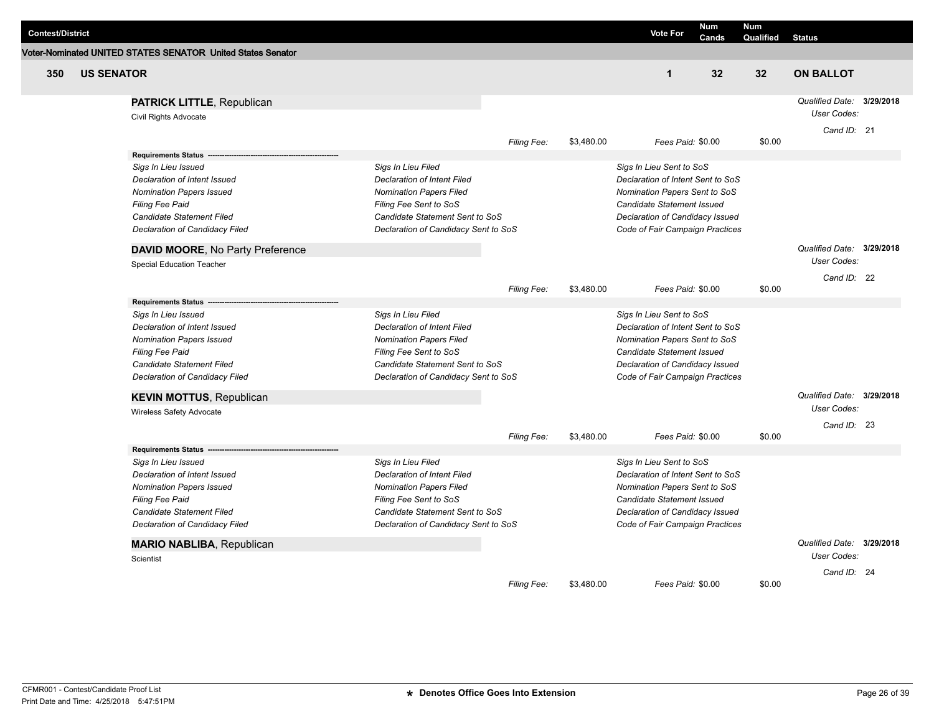| <b>Contest/District</b> |                   |                                                             |                                      |             |            | <b>Vote For</b>                   | <b>Num</b> | <b>Num</b> |                           |  |
|-------------------------|-------------------|-------------------------------------------------------------|--------------------------------------|-------------|------------|-----------------------------------|------------|------------|---------------------------|--|
|                         |                   | Voter-Nominated UNITED STATES SENATOR United States Senator |                                      |             |            |                                   | Cands      | Qualified  | <b>Status</b>             |  |
|                         |                   |                                                             |                                      |             |            |                                   |            |            |                           |  |
| 350                     | <b>US SENATOR</b> |                                                             |                                      |             |            | $\mathbf{1}$                      | 32         | 32         | <b>ON BALLOT</b>          |  |
|                         |                   | <b>PATRICK LITTLE, Republican</b>                           |                                      |             |            |                                   |            |            | Qualified Date: 3/29/2018 |  |
|                         |                   | Civil Rights Advocate                                       |                                      |             |            |                                   |            |            | User Codes:               |  |
|                         |                   |                                                             |                                      | Filing Fee: | \$3,480.00 | Fees Paid: \$0.00                 |            | \$0.00     | Cand ID: 21               |  |
|                         |                   | <b>Requirements Status</b>                                  |                                      |             |            |                                   |            |            |                           |  |
|                         |                   | Sigs In Lieu Issued                                         | Sigs In Lieu Filed                   |             |            | Sigs In Lieu Sent to SoS          |            |            |                           |  |
|                         |                   | Declaration of Intent Issued                                | <b>Declaration of Intent Filed</b>   |             |            | Declaration of Intent Sent to SoS |            |            |                           |  |
|                         |                   | <b>Nomination Papers Issued</b>                             | <b>Nomination Papers Filed</b>       |             |            | Nomination Papers Sent to SoS     |            |            |                           |  |
|                         |                   | <b>Filing Fee Paid</b>                                      | Filing Fee Sent to SoS               |             |            | Candidate Statement Issued        |            |            |                           |  |
|                         |                   | Candidate Statement Filed                                   | Candidate Statement Sent to SoS      |             |            | Declaration of Candidacy Issued   |            |            |                           |  |
|                         |                   | Declaration of Candidacy Filed                              | Declaration of Candidacy Sent to SoS |             |            | Code of Fair Campaign Practices   |            |            |                           |  |
|                         |                   | DAVID MOORE, No Party Preference                            |                                      |             |            |                                   |            |            | Qualified Date: 3/29/2018 |  |
|                         |                   | <b>Special Education Teacher</b>                            |                                      |             |            |                                   |            |            | User Codes:               |  |
|                         |                   |                                                             |                                      |             |            |                                   |            |            | Cand ID: 22               |  |
|                         |                   |                                                             |                                      | Filing Fee: | \$3,480.00 | Fees Paid: \$0.00                 |            | \$0.00     |                           |  |
|                         |                   | Requirements Status ---<br>Sigs In Lieu Issued              | Sigs In Lieu Filed                   |             |            | Sigs In Lieu Sent to SoS          |            |            |                           |  |
|                         |                   | Declaration of Intent Issued                                | <b>Declaration of Intent Filed</b>   |             |            | Declaration of Intent Sent to SoS |            |            |                           |  |
|                         |                   | <b>Nomination Papers Issued</b>                             | <b>Nomination Papers Filed</b>       |             |            | Nomination Papers Sent to SoS     |            |            |                           |  |
|                         |                   | Filing Fee Paid                                             | Filing Fee Sent to SoS               |             |            | Candidate Statement Issued        |            |            |                           |  |
|                         |                   | Candidate Statement Filed                                   | Candidate Statement Sent to SoS      |             |            | Declaration of Candidacy Issued   |            |            |                           |  |
|                         |                   | Declaration of Candidacy Filed                              | Declaration of Candidacy Sent to SoS |             |            | Code of Fair Campaign Practices   |            |            |                           |  |
|                         |                   |                                                             |                                      |             |            |                                   |            |            | Qualified Date: 3/29/2018 |  |
|                         |                   | <b>KEVIN MOTTUS, Republican</b><br>Wireless Safety Advocate |                                      |             |            |                                   |            |            | User Codes:               |  |
|                         |                   |                                                             |                                      |             |            |                                   |            |            | Cand ID: 23               |  |
|                         |                   |                                                             |                                      | Filing Fee: | \$3,480.00 | Fees Paid: \$0.00                 |            | \$0.00     |                           |  |
|                         |                   | <b>Requirements Status</b>                                  |                                      |             |            |                                   |            |            |                           |  |
|                         |                   | Sigs In Lieu Issued                                         | Sigs In Lieu Filed                   |             |            | Sigs In Lieu Sent to SoS          |            |            |                           |  |
|                         |                   | <b>Declaration of Intent Issued</b>                         | <b>Declaration of Intent Filed</b>   |             |            | Declaration of Intent Sent to SoS |            |            |                           |  |
|                         |                   | <b>Nomination Papers Issued</b>                             | <b>Nomination Papers Filed</b>       |             |            | Nomination Papers Sent to SoS     |            |            |                           |  |
|                         |                   | <b>Filing Fee Paid</b>                                      | Filing Fee Sent to SoS               |             |            | Candidate Statement Issued        |            |            |                           |  |
|                         |                   | Candidate Statement Filed                                   | Candidate Statement Sent to SoS      |             |            | Declaration of Candidacy Issued   |            |            |                           |  |
|                         |                   | Declaration of Candidacy Filed                              | Declaration of Candidacy Sent to SoS |             |            | Code of Fair Campaign Practices   |            |            |                           |  |
|                         |                   | <b>MARIO NABLIBA, Republican</b>                            |                                      |             |            |                                   |            |            | Qualified Date: 3/29/2018 |  |
|                         |                   | Scientist                                                   |                                      |             |            |                                   |            |            | User Codes:               |  |
|                         |                   |                                                             |                                      |             |            |                                   |            |            | Cand ID: 24               |  |
|                         |                   |                                                             |                                      | Filing Fee: | \$3,480.00 | Fees Paid: \$0.00                 |            | \$0.00     |                           |  |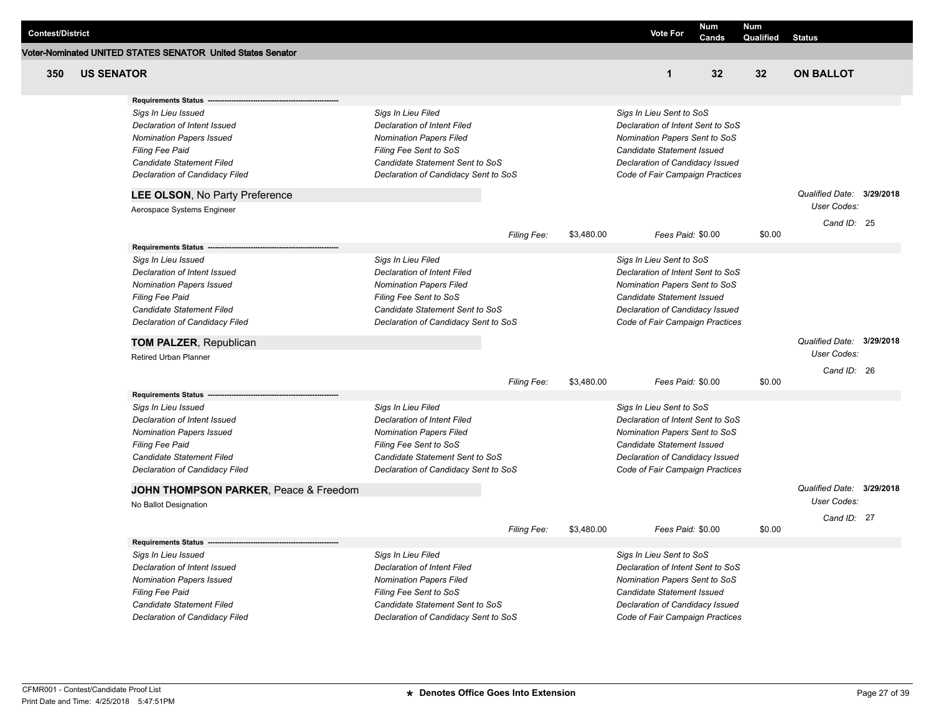|                         |                   |                                                             |                                      |             |            |                                   | <b>Num</b> | Num       |                           |  |
|-------------------------|-------------------|-------------------------------------------------------------|--------------------------------------|-------------|------------|-----------------------------------|------------|-----------|---------------------------|--|
| <b>Contest/District</b> |                   |                                                             |                                      |             |            | <b>Vote For</b>                   | Cands      | Qualified | <b>Status</b>             |  |
|                         |                   | Voter-Nominated UNITED STATES SENATOR United States Senator |                                      |             |            |                                   |            |           |                           |  |
| 350                     | <b>US SENATOR</b> |                                                             |                                      |             |            | $\mathbf{1}$                      | 32         | 32        | <b>ON BALLOT</b>          |  |
|                         |                   | <b>Requirements Status</b>                                  |                                      |             |            |                                   |            |           |                           |  |
|                         |                   | Sigs In Lieu Issued                                         | Sigs In Lieu Filed                   |             |            | Sigs In Lieu Sent to SoS          |            |           |                           |  |
|                         |                   | Declaration of Intent Issued                                | <b>Declaration of Intent Filed</b>   |             |            | Declaration of Intent Sent to SoS |            |           |                           |  |
|                         |                   | <b>Nomination Papers Issued</b>                             | <b>Nomination Papers Filed</b>       |             |            | Nomination Papers Sent to SoS     |            |           |                           |  |
|                         |                   | <b>Filing Fee Paid</b>                                      | Filing Fee Sent to SoS               |             |            | Candidate Statement Issued        |            |           |                           |  |
|                         |                   | Candidate Statement Filed                                   | Candidate Statement Sent to SoS      |             |            | Declaration of Candidacy Issued   |            |           |                           |  |
|                         |                   | Declaration of Candidacy Filed                              | Declaration of Candidacy Sent to SoS |             |            | Code of Fair Campaign Practices   |            |           |                           |  |
|                         |                   | <b>LEE OLSON, No Party Preference</b>                       |                                      |             |            |                                   |            |           | Qualified Date: 3/29/2018 |  |
|                         |                   | Aerospace Systems Engineer                                  |                                      |             |            |                                   |            |           | User Codes:               |  |
|                         |                   |                                                             |                                      | Filing Fee: | \$3,480.00 | Fees Paid: \$0.00                 |            | \$0.00    | Cand ID: 25               |  |
|                         |                   | <b>Requirements Status</b>                                  |                                      |             |            |                                   |            |           |                           |  |
|                         |                   | Sigs In Lieu Issued                                         | Sigs In Lieu Filed                   |             |            | Sigs In Lieu Sent to SoS          |            |           |                           |  |
|                         |                   | Declaration of Intent Issued                                | Declaration of Intent Filed          |             |            | Declaration of Intent Sent to SoS |            |           |                           |  |
|                         |                   | <b>Nomination Papers Issued</b>                             | <b>Nomination Papers Filed</b>       |             |            | Nomination Papers Sent to SoS     |            |           |                           |  |
|                         |                   | <b>Filing Fee Paid</b>                                      | Filing Fee Sent to SoS               |             |            | Candidate Statement Issued        |            |           |                           |  |
|                         |                   | Candidate Statement Filed                                   | Candidate Statement Sent to SoS      |             |            | Declaration of Candidacy Issued   |            |           |                           |  |
|                         |                   | Declaration of Candidacy Filed                              | Declaration of Candidacy Sent to SoS |             |            | Code of Fair Campaign Practices   |            |           |                           |  |
|                         |                   | <b>TOM PALZER, Republican</b>                               |                                      |             |            |                                   |            |           | Qualified Date: 3/29/2018 |  |
|                         |                   | Retired Urban Planner                                       |                                      |             |            |                                   |            |           | User Codes:               |  |
|                         |                   |                                                             |                                      | Filing Fee: | \$3,480.00 | Fees Paid: \$0.00                 |            | \$0.00    | Cand ID: 26               |  |
|                         |                   | <b>Requirements Status</b>                                  |                                      |             |            |                                   |            |           |                           |  |
|                         |                   | Sigs In Lieu Issued                                         | Sigs In Lieu Filed                   |             |            | Sigs In Lieu Sent to SoS          |            |           |                           |  |
|                         |                   | Declaration of Intent Issued                                | <b>Declaration of Intent Filed</b>   |             |            | Declaration of Intent Sent to SoS |            |           |                           |  |
|                         |                   | <b>Nomination Papers Issued</b>                             | <b>Nomination Papers Filed</b>       |             |            | Nomination Papers Sent to SoS     |            |           |                           |  |
|                         |                   | <b>Filing Fee Paid</b>                                      | Filing Fee Sent to SoS               |             |            | Candidate Statement Issued        |            |           |                           |  |
|                         |                   | Candidate Statement Filed                                   | Candidate Statement Sent to SoS      |             |            | Declaration of Candidacy Issued   |            |           |                           |  |
|                         |                   | Declaration of Candidacy Filed                              | Declaration of Candidacy Sent to SoS |             |            | Code of Fair Campaign Practices   |            |           |                           |  |
|                         |                   | JOHN THOMPSON PARKER, Peace & Freedom                       |                                      |             |            |                                   |            |           | Qualified Date: 3/29/2018 |  |
|                         |                   | No Ballot Designation                                       |                                      |             |            |                                   |            |           | <b>User Codes:</b>        |  |
|                         |                   |                                                             |                                      |             |            |                                   |            |           | Cand ID: 27               |  |
|                         |                   | <b>Requirements Status</b>                                  |                                      | Filing Fee: | \$3,480.00 | Fees Paid: \$0.00                 |            | \$0.00    |                           |  |
|                         |                   | Sigs In Lieu Issued                                         | Sigs In Lieu Filed                   |             |            | Sigs In Lieu Sent to SoS          |            |           |                           |  |
|                         |                   | Declaration of Intent Issued                                | <b>Declaration of Intent Filed</b>   |             |            | Declaration of Intent Sent to SoS |            |           |                           |  |
|                         |                   | <b>Nomination Papers Issued</b>                             | <b>Nomination Papers Filed</b>       |             |            | Nomination Papers Sent to SoS     |            |           |                           |  |
|                         |                   | <b>Filing Fee Paid</b>                                      | Filing Fee Sent to SoS               |             |            | Candidate Statement Issued        |            |           |                           |  |
|                         |                   | Candidate Statement Filed                                   | Candidate Statement Sent to SoS      |             |            | Declaration of Candidacy Issued   |            |           |                           |  |
|                         |                   | Declaration of Candidacy Filed                              | Declaration of Candidacy Sent to SoS |             |            | Code of Fair Campaign Practices   |            |           |                           |  |
|                         |                   |                                                             |                                      |             |            |                                   |            |           |                           |  |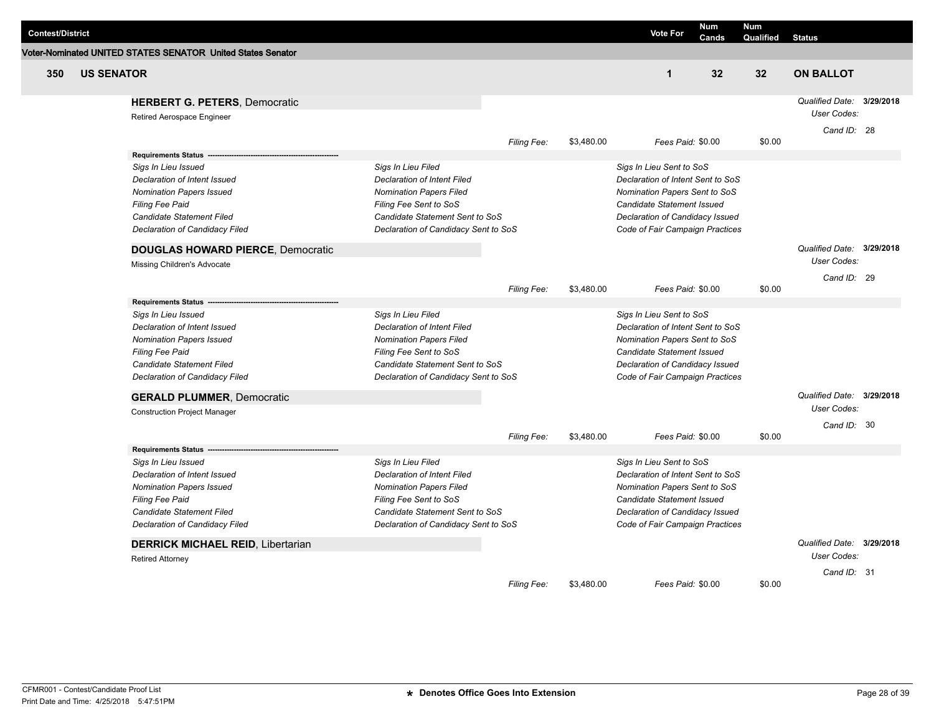|                         |                   |                                                             |                                                                         |             |            |                                                                    | <b>Num</b> | <b>Num</b> |                           |  |
|-------------------------|-------------------|-------------------------------------------------------------|-------------------------------------------------------------------------|-------------|------------|--------------------------------------------------------------------|------------|------------|---------------------------|--|
| <b>Contest/District</b> |                   |                                                             |                                                                         |             |            | <b>Vote For</b>                                                    | Cands      | Qualified  | <b>Status</b>             |  |
|                         |                   | Voter-Nominated UNITED STATES SENATOR United States Senator |                                                                         |             |            |                                                                    |            |            |                           |  |
| 350                     | <b>US SENATOR</b> |                                                             |                                                                         |             |            | $\mathbf{1}$                                                       | 32         | 32         | <b>ON BALLOT</b>          |  |
|                         |                   | <b>HERBERT G. PETERS, Democratic</b>                        |                                                                         |             |            |                                                                    |            |            | Qualified Date: 3/29/2018 |  |
|                         |                   | Retired Aerospace Engineer                                  |                                                                         |             |            |                                                                    |            |            | User Codes:               |  |
|                         |                   |                                                             |                                                                         |             |            |                                                                    |            |            | Cand ID: 28               |  |
|                         |                   |                                                             |                                                                         | Filing Fee: | \$3,480.00 | Fees Paid: \$0.00                                                  |            | \$0.00     |                           |  |
|                         |                   | <b>Requirements Status</b>                                  |                                                                         |             |            |                                                                    |            |            |                           |  |
|                         |                   | Sigs In Lieu Issued                                         | Sigs In Lieu Filed                                                      |             |            | Sigs In Lieu Sent to SoS                                           |            |            |                           |  |
|                         |                   | Declaration of Intent Issued                                | <b>Declaration of Intent Filed</b>                                      |             |            | Declaration of Intent Sent to SoS                                  |            |            |                           |  |
|                         |                   | <b>Nomination Papers Issued</b>                             | <b>Nomination Papers Filed</b>                                          |             |            | Nomination Papers Sent to SoS                                      |            |            |                           |  |
|                         |                   | <b>Filing Fee Paid</b>                                      | Filing Fee Sent to SoS                                                  |             |            | <b>Candidate Statement Issued</b>                                  |            |            |                           |  |
|                         |                   | Candidate Statement Filed<br>Declaration of Candidacy Filed | Candidate Statement Sent to SoS<br>Declaration of Candidacy Sent to SoS |             |            | Declaration of Candidacy Issued<br>Code of Fair Campaign Practices |            |            |                           |  |
|                         |                   |                                                             |                                                                         |             |            |                                                                    |            |            |                           |  |
|                         |                   | <b>DOUGLAS HOWARD PIERCE, Democratic</b>                    |                                                                         |             |            |                                                                    |            |            | Qualified Date: 3/29/2018 |  |
|                         |                   | Missing Children's Advocate                                 |                                                                         |             |            |                                                                    |            |            | User Codes:               |  |
|                         |                   |                                                             |                                                                         |             |            |                                                                    |            |            | Cand ID: 29               |  |
|                         |                   |                                                             |                                                                         | Filing Fee: | \$3,480.00 | Fees Paid: \$0.00                                                  |            | \$0.00     |                           |  |
|                         |                   | <b>Requirements Status</b>                                  |                                                                         |             |            |                                                                    |            |            |                           |  |
|                         |                   | Sigs In Lieu Issued                                         | Sigs In Lieu Filed                                                      |             |            | Sigs In Lieu Sent to SoS                                           |            |            |                           |  |
|                         |                   | Declaration of Intent Issued                                | <b>Declaration of Intent Filed</b>                                      |             |            | Declaration of Intent Sent to SoS                                  |            |            |                           |  |
|                         |                   | <b>Nomination Papers Issued</b>                             | <b>Nomination Papers Filed</b>                                          |             |            | Nomination Papers Sent to SoS                                      |            |            |                           |  |
|                         |                   | <b>Filing Fee Paid</b>                                      | Filing Fee Sent to SoS                                                  |             |            | <b>Candidate Statement Issued</b>                                  |            |            |                           |  |
|                         |                   | Candidate Statement Filed                                   | Candidate Statement Sent to SoS                                         |             |            | Declaration of Candidacy Issued                                    |            |            |                           |  |
|                         |                   | Declaration of Candidacy Filed                              | Declaration of Candidacy Sent to SoS                                    |             |            | Code of Fair Campaign Practices                                    |            |            |                           |  |
|                         |                   | <b>GERALD PLUMMER, Democratic</b>                           |                                                                         |             |            |                                                                    |            |            | Qualified Date: 3/29/2018 |  |
|                         |                   | <b>Construction Project Manager</b>                         |                                                                         |             |            |                                                                    |            |            | User Codes:               |  |
|                         |                   |                                                             |                                                                         |             |            |                                                                    |            |            | Cand $ID: 30$             |  |
|                         |                   |                                                             |                                                                         | Filing Fee: | \$3,480.00 | Fees Paid: \$0.00                                                  |            | \$0.00     |                           |  |
|                         |                   | <b>Requirements Status</b>                                  |                                                                         |             |            |                                                                    |            |            |                           |  |
|                         |                   | Sigs In Lieu Issued<br>Declaration of Intent Issued         | Sigs In Lieu Filed<br><b>Declaration of Intent Filed</b>                |             |            | Sigs In Lieu Sent to SoS<br>Declaration of Intent Sent to SoS      |            |            |                           |  |
|                         |                   | <b>Nomination Papers Issued</b>                             | <b>Nomination Papers Filed</b>                                          |             |            | Nomination Papers Sent to SoS                                      |            |            |                           |  |
|                         |                   | <b>Filing Fee Paid</b>                                      | Filing Fee Sent to SoS                                                  |             |            | Candidate Statement Issued                                         |            |            |                           |  |
|                         |                   | Candidate Statement Filed                                   | Candidate Statement Sent to SoS                                         |             |            | Declaration of Candidacy Issued                                    |            |            |                           |  |
|                         |                   | Declaration of Candidacy Filed                              | Declaration of Candidacy Sent to SoS                                    |             |            | Code of Fair Campaign Practices                                    |            |            |                           |  |
|                         |                   |                                                             |                                                                         |             |            |                                                                    |            |            |                           |  |
|                         |                   | <b>DERRICK MICHAEL REID, Libertarian</b>                    |                                                                         |             |            |                                                                    |            |            | Qualified Date: 3/29/2018 |  |
|                         |                   | <b>Retired Attorney</b>                                     |                                                                         |             |            |                                                                    |            |            | User Codes:               |  |
|                         |                   |                                                             |                                                                         |             |            |                                                                    |            |            | Cand ID: 31               |  |
|                         |                   |                                                             |                                                                         | Filing Fee: | \$3,480.00 | Fees Paid: \$0.00                                                  |            | \$0.00     |                           |  |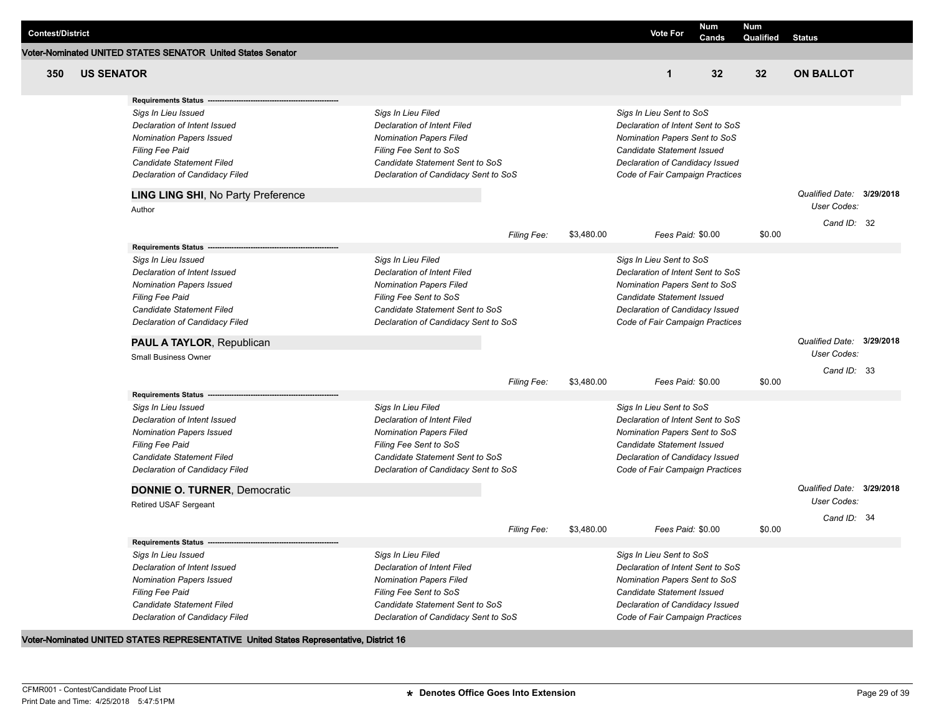| <b>Contest/District</b> |                   |                                                             |                                      |                    |            | <b>Vote For</b>                   | <b>Num</b><br>Cands | Num<br>Qualified | <b>Status</b>             |  |
|-------------------------|-------------------|-------------------------------------------------------------|--------------------------------------|--------------------|------------|-----------------------------------|---------------------|------------------|---------------------------|--|
|                         |                   | Voter-Nominated UNITED STATES SENATOR United States Senator |                                      |                    |            |                                   |                     |                  |                           |  |
| 350                     | <b>US SENATOR</b> |                                                             |                                      |                    |            | $\mathbf 1$                       | 32                  | 32 <sub>2</sub>  | <b>ON BALLOT</b>          |  |
|                         |                   | <b>Requirements Status -</b>                                |                                      |                    |            |                                   |                     |                  |                           |  |
|                         |                   | Sigs In Lieu Issued                                         | Sigs In Lieu Filed                   |                    |            | Sigs In Lieu Sent to SoS          |                     |                  |                           |  |
|                         |                   | Declaration of Intent Issued                                | <b>Declaration of Intent Filed</b>   |                    |            | Declaration of Intent Sent to SoS |                     |                  |                           |  |
|                         |                   | <b>Nomination Papers Issued</b>                             | <b>Nomination Papers Filed</b>       |                    |            | Nomination Papers Sent to SoS     |                     |                  |                           |  |
|                         |                   | <b>Filing Fee Paid</b>                                      | Filing Fee Sent to SoS               |                    |            | Candidate Statement Issued        |                     |                  |                           |  |
|                         |                   | Candidate Statement Filed                                   | Candidate Statement Sent to SoS      |                    |            | Declaration of Candidacy Issued   |                     |                  |                           |  |
|                         |                   | Declaration of Candidacy Filed                              | Declaration of Candidacy Sent to SoS |                    |            | Code of Fair Campaign Practices   |                     |                  |                           |  |
|                         |                   | LING LING SHI, No Party Preference                          |                                      |                    |            |                                   |                     |                  | Qualified Date: 3/29/2018 |  |
|                         |                   | Author                                                      |                                      |                    |            |                                   |                     |                  | <b>User Codes:</b>        |  |
|                         |                   |                                                             |                                      | Filing Fee:        | \$3,480.00 | Fees Paid: \$0.00                 |                     | \$0.00           | Cand ID: 32               |  |
|                         |                   | <b>Requirements Status</b>                                  |                                      |                    |            |                                   |                     |                  |                           |  |
|                         |                   | Sigs In Lieu Issued                                         | Sigs In Lieu Filed                   |                    |            | Sigs In Lieu Sent to SoS          |                     |                  |                           |  |
|                         |                   | Declaration of Intent Issued                                | Declaration of Intent Filed          |                    |            | Declaration of Intent Sent to SoS |                     |                  |                           |  |
|                         |                   | <b>Nomination Papers Issued</b>                             | <b>Nomination Papers Filed</b>       |                    |            | Nomination Papers Sent to SoS     |                     |                  |                           |  |
|                         |                   | <b>Filing Fee Paid</b>                                      | Filing Fee Sent to SoS               |                    |            | <b>Candidate Statement Issued</b> |                     |                  |                           |  |
|                         |                   | Candidate Statement Filed                                   | Candidate Statement Sent to SoS      |                    |            | Declaration of Candidacy Issued   |                     |                  |                           |  |
|                         |                   | Declaration of Candidacy Filed                              | Declaration of Candidacy Sent to SoS |                    |            | Code of Fair Campaign Practices   |                     |                  |                           |  |
|                         |                   | PAUL A TAYLOR, Republican                                   |                                      |                    |            |                                   |                     |                  | Qualified Date: 3/29/2018 |  |
|                         |                   | Small Business Owner                                        |                                      |                    |            |                                   |                     |                  | User Codes:               |  |
|                         |                   |                                                             |                                      | <b>Filing Fee:</b> | \$3,480.00 | Fees Paid: \$0.00                 |                     | \$0.00           | Cand ID: 33               |  |
|                         |                   | <b>Requirements Status</b>                                  |                                      |                    |            |                                   |                     |                  |                           |  |
|                         |                   | Sigs In Lieu Issued                                         | Sigs In Lieu Filed                   |                    |            | Sigs In Lieu Sent to SoS          |                     |                  |                           |  |
|                         |                   | Declaration of Intent Issued                                | <b>Declaration of Intent Filed</b>   |                    |            | Declaration of Intent Sent to SoS |                     |                  |                           |  |
|                         |                   | <b>Nomination Papers Issued</b>                             | <b>Nomination Papers Filed</b>       |                    |            | Nomination Papers Sent to SoS     |                     |                  |                           |  |
|                         |                   | <b>Filing Fee Paid</b>                                      | Filing Fee Sent to SoS               |                    |            | Candidate Statement Issued        |                     |                  |                           |  |
|                         |                   | Candidate Statement Filed                                   | Candidate Statement Sent to SoS      |                    |            | Declaration of Candidacy Issued   |                     |                  |                           |  |
|                         |                   | Declaration of Candidacy Filed                              | Declaration of Candidacy Sent to SoS |                    |            | Code of Fair Campaign Practices   |                     |                  |                           |  |
|                         |                   | <b>DONNIE O. TURNER, Democratic</b>                         |                                      |                    |            |                                   |                     |                  | Qualified Date: 3/29/2018 |  |
|                         |                   | <b>Retired USAF Sergeant</b>                                |                                      |                    |            |                                   |                     |                  | <b>User Codes:</b>        |  |
|                         |                   |                                                             |                                      | <b>Filing Fee:</b> | \$3,480.00 | Fees Paid: \$0.00                 |                     | \$0.00           | Cand ID: 34               |  |
|                         |                   | <b>Requirements Status</b>                                  |                                      |                    |            |                                   |                     |                  |                           |  |
|                         |                   | Sigs In Lieu Issued                                         | Sigs In Lieu Filed                   |                    |            | Sigs In Lieu Sent to SoS          |                     |                  |                           |  |
|                         |                   | Declaration of Intent Issued                                | <b>Declaration of Intent Filed</b>   |                    |            | Declaration of Intent Sent to SoS |                     |                  |                           |  |
|                         |                   | <b>Nomination Papers Issued</b>                             | <b>Nomination Papers Filed</b>       |                    |            | Nomination Papers Sent to SoS     |                     |                  |                           |  |
|                         |                   | <b>Filing Fee Paid</b>                                      | Filing Fee Sent to SoS               |                    |            | Candidate Statement Issued        |                     |                  |                           |  |
|                         |                   | Candidate Statement Filed                                   | Candidate Statement Sent to SoS      |                    |            | Declaration of Candidacy Issued   |                     |                  |                           |  |
|                         |                   | Declaration of Candidacy Filed                              | Declaration of Candidacy Sent to SoS |                    |            | Code of Fair Campaign Practices   |                     |                  |                           |  |

## **Voter-Nominated UNITED STATES REPRESENTATIVE United States Representative, District 16**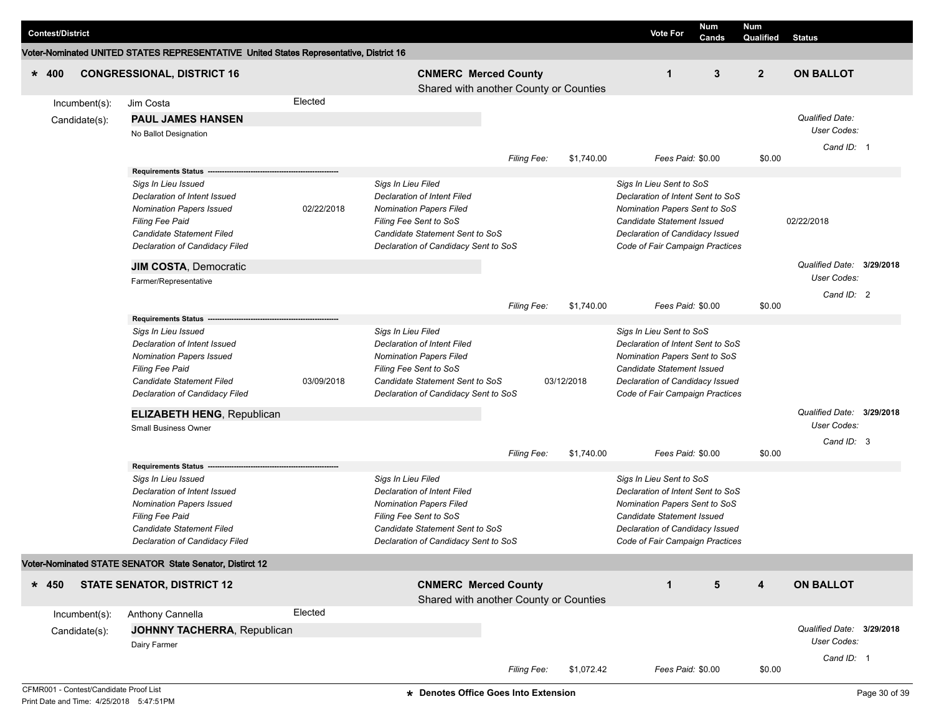| Qualified<br><b>Status</b><br>Voter-Nominated UNITED STATES REPRESENTATIVE United States Representative, District 16<br>3<br>$\overline{2}$<br><b>ON BALLOT</b><br><b>CONGRESSIONAL, DISTRICT 16</b><br><b>CNMERC Merced County</b><br>$\mathbf 1$<br>$* 400$<br>Shared with another County or Counties<br>Elected<br>Jim Costa<br>Incumbent(s):<br><b>Qualified Date:</b><br><b>PAUL JAMES HANSEN</b><br>Candidate(s):                                                                                                                                                                                                                                                                                                                              |  |
|------------------------------------------------------------------------------------------------------------------------------------------------------------------------------------------------------------------------------------------------------------------------------------------------------------------------------------------------------------------------------------------------------------------------------------------------------------------------------------------------------------------------------------------------------------------------------------------------------------------------------------------------------------------------------------------------------------------------------------------------------|--|
|                                                                                                                                                                                                                                                                                                                                                                                                                                                                                                                                                                                                                                                                                                                                                      |  |
|                                                                                                                                                                                                                                                                                                                                                                                                                                                                                                                                                                                                                                                                                                                                                      |  |
| User Codes:<br>No Ballot Designation<br>Cand ID: 1<br>\$0.00<br>Filing Fee:<br>\$1,740.00<br>Fees Paid: \$0.00                                                                                                                                                                                                                                                                                                                                                                                                                                                                                                                                                                                                                                       |  |
| <b>Requirements Status</b><br>Sigs In Lieu Issued<br>Sigs In Lieu Filed<br>Sigs In Lieu Sent to SoS<br>Declaration of Intent Issued<br><b>Declaration of Intent Filed</b><br>Declaration of Intent Sent to SoS<br>02/22/2018<br><b>Nomination Papers Filed</b><br>Nomination Papers Sent to SoS<br><b>Nomination Papers Issued</b><br>Filing Fee Sent to SoS<br>Candidate Statement Issued<br>02/22/2018<br><b>Filing Fee Paid</b><br>Candidate Statement Filed<br>Candidate Statement Sent to SoS<br>Declaration of Candidacy Issued<br>Declaration of Candidacy Filed<br>Declaration of Candidacy Sent to SoS<br>Code of Fair Campaign Practices<br>Qualified Date: 3/29/2018<br>JIM COSTA, Democratic<br>User Codes:<br>Farmer/Representative     |  |
| Cand ID: 2<br>\$1,740.00<br>Fees Paid: \$0.00<br>\$0.00<br><b>Filing Fee:</b>                                                                                                                                                                                                                                                                                                                                                                                                                                                                                                                                                                                                                                                                        |  |
| <b>Requirements Status</b><br>Sigs In Lieu Filed<br>Sigs In Lieu Issued<br>Sigs In Lieu Sent to SoS<br>Declaration of Intent Issued<br><b>Declaration of Intent Filed</b><br>Declaration of Intent Sent to SoS<br><b>Nomination Papers Filed</b><br>Nomination Papers Sent to SoS<br><b>Nomination Papers Issued</b><br>Filing Fee Paid<br>Filing Fee Sent to SoS<br>Candidate Statement Issued<br>Candidate Statement Filed<br>03/09/2018<br>Candidate Statement Sent to SoS<br>03/12/2018<br>Declaration of Candidacy Issued<br>Declaration of Candidacy Filed<br>Declaration of Candidacy Sent to SoS<br>Code of Fair Campaign Practices<br>Qualified Date: 3/29/2018<br><b>ELIZABETH HENG, Republican</b><br>User Codes:<br>Small Business Owner |  |
| Cand ID: 3<br>\$0.00<br>\$1,740.00<br>Fees Paid: \$0.00<br><b>Filing Fee:</b>                                                                                                                                                                                                                                                                                                                                                                                                                                                                                                                                                                                                                                                                        |  |
| <b>Requirements Status</b><br>Sigs In Lieu Issued<br>Sigs In Lieu Filed<br>Sigs In Lieu Sent to SoS<br>Declaration of Intent Filed<br>Declaration of Intent Sent to SoS<br>Declaration of Intent Issued<br><b>Nomination Papers Issued</b><br><b>Nomination Papers Filed</b><br>Nomination Papers Sent to SoS<br>Filing Fee Paid<br>Filing Fee Sent to SoS<br>Candidate Statement Issued<br>Candidate Statement Filed<br>Candidate Statement Sent to SoS<br>Declaration of Candidacy Issued<br>Declaration of Candidacy Filed<br>Declaration of Candidacy Sent to SoS<br>Code of Fair Campaign Practices                                                                                                                                             |  |
| Voter-Nominated STATE SENATOR State Senator, Distirct 12                                                                                                                                                                                                                                                                                                                                                                                                                                                                                                                                                                                                                                                                                             |  |
| <b>CNMERC Merced County</b><br>5<br>4<br><b>ON BALLOT</b><br><b>STATE SENATOR, DISTRICT 12</b><br>$\mathbf{1}$<br>$* 450$<br>Shared with another County or Counties                                                                                                                                                                                                                                                                                                                                                                                                                                                                                                                                                                                  |  |
| Elected<br>Anthony Cannella<br>Incumbent(s):<br>Qualified Date: 3/29/2018<br>JOHNNY TACHERRA, Republican<br>Candidate(s):<br>User Codes:<br>Dairy Farmer<br>Cand ID: 1<br>\$1,072.42<br>Fees Paid: \$0.00<br>\$0.00<br><b>Filing Fee:</b>                                                                                                                                                                                                                                                                                                                                                                                                                                                                                                            |  |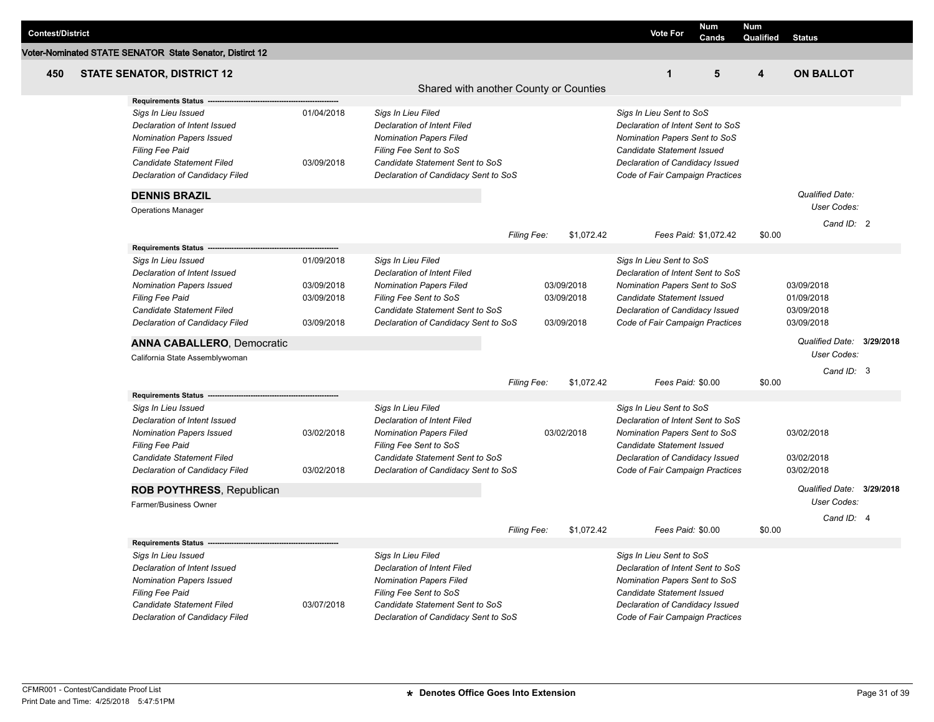| <b>Contest/District</b> |                                                                                                                                                                                                                                                           |                                                      |                                                                                                                                                                                          |                    |                                        | <b>Vote For</b>                                                                                                                                                                                    | Num<br>Cands          | <b>Num</b><br>Qualified | <b>Status</b>                                                           |           |
|-------------------------|-----------------------------------------------------------------------------------------------------------------------------------------------------------------------------------------------------------------------------------------------------------|------------------------------------------------------|------------------------------------------------------------------------------------------------------------------------------------------------------------------------------------------|--------------------|----------------------------------------|----------------------------------------------------------------------------------------------------------------------------------------------------------------------------------------------------|-----------------------|-------------------------|-------------------------------------------------------------------------|-----------|
|                         | Voter-Nominated STATE SENATOR State Senator, Distirct 12                                                                                                                                                                                                  |                                                      |                                                                                                                                                                                          |                    |                                        |                                                                                                                                                                                                    |                       |                         |                                                                         |           |
| 450                     | <b>STATE SENATOR, DISTRICT 12</b>                                                                                                                                                                                                                         |                                                      |                                                                                                                                                                                          |                    |                                        | $\mathbf{1}$                                                                                                                                                                                       | 5                     | 4                       | <b>ON BALLOT</b>                                                        |           |
|                         | <b>Requirements Status</b>                                                                                                                                                                                                                                |                                                      | Shared with another County or Counties                                                                                                                                                   |                    |                                        |                                                                                                                                                                                                    |                       |                         |                                                                         |           |
|                         | Sigs In Lieu Issued<br>Declaration of Intent Issued<br><b>Nomination Papers Issued</b>                                                                                                                                                                    | 01/04/2018                                           | Sigs In Lieu Filed<br>Declaration of Intent Filed<br><b>Nomination Papers Filed</b>                                                                                                      |                    |                                        | Sigs In Lieu Sent to SoS<br>Declaration of Intent Sent to SoS<br>Nomination Papers Sent to SoS                                                                                                     |                       |                         |                                                                         |           |
|                         | <b>Filing Fee Paid</b><br><b>Candidate Statement Filed</b><br>Declaration of Candidacy Filed                                                                                                                                                              | 03/09/2018                                           | Filing Fee Sent to SoS<br>Candidate Statement Sent to SoS<br>Declaration of Candidacy Sent to SoS                                                                                        |                    |                                        | Candidate Statement Issued<br>Declaration of Candidacy Issued<br>Code of Fair Campaign Practices                                                                                                   |                       |                         |                                                                         |           |
|                         | <b>DENNIS BRAZIL</b>                                                                                                                                                                                                                                      |                                                      |                                                                                                                                                                                          |                    |                                        |                                                                                                                                                                                                    |                       |                         | Qualified Date:                                                         |           |
|                         | <b>Operations Manager</b>                                                                                                                                                                                                                                 |                                                      |                                                                                                                                                                                          |                    |                                        |                                                                                                                                                                                                    |                       |                         | User Codes:<br>Cand ID: 2                                               |           |
|                         |                                                                                                                                                                                                                                                           |                                                      |                                                                                                                                                                                          | <b>Filing Fee:</b> | \$1,072.42                             |                                                                                                                                                                                                    | Fees Paid: \$1,072.42 | \$0.00                  |                                                                         |           |
|                         | <b>Requirements Status</b><br>Sigs In Lieu Issued<br>Declaration of Intent Issued<br><b>Nomination Papers Issued</b><br><b>Filing Fee Paid</b><br><b>Candidate Statement Filed</b><br>Declaration of Candidacy Filed<br><b>ANNA CABALLERO, Democratic</b> | 01/09/2018<br>03/09/2018<br>03/09/2018<br>03/09/2018 | Sigs In Lieu Filed<br>Declaration of Intent Filed<br><b>Nomination Papers Filed</b><br>Filing Fee Sent to SoS<br>Candidate Statement Sent to SoS<br>Declaration of Candidacy Sent to SoS |                    | 03/09/2018<br>03/09/2018<br>03/09/2018 | Sigs In Lieu Sent to SoS<br>Declaration of Intent Sent to SoS<br>Nomination Papers Sent to SoS<br>Candidate Statement Issued<br>Declaration of Candidacy Issued<br>Code of Fair Campaign Practices |                       |                         | 03/09/2018<br>01/09/2018<br>03/09/2018<br>03/09/2018<br>Qualified Date: | 3/29/2018 |
|                         | California State Assemblywoman                                                                                                                                                                                                                            |                                                      |                                                                                                                                                                                          |                    |                                        |                                                                                                                                                                                                    |                       |                         | User Codes:<br>Cand ID: 3                                               |           |
|                         |                                                                                                                                                                                                                                                           |                                                      |                                                                                                                                                                                          | Filing Fee:        | \$1,072.42                             | Fees Paid: \$0.00                                                                                                                                                                                  |                       | \$0.00                  |                                                                         |           |
|                         | <b>Requirements Status</b><br>Sigs In Lieu Issued<br>Declaration of Intent Issued<br><b>Nomination Papers Issued</b><br>Filing Fee Paid<br><b>Candidate Statement Filed</b><br>Declaration of Candidacy Filed<br><b>ROB POYTHRESS, Republican</b>         | 03/02/2018<br>03/02/2018                             | Sigs In Lieu Filed<br>Declaration of Intent Filed<br><b>Nomination Papers Filed</b><br>Filing Fee Sent to SoS<br>Candidate Statement Sent to SoS<br>Declaration of Candidacy Sent to SoS |                    | 03/02/2018                             | Sigs In Lieu Sent to SoS<br>Declaration of Intent Sent to SoS<br>Nomination Papers Sent to SoS<br>Candidate Statement Issued<br>Declaration of Candidacy Issued<br>Code of Fair Campaign Practices |                       |                         | 03/02/2018<br>03/02/2018<br>03/02/2018<br>Qualified Date:               | 3/29/2018 |
|                         | Farmer/Business Owner                                                                                                                                                                                                                                     |                                                      |                                                                                                                                                                                          |                    |                                        |                                                                                                                                                                                                    |                       |                         | <b>User Codes:</b>                                                      |           |
|                         |                                                                                                                                                                                                                                                           |                                                      |                                                                                                                                                                                          | Filing Fee:        | \$1,072.42                             | Fees Paid: \$0.00                                                                                                                                                                                  |                       | \$0.00                  | Cand ID: 4                                                              |           |
|                         | Sigs In Lieu Issued<br>Declaration of Intent Issued<br><b>Nomination Papers Issued</b><br><b>Filing Fee Paid</b><br>Candidate Statement Filed<br>Declaration of Candidacy Filed                                                                           | 03/07/2018                                           | Sigs In Lieu Filed<br>Declaration of Intent Filed<br><b>Nomination Papers Filed</b><br>Filing Fee Sent to SoS<br>Candidate Statement Sent to SoS<br>Declaration of Candidacy Sent to SoS |                    |                                        | Sigs In Lieu Sent to SoS<br>Declaration of Intent Sent to SoS<br>Nomination Papers Sent to SoS<br>Candidate Statement Issued<br>Declaration of Candidacy Issued<br>Code of Fair Campaign Practices |                       |                         |                                                                         |           |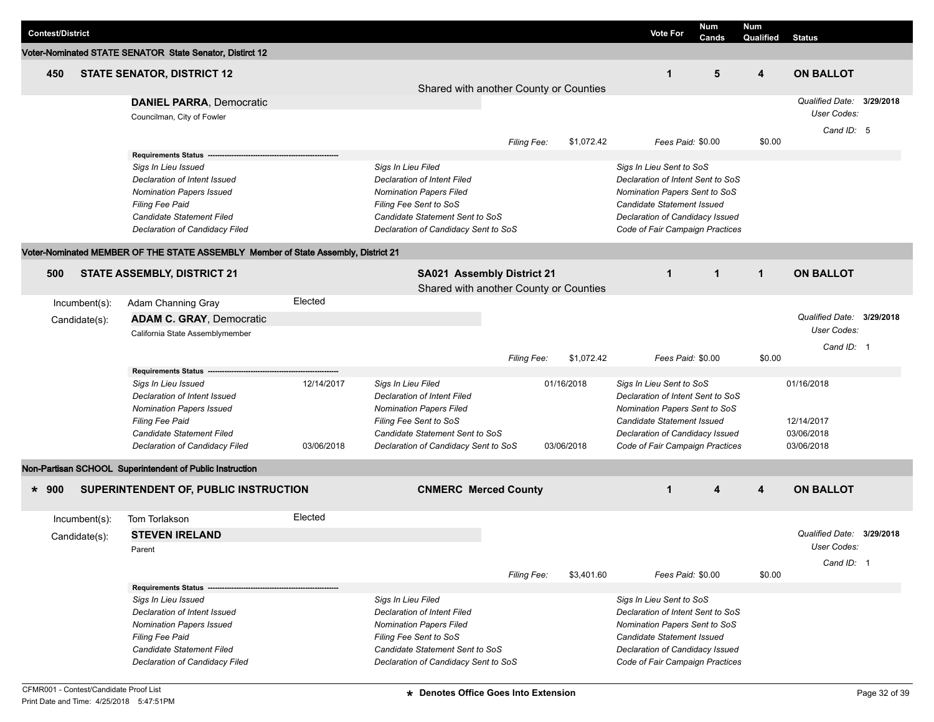| <b>Contest/District</b> |                  |                                                                                    |            |                                        |                    |            | <b>Vote For</b>                   | <b>Num</b><br>Cands | Num<br>Qualified | <b>Status</b>             |  |
|-------------------------|------------------|------------------------------------------------------------------------------------|------------|----------------------------------------|--------------------|------------|-----------------------------------|---------------------|------------------|---------------------------|--|
|                         |                  | Voter-Nominated STATE SENATOR State Senator, Distirct 12                           |            |                                        |                    |            |                                   |                     |                  |                           |  |
| 450                     |                  | <b>STATE SENATOR, DISTRICT 12</b>                                                  |            | Shared with another County or Counties |                    |            | $\mathbf 1$                       | 5                   | 4                | <b>ON BALLOT</b>          |  |
|                         |                  | <b>DANIEL PARRA, Democratic</b>                                                    |            |                                        |                    |            |                                   |                     |                  | Qualified Date: 3/29/2018 |  |
|                         |                  | Councilman, City of Fowler                                                         |            |                                        |                    |            |                                   |                     |                  | User Codes:               |  |
|                         |                  |                                                                                    |            |                                        |                    |            |                                   |                     |                  | Cand ID: 5                |  |
|                         |                  |                                                                                    |            |                                        | <b>Filing Fee:</b> | \$1,072.42 | Fees Paid: \$0.00                 |                     | \$0.00           |                           |  |
|                         |                  | <b>Requirements Status</b><br>Sigs In Lieu Issued                                  |            | Sigs In Lieu Filed                     |                    |            | Sigs In Lieu Sent to SoS          |                     |                  |                           |  |
|                         |                  | Declaration of Intent Issued                                                       |            | <b>Declaration of Intent Filed</b>     |                    |            | Declaration of Intent Sent to SoS |                     |                  |                           |  |
|                         |                  | <b>Nomination Papers Issued</b>                                                    |            | <b>Nomination Papers Filed</b>         |                    |            | Nomination Papers Sent to SoS     |                     |                  |                           |  |
|                         |                  | Filing Fee Paid                                                                    |            | Filing Fee Sent to SoS                 |                    |            | Candidate Statement Issued        |                     |                  |                           |  |
|                         |                  | Candidate Statement Filed                                                          |            | Candidate Statement Sent to SoS        |                    |            | Declaration of Candidacy Issued   |                     |                  |                           |  |
|                         |                  | Declaration of Candidacy Filed                                                     |            | Declaration of Candidacy Sent to SoS   |                    |            | Code of Fair Campaign Practices   |                     |                  |                           |  |
|                         |                  | Voter-Nominated MEMBER OF THE STATE ASSEMBLY Member of State Assembly, District 21 |            |                                        |                    |            |                                   |                     |                  |                           |  |
| 500                     |                  | <b>STATE ASSEMBLY, DISTRICT 21</b>                                                 |            | SA021 Assembly District 21             |                    |            | $\mathbf{1}$                      | $\mathbf{1}$        | $\mathbf{1}$     | <b>ON BALLOT</b>          |  |
|                         |                  |                                                                                    |            | Shared with another County or Counties |                    |            |                                   |                     |                  |                           |  |
|                         | $Incumbent(s)$ : | Adam Channing Gray                                                                 | Elected    |                                        |                    |            |                                   |                     |                  |                           |  |
|                         | Candidate(s):    | <b>ADAM C. GRAY, Democratic</b>                                                    |            |                                        |                    |            |                                   |                     |                  | Qualified Date: 3/29/2018 |  |
|                         |                  | California State Assemblymember                                                    |            |                                        |                    |            |                                   |                     |                  | User Codes:               |  |
|                         |                  |                                                                                    |            |                                        |                    |            |                                   |                     |                  | Cand ID: 1                |  |
|                         |                  |                                                                                    |            |                                        | Filing Fee:        | \$1,072.42 | Fees Paid: \$0.00                 |                     | \$0.00           |                           |  |
|                         |                  | <b>Requirements Status</b>                                                         |            |                                        |                    |            |                                   |                     |                  |                           |  |
|                         |                  | Sigs In Lieu Issued                                                                | 12/14/2017 | Sigs In Lieu Filed                     |                    | 01/16/2018 | Sigs In Lieu Sent to SoS          |                     |                  | 01/16/2018                |  |
|                         |                  | Declaration of Intent Issued                                                       |            | <b>Declaration of Intent Filed</b>     |                    |            | Declaration of Intent Sent to SoS |                     |                  |                           |  |
|                         |                  | <b>Nomination Papers Issued</b>                                                    |            | <b>Nomination Papers Filed</b>         |                    |            | Nomination Papers Sent to SoS     |                     |                  |                           |  |
|                         |                  | <b>Filing Fee Paid</b>                                                             |            | Filing Fee Sent to SoS                 |                    |            | Candidate Statement Issued        |                     |                  | 12/14/2017                |  |
|                         |                  | Candidate Statement Filed                                                          |            | Candidate Statement Sent to SoS        |                    |            | Declaration of Candidacy Issued   |                     |                  | 03/06/2018                |  |
|                         |                  | Declaration of Candidacy Filed                                                     | 03/06/2018 | Declaration of Candidacy Sent to SoS   |                    | 03/06/2018 | Code of Fair Campaign Practices   |                     |                  | 03/06/2018                |  |
|                         |                  | Non-Partisan SCHOOL Superintendent of Public Instruction                           |            |                                        |                    |            |                                   |                     |                  |                           |  |
| $* 900$                 |                  | SUPERINTENDENT OF, PUBLIC INSTRUCTION                                              |            | <b>CNMERC Merced County</b>            |                    |            | $\mathbf{1}$                      | 4                   | 4                | <b>ON BALLOT</b>          |  |
|                         | $Incumbent(s)$ : | Tom Torlakson                                                                      | Elected    |                                        |                    |            |                                   |                     |                  |                           |  |
|                         | Candidate(s):    | <b>STEVEN IRELAND</b>                                                              |            |                                        |                    |            |                                   |                     |                  | Qualified Date: 3/29/2018 |  |
|                         |                  | Parent                                                                             |            |                                        |                    |            |                                   |                     |                  | User Codes:               |  |
|                         |                  |                                                                                    |            |                                        |                    |            |                                   |                     |                  | Cand ID: 1                |  |
|                         |                  |                                                                                    |            |                                        | <b>Filing Fee:</b> | \$3,401.60 | Fees Paid: \$0.00                 |                     | \$0.00           |                           |  |
|                         |                  | Requirements Status -                                                              |            |                                        |                    |            |                                   |                     |                  |                           |  |
|                         |                  | Sigs In Lieu Issued                                                                |            | Sigs In Lieu Filed                     |                    |            | Sigs In Lieu Sent to SoS          |                     |                  |                           |  |
|                         |                  | Declaration of Intent Issued                                                       |            | <b>Declaration of Intent Filed</b>     |                    |            | Declaration of Intent Sent to SoS |                     |                  |                           |  |
|                         |                  | <b>Nomination Papers Issued</b>                                                    |            | <b>Nomination Papers Filed</b>         |                    |            | Nomination Papers Sent to SoS     |                     |                  |                           |  |
|                         |                  | Filing Fee Paid                                                                    |            | Filing Fee Sent to SoS                 |                    |            | Candidate Statement Issued        |                     |                  |                           |  |
|                         |                  | Candidate Statement Filed                                                          |            | Candidate Statement Sent to SoS        |                    |            | Declaration of Candidacy Issued   |                     |                  |                           |  |
|                         |                  | Declaration of Candidacy Filed                                                     |            | Declaration of Candidacy Sent to SoS   |                    |            | Code of Fair Campaign Practices   |                     |                  |                           |  |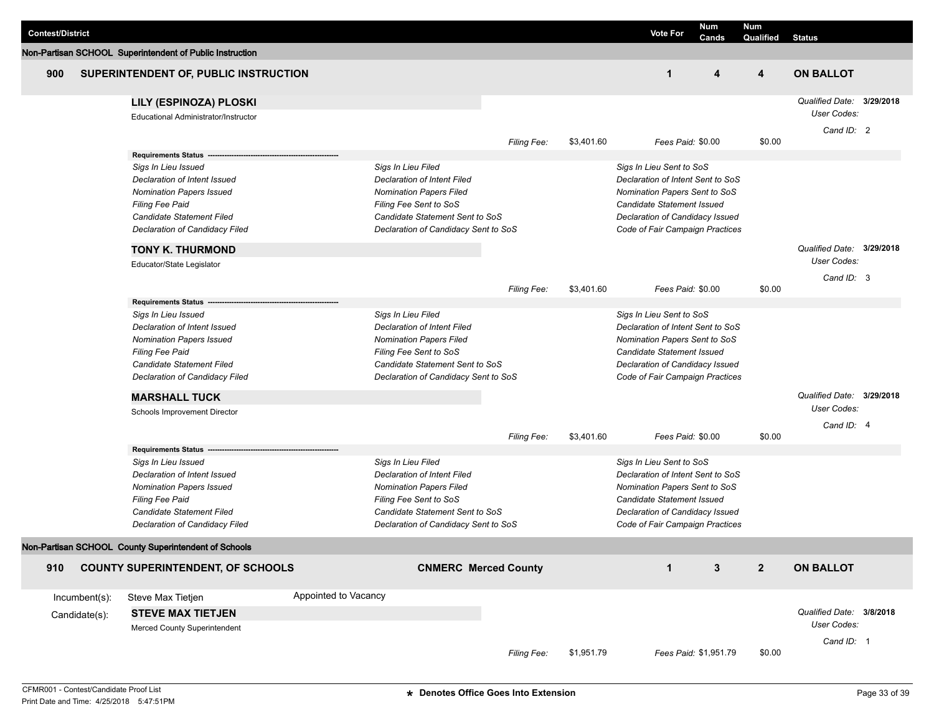|                         |               |                                                          |                      |                                      |                             |            |                                   | Num                   | <b>Num</b>     |                           |  |
|-------------------------|---------------|----------------------------------------------------------|----------------------|--------------------------------------|-----------------------------|------------|-----------------------------------|-----------------------|----------------|---------------------------|--|
| <b>Contest/District</b> |               |                                                          |                      |                                      |                             |            | <b>Vote For</b>                   | Cands                 | Qualified      | <b>Status</b>             |  |
|                         |               | Non-Partisan SCHOOL Superintendent of Public Instruction |                      |                                      |                             |            |                                   |                       |                |                           |  |
| 900                     |               | SUPERINTENDENT OF, PUBLIC INSTRUCTION                    |                      |                                      |                             |            | $\mathbf{1}$                      | 4                     | 4              | <b>ON BALLOT</b>          |  |
|                         |               | LILY (ESPINOZA) PLOSKI                                   |                      |                                      |                             |            |                                   |                       |                | Qualified Date: 3/29/2018 |  |
|                         |               | Educational Administrator/Instructor                     |                      |                                      |                             |            |                                   |                       |                | User Codes:               |  |
|                         |               |                                                          |                      |                                      |                             |            |                                   |                       |                | Cand ID: 2                |  |
|                         |               |                                                          |                      |                                      | <b>Filing Fee:</b>          | \$3,401.60 | Fees Paid: \$0.00                 |                       | \$0.00         |                           |  |
|                         |               | Requirements Status --                                   |                      |                                      |                             |            |                                   |                       |                |                           |  |
|                         |               | Sigs In Lieu Issued                                      |                      | Sigs In Lieu Filed                   |                             |            | Sigs In Lieu Sent to SoS          |                       |                |                           |  |
|                         |               | Declaration of Intent Issued                             |                      | Declaration of Intent Filed          |                             |            | Declaration of Intent Sent to SoS |                       |                |                           |  |
|                         |               | <b>Nomination Papers Issued</b>                          |                      | <b>Nomination Papers Filed</b>       |                             |            | Nomination Papers Sent to SoS     |                       |                |                           |  |
|                         |               | Filing Fee Paid                                          |                      | Filing Fee Sent to SoS               |                             |            | Candidate Statement Issued        |                       |                |                           |  |
|                         |               | Candidate Statement Filed                                |                      | Candidate Statement Sent to SoS      |                             |            | Declaration of Candidacy Issued   |                       |                |                           |  |
|                         |               | Declaration of Candidacy Filed                           |                      | Declaration of Candidacy Sent to SoS |                             |            | Code of Fair Campaign Practices   |                       |                |                           |  |
|                         |               | <b>TONY K. THURMOND</b>                                  |                      |                                      |                             |            |                                   |                       |                | Qualified Date: 3/29/2018 |  |
|                         |               | Educator/State Legislator                                |                      |                                      |                             |            |                                   |                       |                | <b>User Codes:</b>        |  |
|                         |               |                                                          |                      |                                      |                             |            |                                   |                       |                | Cand ID: 3                |  |
|                         |               |                                                          |                      |                                      | <b>Filing Fee:</b>          | \$3,401.60 | Fees Paid: \$0.00                 |                       | \$0.00         |                           |  |
|                         |               | <b>Requirements Status</b>                               |                      |                                      |                             |            |                                   |                       |                |                           |  |
|                         |               | Sigs In Lieu Issued                                      |                      | Sigs In Lieu Filed                   |                             |            | Sigs In Lieu Sent to SoS          |                       |                |                           |  |
|                         |               | Declaration of Intent Issued                             |                      | <b>Declaration of Intent Filed</b>   |                             |            | Declaration of Intent Sent to SoS |                       |                |                           |  |
|                         |               | <b>Nomination Papers Issued</b>                          |                      | <b>Nomination Papers Filed</b>       |                             |            | Nomination Papers Sent to SoS     |                       |                |                           |  |
|                         |               | Filing Fee Paid                                          |                      | Filing Fee Sent to SoS               |                             |            | <b>Candidate Statement Issued</b> |                       |                |                           |  |
|                         |               | Candidate Statement Filed                                |                      | Candidate Statement Sent to SoS      |                             |            | Declaration of Candidacy Issued   |                       |                |                           |  |
|                         |               | Declaration of Candidacy Filed                           |                      | Declaration of Candidacy Sent to SoS |                             |            | Code of Fair Campaign Practices   |                       |                |                           |  |
|                         |               | <b>MARSHALL TUCK</b>                                     |                      |                                      |                             |            |                                   |                       |                | Qualified Date: 3/29/2018 |  |
|                         |               | Schools Improvement Director                             |                      |                                      |                             |            |                                   |                       |                | User Codes:               |  |
|                         |               |                                                          |                      |                                      | <b>Filing Fee:</b>          | \$3,401.60 | Fees Paid: \$0.00                 |                       | \$0.00         | Cand ID: 4                |  |
|                         |               | <b>Requirements Status</b>                               |                      |                                      |                             |            |                                   |                       |                |                           |  |
|                         |               | Sigs In Lieu Issued                                      |                      | Sigs In Lieu Filed                   |                             |            | Sigs In Lieu Sent to SoS          |                       |                |                           |  |
|                         |               | Declaration of Intent Issued                             |                      | Declaration of Intent Filed          |                             |            | Declaration of Intent Sent to SoS |                       |                |                           |  |
|                         |               | <b>Nomination Papers Issued</b>                          |                      | <b>Nomination Papers Filed</b>       |                             |            | Nomination Papers Sent to SoS     |                       |                |                           |  |
|                         |               | Filing Fee Paid                                          |                      | Filing Fee Sent to SoS               |                             |            | Candidate Statement Issued        |                       |                |                           |  |
|                         |               | Candidate Statement Filed                                |                      | Candidate Statement Sent to SoS      |                             |            | Declaration of Candidacy Issued   |                       |                |                           |  |
|                         |               | Declaration of Candidacy Filed                           |                      | Declaration of Candidacy Sent to SoS |                             |            | Code of Fair Campaign Practices   |                       |                |                           |  |
|                         |               | Non-Partisan SCHOOL County Superintendent of Schools     |                      |                                      |                             |            |                                   |                       |                |                           |  |
| 910                     |               | <b>COUNTY SUPERINTENDENT, OF SCHOOLS</b>                 |                      |                                      | <b>CNMERC Merced County</b> |            | $\mathbf{1}$                      | 3                     | $\overline{2}$ | <b>ON BALLOT</b>          |  |
|                         | Incumbent(s): | Steve Max Tietjen                                        | Appointed to Vacancy |                                      |                             |            |                                   |                       |                |                           |  |
|                         | Candidate(s): | <b>STEVE MAX TIETJEN</b>                                 |                      |                                      |                             |            |                                   |                       |                | Qualified Date: 3/8/2018  |  |
|                         |               | Merced County Superintendent                             |                      |                                      |                             |            |                                   |                       |                | User Codes:               |  |
|                         |               |                                                          |                      |                                      |                             |            |                                   |                       |                | Cand ID: 1                |  |
|                         |               |                                                          |                      |                                      | Filing Fee:                 | \$1,951.79 |                                   | Fees Paid: \$1,951.79 | \$0.00         |                           |  |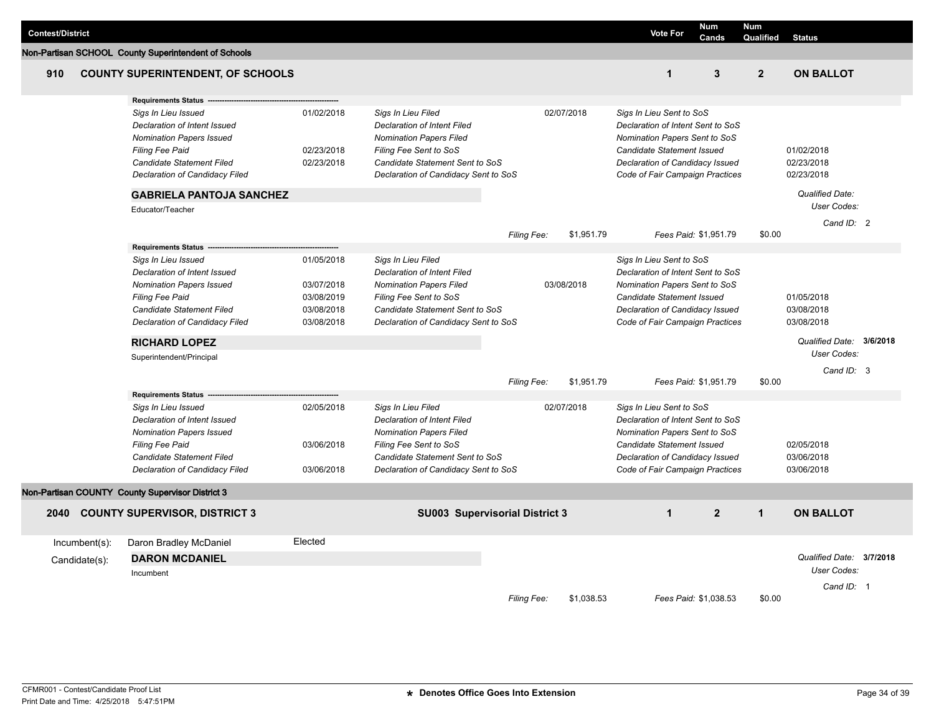| <b>Contest/District</b> |                                                                                                                                                                                               |                                                                    |                                                                                                                                                                                                 |             |            | <b>Vote For</b>                                                                                                                                                                                           | Num<br>Cands   | <b>Num</b><br>Qualified | <b>Status</b>                          |  |
|-------------------------|-----------------------------------------------------------------------------------------------------------------------------------------------------------------------------------------------|--------------------------------------------------------------------|-------------------------------------------------------------------------------------------------------------------------------------------------------------------------------------------------|-------------|------------|-----------------------------------------------------------------------------------------------------------------------------------------------------------------------------------------------------------|----------------|-------------------------|----------------------------------------|--|
|                         | Non-Partisan SCHOOL County Superintendent of Schools                                                                                                                                          |                                                                    |                                                                                                                                                                                                 |             |            |                                                                                                                                                                                                           |                |                         |                                        |  |
| 910                     | <b>COUNTY SUPERINTENDENT, OF SCHOOLS</b>                                                                                                                                                      |                                                                    |                                                                                                                                                                                                 |             |            | $\mathbf{1}$                                                                                                                                                                                              | 3              | $\overline{2}$          | <b>ON BALLOT</b>                       |  |
|                         | <b>Requirements Status</b>                                                                                                                                                                    |                                                                    |                                                                                                                                                                                                 |             |            |                                                                                                                                                                                                           |                |                         |                                        |  |
|                         | Sigs In Lieu Issued<br>Declaration of Intent Issued<br><b>Nomination Papers Issued</b><br><b>Filing Fee Paid</b><br>Candidate Statement Filed<br><b>Declaration of Candidacy Filed</b>        | 01/02/2018<br>02/23/2018<br>02/23/2018                             | Sigs In Lieu Filed<br><b>Declaration of Intent Filed</b><br><b>Nomination Papers Filed</b><br>Filing Fee Sent to SoS<br>Candidate Statement Sent to SoS<br>Declaration of Candidacy Sent to SoS |             | 02/07/2018 | Sigs In Lieu Sent to SoS<br>Declaration of Intent Sent to SoS<br>Nomination Papers Sent to SoS<br><b>Candidate Statement Issued</b><br>Declaration of Candidacy Issued<br>Code of Fair Campaign Practices |                |                         | 01/02/2018<br>02/23/2018<br>02/23/2018 |  |
|                         | <b>GABRIELA PANTOJA SANCHEZ</b>                                                                                                                                                               |                                                                    |                                                                                                                                                                                                 |             |            |                                                                                                                                                                                                           |                |                         | Qualified Date:                        |  |
|                         | Educator/Teacher                                                                                                                                                                              |                                                                    |                                                                                                                                                                                                 |             |            |                                                                                                                                                                                                           |                |                         | User Codes:                            |  |
|                         |                                                                                                                                                                                               |                                                                    |                                                                                                                                                                                                 | Filing Fee: | \$1,951.79 | Fees Paid: \$1,951.79                                                                                                                                                                                     |                | \$0.00                  | Cand ID: 2                             |  |
|                         | <b>Requirements Status</b>                                                                                                                                                                    |                                                                    |                                                                                                                                                                                                 |             |            |                                                                                                                                                                                                           |                |                         |                                        |  |
|                         | Sigs In Lieu Issued<br>Declaration of Intent Issued<br><b>Nomination Papers Issued</b><br><b>Filing Fee Paid</b><br><b>Candidate Statement Filed</b><br><b>Declaration of Candidacy Filed</b> | 01/05/2018<br>03/07/2018<br>03/08/2019<br>03/08/2018<br>03/08/2018 | Sigs In Lieu Filed<br>Declaration of Intent Filed<br><b>Nomination Papers Filed</b><br>Filing Fee Sent to SoS<br>Candidate Statement Sent to SoS<br>Declaration of Candidacy Sent to SoS        |             | 03/08/2018 | Sigs In Lieu Sent to SoS<br>Declaration of Intent Sent to SoS<br>Nomination Papers Sent to SoS<br><b>Candidate Statement Issued</b><br>Declaration of Candidacy Issued<br>Code of Fair Campaign Practices |                |                         | 01/05/2018<br>03/08/2018<br>03/08/2018 |  |
|                         | <b>RICHARD LOPEZ</b>                                                                                                                                                                          |                                                                    |                                                                                                                                                                                                 |             |            |                                                                                                                                                                                                           |                |                         | Qualified Date: 3/6/2018               |  |
|                         | Superintendent/Principal                                                                                                                                                                      |                                                                    |                                                                                                                                                                                                 |             |            |                                                                                                                                                                                                           |                |                         | User Codes:                            |  |
|                         |                                                                                                                                                                                               |                                                                    |                                                                                                                                                                                                 | Filing Fee: | \$1,951.79 | Fees Paid: \$1,951.79                                                                                                                                                                                     |                | \$0.00                  | Cand ID: 3                             |  |
|                         | <b>Requirements Status</b>                                                                                                                                                                    |                                                                    |                                                                                                                                                                                                 |             |            |                                                                                                                                                                                                           |                |                         |                                        |  |
|                         | Sigs In Lieu Issued<br>Declaration of Intent Issued<br><b>Nomination Papers Issued</b><br>Filing Fee Paid<br>Candidate Statement Filed<br>Declaration of Candidacy Filed                      | 02/05/2018<br>03/06/2018<br>03/06/2018                             | Sigs In Lieu Filed<br>Declaration of Intent Filed<br><b>Nomination Papers Filed</b><br>Filing Fee Sent to SoS<br>Candidate Statement Sent to SoS<br>Declaration of Candidacy Sent to SoS        |             | 02/07/2018 | Sigs In Lieu Sent to SoS<br>Declaration of Intent Sent to SoS<br>Nomination Papers Sent to SoS<br><b>Candidate Statement Issued</b><br>Declaration of Candidacy Issued<br>Code of Fair Campaign Practices |                |                         | 02/05/2018<br>03/06/2018<br>03/06/2018 |  |
|                         | Non-Partisan COUNTY County Supervisor District 3                                                                                                                                              |                                                                    |                                                                                                                                                                                                 |             |            |                                                                                                                                                                                                           |                |                         |                                        |  |
|                         | 2040 COUNTY SUPERVISOR, DISTRICT 3                                                                                                                                                            |                                                                    | SU003 Supervisorial District 3                                                                                                                                                                  |             |            | $\mathbf{1}$                                                                                                                                                                                              | $\overline{2}$ | $\mathbf{1}$            | <b>ON BALLOT</b>                       |  |
| $Incumbent(s)$ :        | Daron Bradley McDaniel                                                                                                                                                                        | Elected                                                            |                                                                                                                                                                                                 |             |            |                                                                                                                                                                                                           |                |                         |                                        |  |
| Candidate(s):           | <b>DARON MCDANIEL</b>                                                                                                                                                                         |                                                                    |                                                                                                                                                                                                 |             |            |                                                                                                                                                                                                           |                |                         | Qualified Date: 3/7/2018               |  |
|                         | Incumbent                                                                                                                                                                                     |                                                                    |                                                                                                                                                                                                 |             |            |                                                                                                                                                                                                           |                |                         | User Codes:                            |  |
|                         |                                                                                                                                                                                               |                                                                    |                                                                                                                                                                                                 | Filing Fee: | \$1,038.53 | Fees Paid: \$1,038.53                                                                                                                                                                                     |                | \$0.00                  | Cand ID: 1                             |  |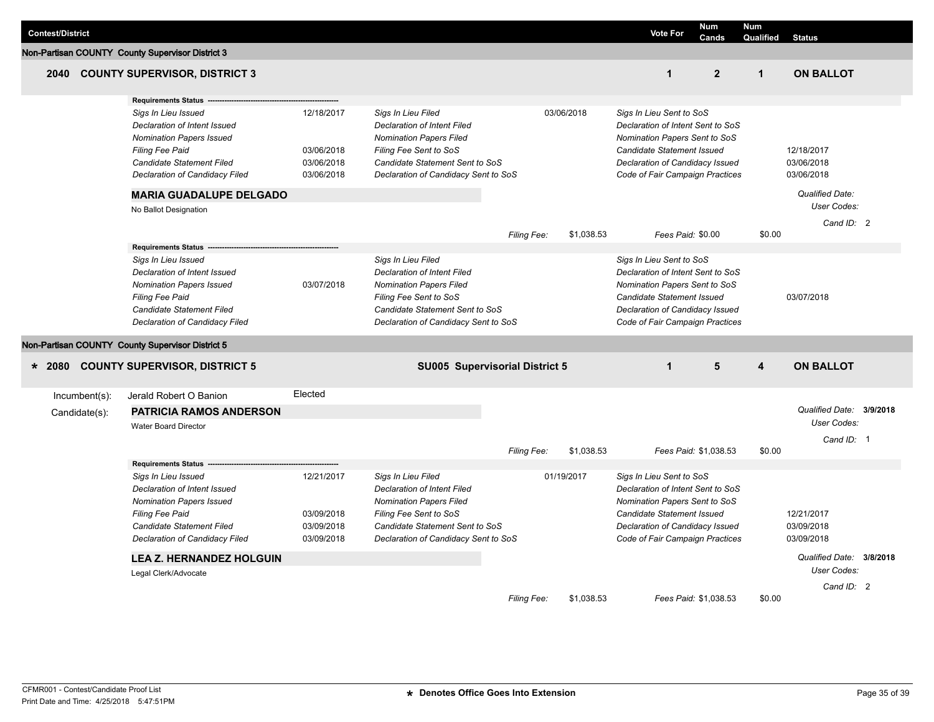| <b>Contest/District</b> |               |                                                                                                                                                                                 |                                                      |                                                                                                                                                                                                 |                    |            | <b>Vote For</b>                                                                                                                                                                                           | <b>Num</b><br>Cands | <b>Num</b><br>Qualified | <b>Status</b>                          |  |
|-------------------------|---------------|---------------------------------------------------------------------------------------------------------------------------------------------------------------------------------|------------------------------------------------------|-------------------------------------------------------------------------------------------------------------------------------------------------------------------------------------------------|--------------------|------------|-----------------------------------------------------------------------------------------------------------------------------------------------------------------------------------------------------------|---------------------|-------------------------|----------------------------------------|--|
|                         |               | Non-Partisan COUNTY County Supervisor District 3                                                                                                                                |                                                      |                                                                                                                                                                                                 |                    |            |                                                                                                                                                                                                           |                     |                         |                                        |  |
| 2040                    |               | <b>COUNTY SUPERVISOR, DISTRICT 3</b>                                                                                                                                            |                                                      |                                                                                                                                                                                                 |                    |            | $\mathbf{1}$                                                                                                                                                                                              | 2 <sup>2</sup>      | $\mathbf{1}$            | <b>ON BALLOT</b>                       |  |
|                         |               | <b>Requirements Status</b>                                                                                                                                                      |                                                      |                                                                                                                                                                                                 |                    |            |                                                                                                                                                                                                           |                     |                         |                                        |  |
|                         |               | Sigs In Lieu Issued<br>Declaration of Intent Issued<br><b>Nomination Papers Issued</b><br><b>Filing Fee Paid</b><br>Candidate Statement Filed<br>Declaration of Candidacy Filed | 12/18/2017<br>03/06/2018<br>03/06/2018<br>03/06/2018 | Sigs In Lieu Filed<br><b>Declaration of Intent Filed</b><br><b>Nomination Papers Filed</b><br>Filing Fee Sent to SoS<br>Candidate Statement Sent to SoS<br>Declaration of Candidacy Sent to SoS |                    | 03/06/2018 | Sigs In Lieu Sent to SoS<br>Declaration of Intent Sent to SoS<br>Nomination Papers Sent to SoS<br>Candidate Statement Issued<br>Declaration of Candidacy Issued<br>Code of Fair Campaign Practices        |                     |                         | 12/18/2017<br>03/06/2018<br>03/06/2018 |  |
|                         |               | <b>MARIA GUADALUPE DELGADO</b>                                                                                                                                                  |                                                      |                                                                                                                                                                                                 |                    |            |                                                                                                                                                                                                           |                     |                         | Qualified Date:                        |  |
|                         |               | No Ballot Designation                                                                                                                                                           |                                                      |                                                                                                                                                                                                 |                    |            |                                                                                                                                                                                                           |                     |                         | User Codes:                            |  |
|                         |               |                                                                                                                                                                                 |                                                      |                                                                                                                                                                                                 | <b>Filing Fee:</b> | \$1,038.53 | Fees Paid: \$0.00                                                                                                                                                                                         |                     | \$0.00                  | Cand $ID: 2$                           |  |
|                         |               | <b>Requirements Status</b>                                                                                                                                                      |                                                      |                                                                                                                                                                                                 |                    |            |                                                                                                                                                                                                           |                     |                         |                                        |  |
|                         |               | Sigs In Lieu Issued<br>Declaration of Intent Issued<br><b>Nomination Papers Issued</b><br><b>Filing Fee Paid</b><br>Candidate Statement Filed<br>Declaration of Candidacy Filed | 03/07/2018                                           | Sigs In Lieu Filed<br>Declaration of Intent Filed<br><b>Nomination Papers Filed</b><br>Filing Fee Sent to SoS<br>Candidate Statement Sent to SoS<br>Declaration of Candidacy Sent to SoS        |                    |            | Sigs In Lieu Sent to SoS<br>Declaration of Intent Sent to SoS<br>Nomination Papers Sent to SoS<br><b>Candidate Statement Issued</b><br>Declaration of Candidacy Issued<br>Code of Fair Campaign Practices |                     |                         | 03/07/2018                             |  |
|                         |               | Non-Partisan COUNTY County Supervisor District 5                                                                                                                                |                                                      |                                                                                                                                                                                                 |                    |            |                                                                                                                                                                                                           |                     |                         |                                        |  |
| $* 2080$                |               | <b>COUNTY SUPERVISOR, DISTRICT 5</b>                                                                                                                                            |                                                      | SU005 Supervisorial District 5                                                                                                                                                                  |                    |            | $\mathbf{1}$                                                                                                                                                                                              | 5                   | 4                       | <b>ON BALLOT</b>                       |  |
|                         | Incumbent(s): | Jerald Robert O Banion                                                                                                                                                          | Elected                                              |                                                                                                                                                                                                 |                    |            |                                                                                                                                                                                                           |                     |                         |                                        |  |
|                         | Candidate(s): | <b>PATRICIA RAMOS ANDERSON</b>                                                                                                                                                  |                                                      |                                                                                                                                                                                                 |                    |            |                                                                                                                                                                                                           |                     |                         | Qualified Date: 3/9/2018               |  |
|                         |               | <b>Water Board Director</b>                                                                                                                                                     |                                                      |                                                                                                                                                                                                 |                    |            |                                                                                                                                                                                                           |                     |                         | User Codes:                            |  |
|                         |               |                                                                                                                                                                                 |                                                      |                                                                                                                                                                                                 |                    |            |                                                                                                                                                                                                           |                     |                         | Cand ID: 1                             |  |
|                         |               |                                                                                                                                                                                 |                                                      |                                                                                                                                                                                                 | Filing Fee:        | \$1,038.53 | Fees Paid: \$1,038.53                                                                                                                                                                                     |                     | \$0.00                  |                                        |  |
|                         |               | <b>Requirements Status</b>                                                                                                                                                      |                                                      |                                                                                                                                                                                                 |                    |            |                                                                                                                                                                                                           |                     |                         |                                        |  |
|                         |               | Sigs In Lieu Issued<br>Declaration of Intent Issued<br><b>Nomination Papers Issued</b><br><b>Filing Fee Paid</b><br>Candidate Statement Filed<br>Declaration of Candidacy Filed | 12/21/2017<br>03/09/2018<br>03/09/2018<br>03/09/2018 | Sigs In Lieu Filed<br><b>Declaration of Intent Filed</b><br><b>Nomination Papers Filed</b><br>Filing Fee Sent to SoS<br>Candidate Statement Sent to SoS<br>Declaration of Candidacy Sent to SoS |                    | 01/19/2017 | Sigs In Lieu Sent to SoS<br>Declaration of Intent Sent to SoS<br>Nomination Papers Sent to SoS<br>Candidate Statement Issued<br>Declaration of Candidacy Issued<br>Code of Fair Campaign Practices        |                     |                         | 12/21/2017<br>03/09/2018<br>03/09/2018 |  |
|                         |               | <b>LEA Z. HERNANDEZ HOLGUIN</b>                                                                                                                                                 |                                                      |                                                                                                                                                                                                 |                    |            |                                                                                                                                                                                                           |                     |                         | Qualified Date: 3/8/2018               |  |
|                         |               | Legal Clerk/Advocate                                                                                                                                                            |                                                      |                                                                                                                                                                                                 |                    |            |                                                                                                                                                                                                           |                     |                         | User Codes:                            |  |
|                         |               |                                                                                                                                                                                 |                                                      |                                                                                                                                                                                                 | Filing Fee:        | \$1,038.53 | Fees Paid: \$1,038.53                                                                                                                                                                                     |                     | \$0.00                  | Cand ID: 2                             |  |

J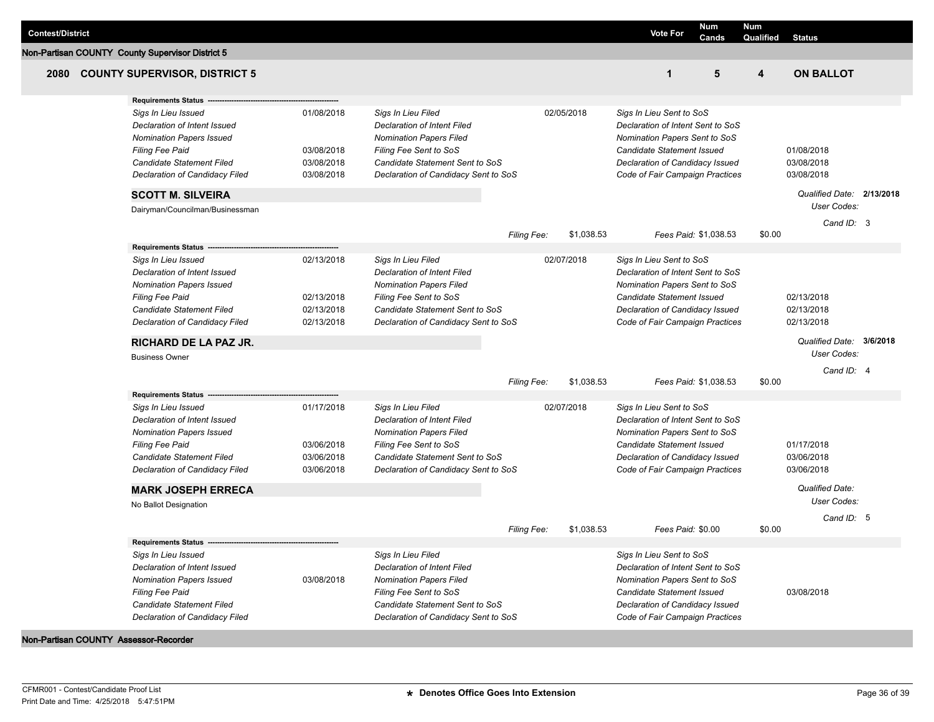| <b>Contest/District</b> |                                                                                                                                                                                                                                                                              |                                                      |                                                                                                                                                                                                 |                    |            | <b>Vote For</b>                                                                                                                                                                                           | Num<br>Cands          | Num<br>Qualified | <b>Status</b>                                                                      |  |
|-------------------------|------------------------------------------------------------------------------------------------------------------------------------------------------------------------------------------------------------------------------------------------------------------------------|------------------------------------------------------|-------------------------------------------------------------------------------------------------------------------------------------------------------------------------------------------------|--------------------|------------|-----------------------------------------------------------------------------------------------------------------------------------------------------------------------------------------------------------|-----------------------|------------------|------------------------------------------------------------------------------------|--|
|                         | Non-Partisan COUNTY County Supervisor District 5                                                                                                                                                                                                                             |                                                      |                                                                                                                                                                                                 |                    |            |                                                                                                                                                                                                           |                       |                  |                                                                                    |  |
| 2080                    | <b>COUNTY SUPERVISOR, DISTRICT 5</b>                                                                                                                                                                                                                                         |                                                      |                                                                                                                                                                                                 |                    |            | $\mathbf{1}$                                                                                                                                                                                              | 5                     | 4                | <b>ON BALLOT</b>                                                                   |  |
|                         | <b>Requirements Status</b><br>Sigs In Lieu Issued<br>Declaration of Intent Issued<br><b>Nomination Papers Issued</b><br><b>Filing Fee Paid</b><br>Candidate Statement Filed<br>Declaration of Candidacy Filed<br><b>SCOTT M. SILVEIRA</b><br>Dairyman/Councilman/Businessman | 01/08/2018<br>03/08/2018<br>03/08/2018<br>03/08/2018 | Sigs In Lieu Filed<br><b>Declaration of Intent Filed</b><br><b>Nomination Papers Filed</b><br>Filing Fee Sent to SoS<br>Candidate Statement Sent to SoS<br>Declaration of Candidacy Sent to SoS |                    | 02/05/2018 | Sigs In Lieu Sent to SoS<br>Declaration of Intent Sent to SoS<br>Nomination Papers Sent to SoS<br><b>Candidate Statement Issued</b><br>Declaration of Candidacy Issued<br>Code of Fair Campaign Practices |                       |                  | 01/08/2018<br>03/08/2018<br>03/08/2018<br>Qualified Date: 2/13/2018<br>User Codes: |  |
|                         |                                                                                                                                                                                                                                                                              |                                                      |                                                                                                                                                                                                 | Filing Fee:        | \$1,038.53 |                                                                                                                                                                                                           | Fees Paid: \$1,038.53 | \$0.00           | Cand ID: 3                                                                         |  |
|                         | <b>Requirements Status</b><br>Sigs In Lieu Issued<br>Declaration of Intent Issued<br><b>Nomination Papers Issued</b><br><b>Filing Fee Paid</b><br>Candidate Statement Filed<br>Declaration of Candidacy Filed<br><b>RICHARD DE LA PAZ JR.</b>                                | 02/13/2018<br>02/13/2018<br>02/13/2018<br>02/13/2018 | Sigs In Lieu Filed<br><b>Declaration of Intent Filed</b><br><b>Nomination Papers Filed</b><br>Filing Fee Sent to SoS<br>Candidate Statement Sent to SoS<br>Declaration of Candidacy Sent to SoS |                    | 02/07/2018 | Sigs In Lieu Sent to SoS<br>Declaration of Intent Sent to SoS<br>Nomination Papers Sent to SoS<br><b>Candidate Statement Issued</b><br>Declaration of Candidacy Issued<br>Code of Fair Campaign Practices |                       |                  | 02/13/2018<br>02/13/2018<br>02/13/2018<br>Qualified Date: 3/6/2018                 |  |
|                         | <b>Business Owner</b>                                                                                                                                                                                                                                                        |                                                      |                                                                                                                                                                                                 |                    |            |                                                                                                                                                                                                           |                       |                  | User Codes:<br>Cand ID: 4                                                          |  |
|                         | <b>Requirements Status</b>                                                                                                                                                                                                                                                   |                                                      |                                                                                                                                                                                                 | <b>Filing Fee:</b> | \$1,038.53 |                                                                                                                                                                                                           | Fees Paid: \$1,038.53 | \$0.00           |                                                                                    |  |
|                         | Sigs In Lieu Issued<br>Declaration of Intent Issued<br><b>Nomination Papers Issued</b><br><b>Filing Fee Paid</b><br>Candidate Statement Filed<br>Declaration of Candidacy Filed<br><b>MARK JOSEPH ERRECA</b><br>No Ballot Designation                                        | 01/17/2018<br>03/06/2018<br>03/06/2018<br>03/06/2018 | Sigs In Lieu Filed<br><b>Declaration of Intent Filed</b><br><b>Nomination Papers Filed</b><br>Filing Fee Sent to SoS<br>Candidate Statement Sent to SoS<br>Declaration of Candidacy Sent to SoS |                    | 02/07/2018 | Sigs In Lieu Sent to SoS<br>Declaration of Intent Sent to SoS<br>Nomination Papers Sent to SoS<br>Candidate Statement Issued<br>Declaration of Candidacy Issued<br>Code of Fair Campaign Practices        |                       |                  | 01/17/2018<br>03/06/2018<br>03/06/2018<br>Qualified Date:<br>User Codes:           |  |
|                         |                                                                                                                                                                                                                                                                              |                                                      |                                                                                                                                                                                                 |                    |            |                                                                                                                                                                                                           |                       |                  | Cand ID: 5                                                                         |  |
|                         | <b>Requirements Status</b><br>Sigs In Lieu Issued                                                                                                                                                                                                                            |                                                      | Sigs In Lieu Filed                                                                                                                                                                              | <b>Filing Fee:</b> | \$1,038.53 | Fees Paid: \$0.00<br>Sigs In Lieu Sent to SoS                                                                                                                                                             |                       | \$0.00           |                                                                                    |  |
|                         | Declaration of Intent Issued<br><b>Nomination Papers Issued</b><br>Filing Fee Paid<br>Candidate Statement Filed<br>Declaration of Candidacy Filed<br>Non-Partisan COUNTY Assessor-Recorder                                                                                   | 03/08/2018                                           | <b>Declaration of Intent Filed</b><br><b>Nomination Papers Filed</b><br>Filing Fee Sent to SoS<br>Candidate Statement Sent to SoS<br>Declaration of Candidacy Sent to SoS                       |                    |            | Declaration of Intent Sent to SoS<br>Nomination Papers Sent to SoS<br>Candidate Statement Issued<br>Declaration of Candidacy Issued<br>Code of Fair Campaign Practices                                    |                       |                  | 03/08/2018                                                                         |  |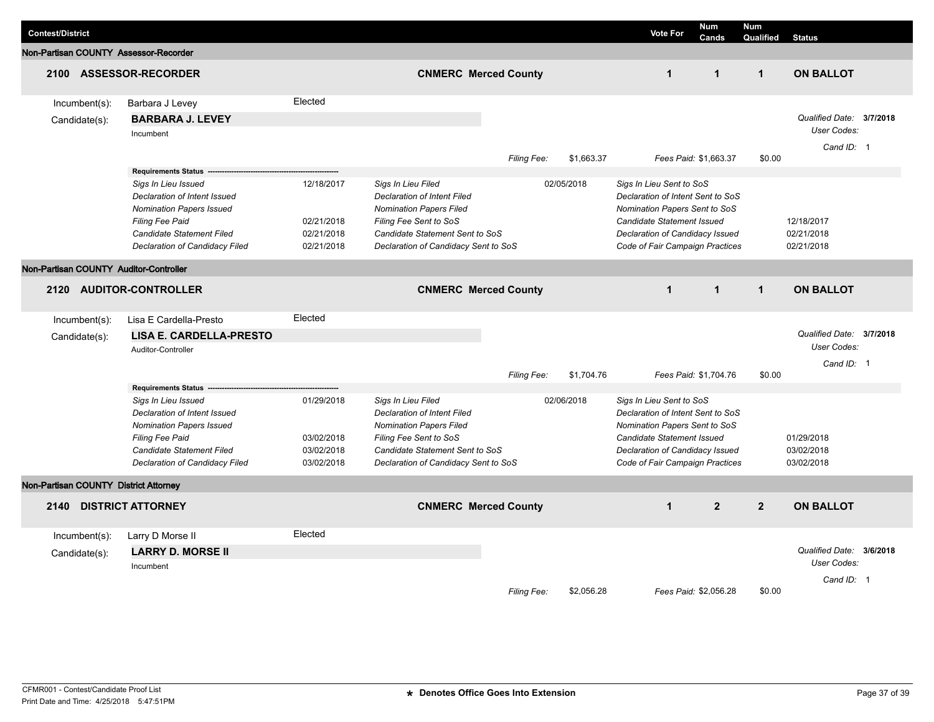| <b>Contest/District</b>                |                                                                                                                                                                                 |                                                      |                                                                                                                                                                                          |                    |            | <b>Vote For</b>                                                                                                                                                                                           | <b>Num</b><br>Cands | <b>Num</b><br>Qualified                | <b>Status</b>                           |  |  |
|----------------------------------------|---------------------------------------------------------------------------------------------------------------------------------------------------------------------------------|------------------------------------------------------|------------------------------------------------------------------------------------------------------------------------------------------------------------------------------------------|--------------------|------------|-----------------------------------------------------------------------------------------------------------------------------------------------------------------------------------------------------------|---------------------|----------------------------------------|-----------------------------------------|--|--|
| Non-Partisan COUNTY Assessor-Recorder  |                                                                                                                                                                                 |                                                      |                                                                                                                                                                                          |                    |            |                                                                                                                                                                                                           |                     |                                        |                                         |  |  |
|                                        | 2100 ASSESSOR-RECORDER                                                                                                                                                          |                                                      | <b>CNMERC Merced County</b>                                                                                                                                                              |                    |            | $\mathbf{1}$                                                                                                                                                                                              | $\mathbf 1$         | $\mathbf{1}$                           | <b>ON BALLOT</b>                        |  |  |
| $Incumbent(s)$ :                       | Barbara J Levey                                                                                                                                                                 | Elected                                              |                                                                                                                                                                                          |                    |            |                                                                                                                                                                                                           |                     |                                        |                                         |  |  |
| Candidate(s):                          | <b>BARBARA J. LEVEY</b><br>Incumbent                                                                                                                                            |                                                      |                                                                                                                                                                                          |                    |            |                                                                                                                                                                                                           |                     |                                        | Qualified Date: 3/7/2018<br>User Codes: |  |  |
|                                        |                                                                                                                                                                                 |                                                      |                                                                                                                                                                                          | Filing Fee:        | \$1,663.37 | Fees Paid: \$1,663.37                                                                                                                                                                                     |                     | \$0.00                                 | Cand ID: 1                              |  |  |
|                                        | <b>Requirements Status</b>                                                                                                                                                      |                                                      |                                                                                                                                                                                          |                    |            |                                                                                                                                                                                                           |                     |                                        |                                         |  |  |
|                                        | Sigs In Lieu Issued<br>Declaration of Intent Issued<br><b>Nomination Papers Issued</b><br>Filing Fee Paid<br>Candidate Statement Filed<br>Declaration of Candidacy Filed        | 12/18/2017<br>02/21/2018<br>02/21/2018<br>02/21/2018 | Sigs In Lieu Filed<br>Declaration of Intent Filed<br><b>Nomination Papers Filed</b><br>Filing Fee Sent to SoS<br>Candidate Statement Sent to SoS<br>Declaration of Candidacy Sent to SoS |                    | 02/05/2018 | Sigs In Lieu Sent to SoS<br>Declaration of Intent Sent to SoS<br>Nomination Papers Sent to SoS<br><b>Candidate Statement Issued</b><br>Declaration of Candidacy Issued<br>Code of Fair Campaign Practices |                     |                                        | 12/18/2017<br>02/21/2018<br>02/21/2018  |  |  |
|                                        |                                                                                                                                                                                 |                                                      |                                                                                                                                                                                          |                    |            |                                                                                                                                                                                                           |                     |                                        |                                         |  |  |
| Non-Partisan COUNTY Auditor-Controller |                                                                                                                                                                                 |                                                      |                                                                                                                                                                                          |                    |            |                                                                                                                                                                                                           |                     |                                        |                                         |  |  |
| <b>AUDITOR-CONTROLLER</b><br>2120      |                                                                                                                                                                                 |                                                      | <b>CNMERC Merced County</b>                                                                                                                                                              |                    |            | $\mathbf{1}$                                                                                                                                                                                              | $\overline{1}$      | $\mathbf{1}$                           | <b>ON BALLOT</b>                        |  |  |
| Incumbent(s):                          | Lisa E Cardella-Presto                                                                                                                                                          | Elected                                              |                                                                                                                                                                                          |                    |            |                                                                                                                                                                                                           |                     |                                        |                                         |  |  |
| Candidate(s):                          | <b>LISA E. CARDELLA-PRESTO</b>                                                                                                                                                  |                                                      |                                                                                                                                                                                          |                    |            |                                                                                                                                                                                                           |                     |                                        | Qualified Date: 3/7/2018                |  |  |
|                                        | Auditor-Controller                                                                                                                                                              |                                                      |                                                                                                                                                                                          |                    |            |                                                                                                                                                                                                           |                     |                                        | User Codes:                             |  |  |
|                                        |                                                                                                                                                                                 |                                                      |                                                                                                                                                                                          | Filing Fee:        | \$1,704.76 | Fees Paid: \$1,704.76                                                                                                                                                                                     |                     | \$0.00                                 | Cand ID: 1                              |  |  |
|                                        | <b>Requirements Status</b>                                                                                                                                                      |                                                      |                                                                                                                                                                                          |                    |            |                                                                                                                                                                                                           |                     |                                        |                                         |  |  |
|                                        | Sigs In Lieu Issued<br>Declaration of Intent Issued<br><b>Nomination Papers Issued</b><br>Filing Fee Paid<br><b>Candidate Statement Filed</b><br>Declaration of Candidacy Filed | 01/29/2018<br>03/02/2018<br>03/02/2018<br>03/02/2018 | Sigs In Lieu Filed<br>Declaration of Intent Filed<br><b>Nomination Papers Filed</b><br>Filing Fee Sent to SoS<br>Candidate Statement Sent to SoS<br>Declaration of Candidacy Sent to SoS |                    | 02/06/2018 | Sigs In Lieu Sent to SoS<br>Declaration of Intent Sent to SoS<br>Nomination Papers Sent to SoS<br>Candidate Statement Issued<br>Declaration of Candidacy Issued<br>Code of Fair Campaign Practices        |                     | 01/29/2018<br>03/02/2018<br>03/02/2018 |                                         |  |  |
| Non-Partisan COUNTY District Attorney  |                                                                                                                                                                                 |                                                      |                                                                                                                                                                                          |                    |            |                                                                                                                                                                                                           |                     |                                        |                                         |  |  |
| 2140                                   | <b>DISTRICT ATTORNEY</b>                                                                                                                                                        |                                                      | <b>CNMERC Merced County</b>                                                                                                                                                              |                    |            | $\mathbf{1}$                                                                                                                                                                                              | $\overline{2}$      | $\overline{2}$                         | <b>ON BALLOT</b>                        |  |  |
| $Incumbent(s)$ :                       | Larry D Morse II                                                                                                                                                                | Elected                                              |                                                                                                                                                                                          |                    |            |                                                                                                                                                                                                           |                     |                                        |                                         |  |  |
| Candidate(s):                          | <b>LARRY D. MORSE II</b>                                                                                                                                                        |                                                      |                                                                                                                                                                                          |                    |            |                                                                                                                                                                                                           |                     |                                        | Qualified Date: 3/6/2018                |  |  |
|                                        | Incumbent                                                                                                                                                                       |                                                      |                                                                                                                                                                                          |                    |            |                                                                                                                                                                                                           |                     |                                        | User Codes:                             |  |  |
|                                        |                                                                                                                                                                                 |                                                      |                                                                                                                                                                                          | <b>Filing Fee:</b> | \$2,056.28 | Fees Paid: \$2,056.28                                                                                                                                                                                     |                     | \$0.00                                 | Cand ID: 1                              |  |  |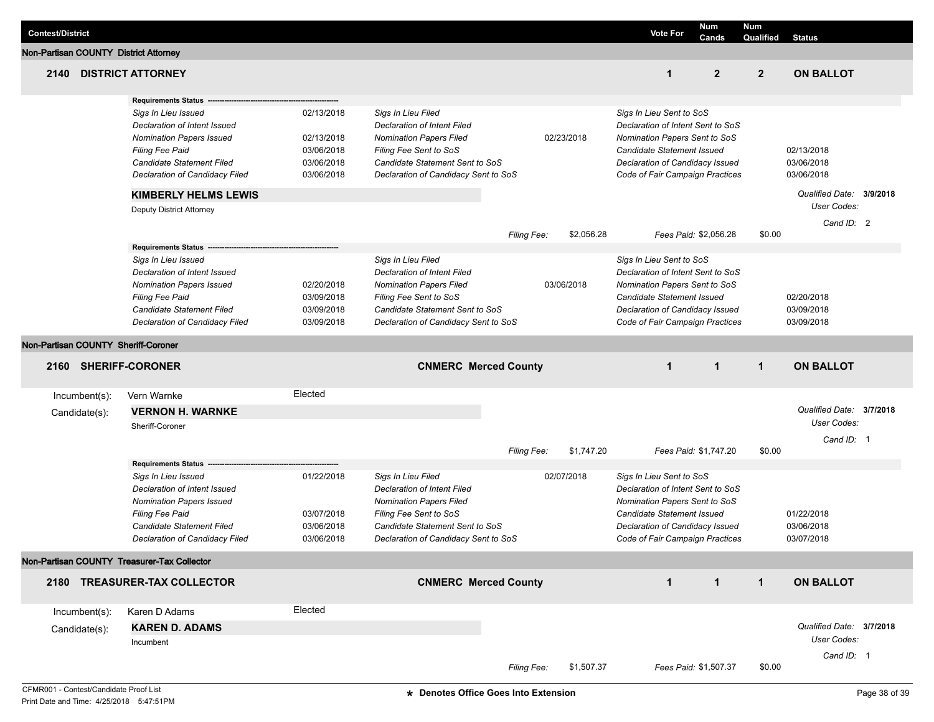| <b>Contest/District</b>                     |               |                                                                                                                                                                                                        |                                                                    |                                                                                                                                                                                                 |                                                                                                                                                                                                               |              | <b>Vote For</b>                                                                                                                                                                                           | <b>Num</b><br>Cands   | <b>Num</b><br>Qualified | <b>Status</b>                           |  |
|---------------------------------------------|---------------|--------------------------------------------------------------------------------------------------------------------------------------------------------------------------------------------------------|--------------------------------------------------------------------|-------------------------------------------------------------------------------------------------------------------------------------------------------------------------------------------------|---------------------------------------------------------------------------------------------------------------------------------------------------------------------------------------------------------------|--------------|-----------------------------------------------------------------------------------------------------------------------------------------------------------------------------------------------------------|-----------------------|-------------------------|-----------------------------------------|--|
| Non-Partisan COUNTY District Attorney       |               |                                                                                                                                                                                                        |                                                                    |                                                                                                                                                                                                 |                                                                                                                                                                                                               |              |                                                                                                                                                                                                           |                       |                         |                                         |  |
| 2140                                        |               | <b>DISTRICT ATTORNEY</b>                                                                                                                                                                               |                                                                    |                                                                                                                                                                                                 |                                                                                                                                                                                                               |              | 1                                                                                                                                                                                                         | $\overline{2}$        | $\overline{2}$          | <b>ON BALLOT</b>                        |  |
|                                             |               | <b>Requirements Status</b>                                                                                                                                                                             |                                                                    |                                                                                                                                                                                                 |                                                                                                                                                                                                               |              |                                                                                                                                                                                                           |                       |                         |                                         |  |
|                                             |               | Sigs In Lieu Issued<br>Declaration of Intent Issued<br><b>Nomination Papers Issued</b><br><b>Filing Fee Paid</b><br>Candidate Statement Filed<br>Declaration of Candidacy Filed                        | 02/13/2018<br>02/13/2018<br>03/06/2018<br>03/06/2018<br>03/06/2018 |                                                                                                                                                                                                 | Sigs In Lieu Filed<br><b>Declaration of Intent Filed</b><br><b>Nomination Papers Filed</b><br>02/23/2018<br>Filing Fee Sent to SoS<br>Candidate Statement Sent to SoS<br>Declaration of Candidacy Sent to SoS |              | Sigs In Lieu Sent to SoS<br>Declaration of Intent Sent to SoS<br>Nomination Papers Sent to SoS<br>Candidate Statement Issued<br>Declaration of Candidacy Issued<br>Code of Fair Campaign Practices        |                       |                         | 02/13/2018<br>03/06/2018<br>03/06/2018  |  |
|                                             |               | <b>KIMBERLY HELMS LEWIS</b>                                                                                                                                                                            |                                                                    |                                                                                                                                                                                                 |                                                                                                                                                                                                               |              |                                                                                                                                                                                                           |                       |                         | Qualified Date: 3/9/2018<br>User Codes: |  |
|                                             |               | Deputy District Attorney                                                                                                                                                                               |                                                                    |                                                                                                                                                                                                 | <b>Filing Fee:</b>                                                                                                                                                                                            | \$2,056.28   |                                                                                                                                                                                                           | Fees Paid: \$2,056.28 | \$0.00                  | Cand ID: 2                              |  |
|                                             |               | <b>Requirements Status</b><br>Sigs In Lieu Issued<br>Declaration of Intent Issued<br><b>Nomination Papers Issued</b><br>Filing Fee Paid<br>Candidate Statement Filed<br>Declaration of Candidacy Filed | 02/20/2018<br>03/09/2018<br>03/09/2018<br>03/09/2018               | Sigs In Lieu Filed<br><b>Declaration of Intent Filed</b><br><b>Nomination Papers Filed</b><br>Filing Fee Sent to SoS<br>Candidate Statement Sent to SoS<br>Declaration of Candidacy Sent to SoS |                                                                                                                                                                                                               | 03/06/2018   | Sigs In Lieu Sent to SoS<br>Declaration of Intent Sent to SoS<br>Nomination Papers Sent to SoS<br><b>Candidate Statement Issued</b><br>Declaration of Candidacy Issued<br>Code of Fair Campaign Practices |                       |                         | 02/20/2018<br>03/09/2018<br>03/09/2018  |  |
| Non-Partisan COUNTY Sheriff-Coroner         |               |                                                                                                                                                                                                        |                                                                    |                                                                                                                                                                                                 |                                                                                                                                                                                                               |              |                                                                                                                                                                                                           |                       |                         |                                         |  |
| 2160 SHERIFF-CORONER                        |               |                                                                                                                                                                                                        | <b>CNMERC Merced County</b>                                        |                                                                                                                                                                                                 | $\mathbf{1}$                                                                                                                                                                                                  | $\mathbf{1}$ | $\mathbf{1}$                                                                                                                                                                                              | <b>ON BALLOT</b>      |                         |                                         |  |
|                                             | Incumbent(s): | Vern Warnke                                                                                                                                                                                            | Elected                                                            |                                                                                                                                                                                                 |                                                                                                                                                                                                               |              |                                                                                                                                                                                                           |                       |                         |                                         |  |
|                                             | Candidate(s): | <b>VERNON H. WARNKE</b>                                                                                                                                                                                |                                                                    |                                                                                                                                                                                                 |                                                                                                                                                                                                               |              |                                                                                                                                                                                                           |                       |                         | Qualified Date: 3/7/2018                |  |
|                                             |               | Sheriff-Coroner                                                                                                                                                                                        |                                                                    |                                                                                                                                                                                                 |                                                                                                                                                                                                               |              |                                                                                                                                                                                                           |                       |                         | User Codes:                             |  |
|                                             |               |                                                                                                                                                                                                        |                                                                    |                                                                                                                                                                                                 | <b>Filing Fee:</b>                                                                                                                                                                                            | \$1,747.20   |                                                                                                                                                                                                           | Fees Paid: \$1,747.20 | \$0.00                  | Cand ID: 1                              |  |
|                                             |               | <b>Requirements Status</b>                                                                                                                                                                             |                                                                    |                                                                                                                                                                                                 |                                                                                                                                                                                                               |              |                                                                                                                                                                                                           |                       |                         |                                         |  |
|                                             |               | Sigs In Lieu Issued<br>Declaration of Intent Issued<br><b>Nomination Papers Issued</b><br>Filing Fee Paid<br>Candidate Statement Filed<br><b>Declaration of Candidacy Filed</b>                        | 01/22/2018<br>03/07/2018<br>03/06/2018<br>03/06/2018               | Sigs In Lieu Filed<br>Declaration of Intent Filed<br><b>Nomination Papers Filed</b><br>Filing Fee Sent to SoS<br>Candidate Statement Sent to SoS<br>Declaration of Candidacy Sent to SoS        | 02/07/2018                                                                                                                                                                                                    |              | Sigs In Lieu Sent to SoS<br>Declaration of Intent Sent to SoS<br>Nomination Papers Sent to SoS<br>Candidate Statement Issued<br>Declaration of Candidacy Issued<br>Code of Fair Campaign Practices        |                       |                         | 01/22/2018<br>03/06/2018<br>03/07/2018  |  |
| Non-Partisan COUNTY Treasurer-Tax Collector |               |                                                                                                                                                                                                        |                                                                    |                                                                                                                                                                                                 |                                                                                                                                                                                                               |              |                                                                                                                                                                                                           |                       |                         |                                         |  |
|                                             |               | 2180 TREASURER-TAX COLLECTOR                                                                                                                                                                           |                                                                    |                                                                                                                                                                                                 | <b>CNMERC Merced County</b>                                                                                                                                                                                   |              | $\mathbf{1}$                                                                                                                                                                                              | $\overline{1}$        | $\mathbf{1}$            | <b>ON BALLOT</b>                        |  |
|                                             | Incumbent(s): | Karen D Adams                                                                                                                                                                                          | Elected                                                            |                                                                                                                                                                                                 |                                                                                                                                                                                                               |              |                                                                                                                                                                                                           |                       |                         |                                         |  |
|                                             | Candidate(s): | <b>KAREN D. ADAMS</b><br>Incumbent                                                                                                                                                                     |                                                                    |                                                                                                                                                                                                 |                                                                                                                                                                                                               |              |                                                                                                                                                                                                           |                       |                         | Qualified Date: 3/7/2018<br>User Codes: |  |
|                                             |               |                                                                                                                                                                                                        |                                                                    |                                                                                                                                                                                                 | Filing Fee:                                                                                                                                                                                                   | \$1,507.37   |                                                                                                                                                                                                           | Fees Paid: \$1,507.37 | \$0.00                  | Cand ID: 1                              |  |